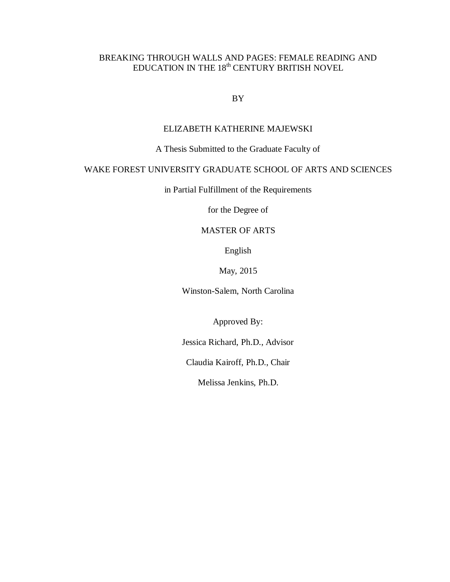## BREAKING THROUGH WALLS AND PAGES: FEMALE READING AND EDUCATION IN THE  $18^{\rm th}$  CENTURY BRITISH NOVEL

BY

## ELIZABETH KATHERINE MAJEWSKI

A Thesis Submitted to the Graduate Faculty of

## WAKE FOREST UNIVERSITY GRADUATE SCHOOL OF ARTS AND SCIENCES

in Partial Fulfillment of the Requirements

for the Degree of

## MASTER OF ARTS

English

May, 2015

Winston-Salem, North Carolina

Approved By:

Jessica Richard, Ph.D., Advisor

Claudia Kairoff, Ph.D., Chair

Melissa Jenkins, Ph.D.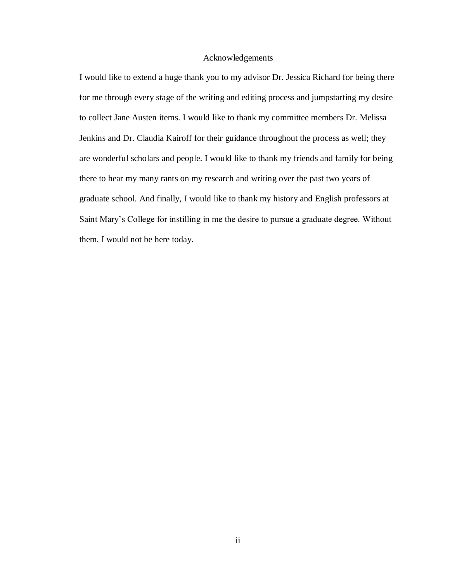## Acknowledgements

I would like to extend a huge thank you to my advisor Dr. Jessica Richard for being there for me through every stage of the writing and editing process and jumpstarting my desire to collect Jane Austen items. I would like to thank my committee members Dr. Melissa Jenkins and Dr. Claudia Kairoff for their guidance throughout the process as well; they are wonderful scholars and people. I would like to thank my friends and family for being there to hear my many rants on my research and writing over the past two years of graduate school. And finally, I would like to thank my history and English professors at Saint Mary's College for instilling in me the desire to pursue a graduate degree. Without them, I would not be here today.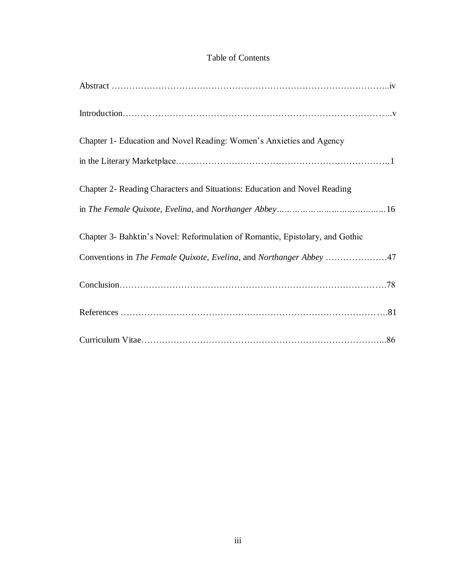## Table of Contents

| Chapter 1- Education and Novel Reading: Women's Anxieties and Agency          |
|-------------------------------------------------------------------------------|
|                                                                               |
| Chapter 2- Reading Characters and Situations: Education and Novel Reading     |
|                                                                               |
| Chapter 3- Bahktin's Novel: Reformulation of Romantic, Epistolary, and Gothic |
|                                                                               |
|                                                                               |
|                                                                               |
|                                                                               |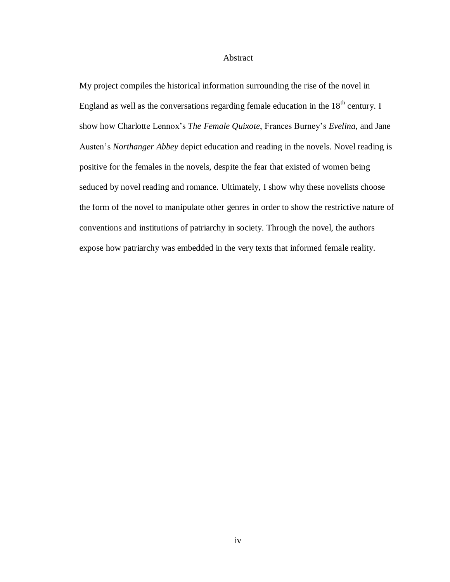### Abstract

My project compiles the historical information surrounding the rise of the novel in England as well as the conversations regarding female education in the  $18<sup>th</sup>$  century. I show how Charlotte Lennox's *The Female Quixote*, Frances Burney's *Evelina*, and Jane Austen's *Northanger Abbey* depict education and reading in the novels. Novel reading is positive for the females in the novels, despite the fear that existed of women being seduced by novel reading and romance. Ultimately, I show why these novelists choose the form of the novel to manipulate other genres in order to show the restrictive nature of conventions and institutions of patriarchy in society. Through the novel, the authors expose how patriarchy was embedded in the very texts that informed female reality.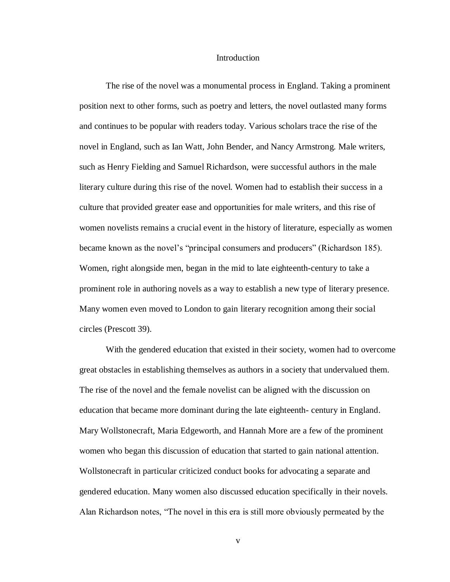### Introduction

The rise of the novel was a monumental process in England. Taking a prominent position next to other forms, such as poetry and letters, the novel outlasted many forms and continues to be popular with readers today. Various scholars trace the rise of the novel in England, such as Ian Watt, John Bender, and Nancy Armstrong. Male writers, such as Henry Fielding and Samuel Richardson, were successful authors in the male literary culture during this rise of the novel. Women had to establish their success in a culture that provided greater ease and opportunities for male writers, and this rise of women novelists remains a crucial event in the history of literature, especially as women became known as the novel's "principal consumers and producers" (Richardson 185). Women, right alongside men, began in the mid to late eighteenth-century to take a prominent role in authoring novels as a way to establish a new type of literary presence. Many women even moved to London to gain literary recognition among their social circles (Prescott 39).

With the gendered education that existed in their society, women had to overcome great obstacles in establishing themselves as authors in a society that undervalued them. The rise of the novel and the female novelist can be aligned with the discussion on education that became more dominant during the late eighteenth- century in England. Mary Wollstonecraft, Maria Edgeworth, and Hannah More are a few of the prominent women who began this discussion of education that started to gain national attention. Wollstonecraft in particular criticized conduct books for advocating a separate and gendered education. Many women also discussed education specifically in their novels. Alan Richardson notes, "The novel in this era is still more obviously permeated by the

v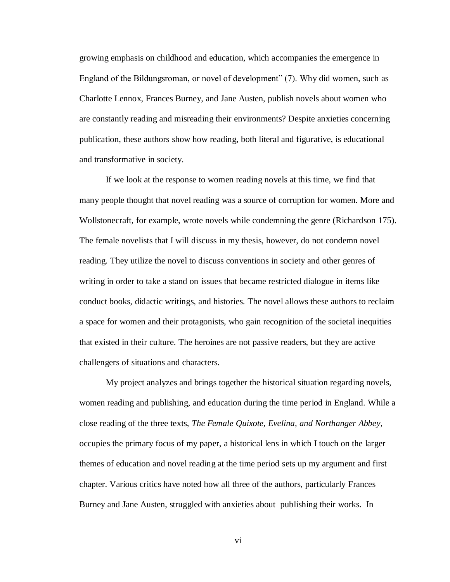growing emphasis on childhood and education, which accompanies the emergence in England of the Bildungsroman, or novel of development" (7). Why did women, such as Charlotte Lennox, Frances Burney, and Jane Austen, publish novels about women who are constantly reading and misreading their environments? Despite anxieties concerning publication, these authors show how reading, both literal and figurative, is educational and transformative in society.

If we look at the response to women reading novels at this time, we find that many people thought that novel reading was a source of corruption for women. More and Wollstonecraft, for example, wrote novels while condemning the genre (Richardson 175). The female novelists that I will discuss in my thesis, however, do not condemn novel reading. They utilize the novel to discuss conventions in society and other genres of writing in order to take a stand on issues that became restricted dialogue in items like conduct books, didactic writings, and histories. The novel allows these authors to reclaim a space for women and their protagonists, who gain recognition of the societal inequities that existed in their culture. The heroines are not passive readers, but they are active challengers of situations and characters.

My project analyzes and brings together the historical situation regarding novels, women reading and publishing, and education during the time period in England. While a close reading of the three texts, *The Female Quixote, Evelina, and Northanger Abbey*, occupies the primary focus of my paper, a historical lens in which I touch on the larger themes of education and novel reading at the time period sets up my argument and first chapter. Various critics have noted how all three of the authors, particularly Frances Burney and Jane Austen, struggled with anxieties about publishing their works. In

vi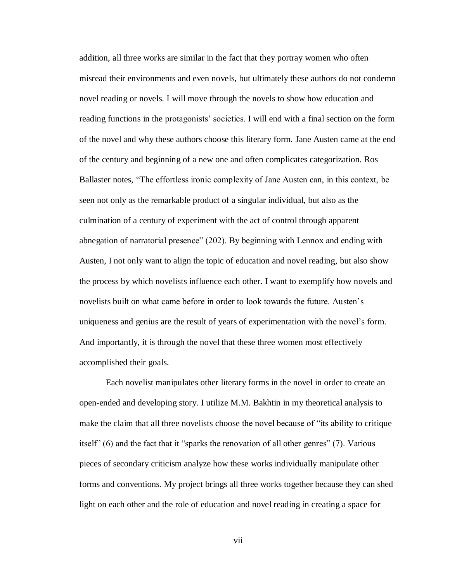addition, all three works are similar in the fact that they portray women who often misread their environments and even novels, but ultimately these authors do not condemn novel reading or novels. I will move through the novels to show how education and reading functions in the protagonists' societies. I will end with a final section on the form of the novel and why these authors choose this literary form. Jane Austen came at the end of the century and beginning of a new one and often complicates categorization. Ros Ballaster notes, "The effortless ironic complexity of Jane Austen can, in this context, be seen not only as the remarkable product of a singular individual, but also as the culmination of a century of experiment with the act of control through apparent abnegation of narratorial presence" (202). By beginning with Lennox and ending with Austen, I not only want to align the topic of education and novel reading, but also show the process by which novelists influence each other. I want to exemplify how novels and novelists built on what came before in order to look towards the future. Austen's uniqueness and genius are the result of years of experimentation with the novel's form. And importantly, it is through the novel that these three women most effectively accomplished their goals.

Each novelist manipulates other literary forms in the novel in order to create an open-ended and developing story. I utilize M.M. Bakhtin in my theoretical analysis to make the claim that all three novelists choose the novel because of "its ability to critique itself" (6) and the fact that it "sparks the renovation of all other genres" (7). Various pieces of secondary criticism analyze how these works individually manipulate other forms and conventions. My project brings all three works together because they can shed light on each other and the role of education and novel reading in creating a space for

vii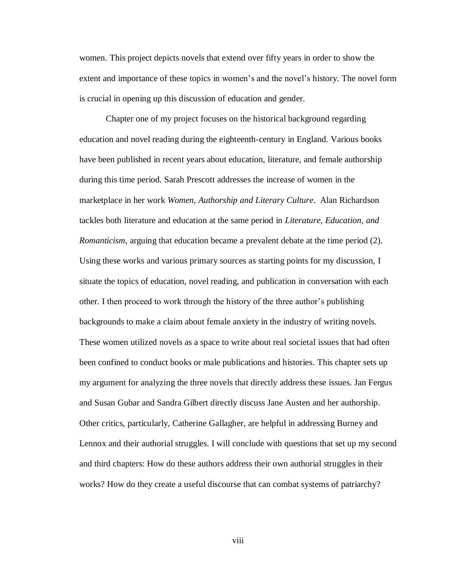women. This project depicts novels that extend over fifty years in order to show the extent and importance of these topics in women's and the novel's history. The novel form is crucial in opening up this discussion of education and gender.

Chapter one of my project focuses on the historical background regarding education and novel reading during the eighteenth-century in England. Various books have been published in recent years about education, literature, and female authorship during this time period. Sarah Prescott addresses the increase of women in the marketplace in her work *Women, Authorship and Literary Culture*. Alan Richardson tackles both literature and education at the same period in *Literature, Education, and Romanticism*, arguing that education became a prevalent debate at the time period (2). Using these works and various primary sources as starting points for my discussion, I situate the topics of education, novel reading, and publication in conversation with each other. I then proceed to work through the history of the three author's publishing backgrounds to make a claim about female anxiety in the industry of writing novels. These women utilized novels as a space to write about real societal issues that had often been confined to conduct books or male publications and histories. This chapter sets up my argument for analyzing the three novels that directly address these issues. Jan Fergus and Susan Gubar and Sandra Gilbert directly discuss Jane Austen and her authorship. Other critics, particularly, Catherine Gallagher, are helpful in addressing Burney and Lennox and their authorial struggles. I will conclude with questions that set up my second and third chapters: How do these authors address their own authorial struggles in their works? How do they create a useful discourse that can combat systems of patriarchy?

viii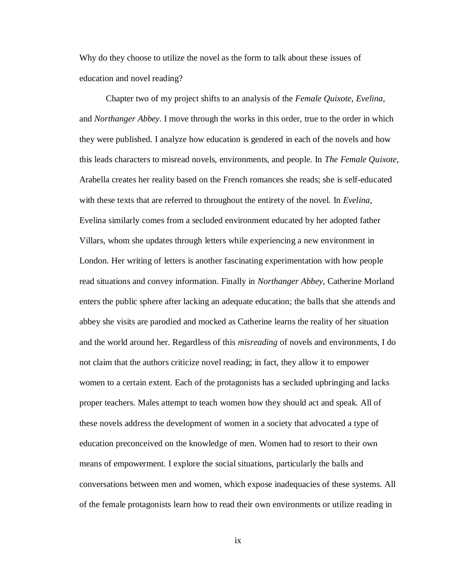Why do they choose to utilize the novel as the form to talk about these issues of education and novel reading?

Chapter two of my project shifts to an analysis of the *Female Quixote*, *Evelina*, and *Northanger Abbey*. I move through the works in this order, true to the order in which they were published. I analyze how education is gendered in each of the novels and how this leads characters to misread novels, environments, and people. In *The Female Quixote*, Arabella creates her reality based on the French romances she reads; she is self-educated with these texts that are referred to throughout the entirety of the novel. In *Evelina,* Evelina similarly comes from a secluded environment educated by her adopted father Villars, whom she updates through letters while experiencing a new environment in London. Her writing of letters is another fascinating experimentation with how people read situations and convey information. Finally in *Northanger Abbey*, Catherine Morland enters the public sphere after lacking an adequate education; the balls that she attends and abbey she visits are parodied and mocked as Catherine learns the reality of her situation and the world around her. Regardless of this *misreading* of novels and environments, I do not claim that the authors criticize novel reading; in fact, they allow it to empower women to a certain extent. Each of the protagonists has a secluded upbringing and lacks proper teachers. Males attempt to teach women how they should act and speak. All of these novels address the development of women in a society that advocated a type of education preconceived on the knowledge of men. Women had to resort to their own means of empowerment. I explore the social situations, particularly the balls and conversations between men and women, which expose inadequacies of these systems. All of the female protagonists learn how to read their own environments or utilize reading in

ix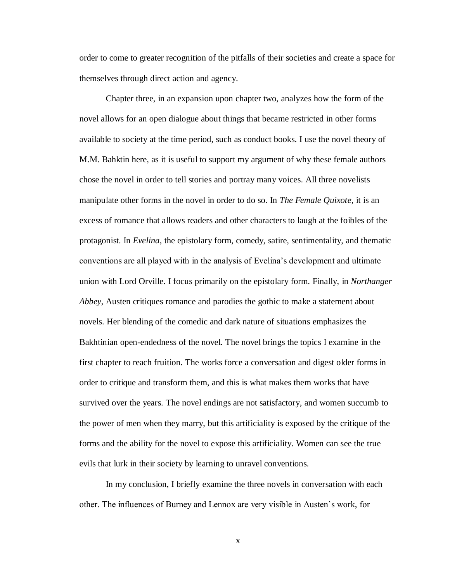order to come to greater recognition of the pitfalls of their societies and create a space for themselves through direct action and agency.

Chapter three, in an expansion upon chapter two, analyzes how the form of the novel allows for an open dialogue about things that became restricted in other forms available to society at the time period, such as conduct books. I use the novel theory of M.M. Bahktin here, as it is useful to support my argument of why these female authors chose the novel in order to tell stories and portray many voices. All three novelists manipulate other forms in the novel in order to do so. In *The Female Quixote*, it is an excess of romance that allows readers and other characters to laugh at the foibles of the protagonist. In *Evelina*, the epistolary form, comedy, satire, sentimentality, and thematic conventions are all played with in the analysis of Evelina's development and ultimate union with Lord Orville. I focus primarily on the epistolary form. Finally, in *Northanger Abbey*, Austen critiques romance and parodies the gothic to make a statement about novels. Her blending of the comedic and dark nature of situations emphasizes the Bakhtinian open-endedness of the novel. The novel brings the topics I examine in the first chapter to reach fruition. The works force a conversation and digest older forms in order to critique and transform them, and this is what makes them works that have survived over the years. The novel endings are not satisfactory, and women succumb to the power of men when they marry, but this artificiality is exposed by the critique of the forms and the ability for the novel to expose this artificiality. Women can see the true evils that lurk in their society by learning to unravel conventions.

In my conclusion, I briefly examine the three novels in conversation with each other. The influences of Burney and Lennox are very visible in Austen's work, for

x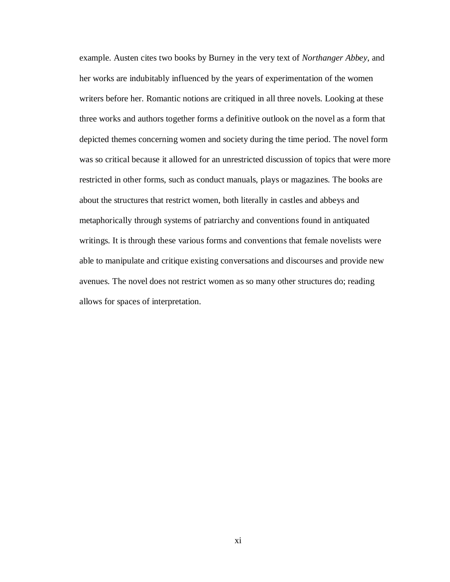example. Austen cites two books by Burney in the very text of *Northanger Abbey*, and her works are indubitably influenced by the years of experimentation of the women writers before her. Romantic notions are critiqued in all three novels. Looking at these three works and authors together forms a definitive outlook on the novel as a form that depicted themes concerning women and society during the time period. The novel form was so critical because it allowed for an unrestricted discussion of topics that were more restricted in other forms, such as conduct manuals, plays or magazines. The books are about the structures that restrict women, both literally in castles and abbeys and metaphorically through systems of patriarchy and conventions found in antiquated writings. It is through these various forms and conventions that female novelists were able to manipulate and critique existing conversations and discourses and provide new avenues. The novel does not restrict women as so many other structures do; reading allows for spaces of interpretation.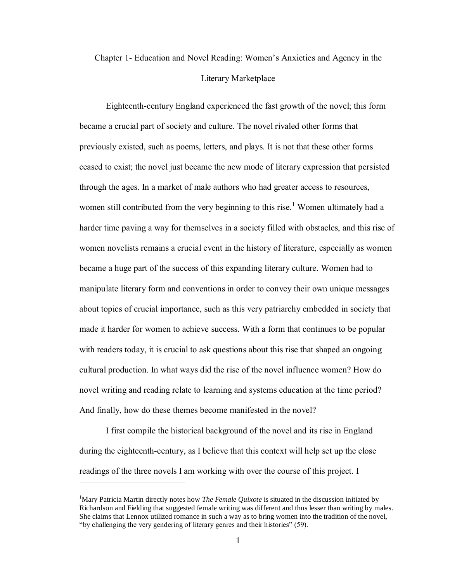# Chapter 1- Education and Novel Reading: Women's Anxieties and Agency in the Literary Marketplace

Eighteenth-century England experienced the fast growth of the novel; this form became a crucial part of society and culture. The novel rivaled other forms that previously existed, such as poems, letters, and plays. It is not that these other forms ceased to exist; the novel just became the new mode of literary expression that persisted through the ages. In a market of male authors who had greater access to resources, women still contributed from the very beginning to this rise.<sup>1</sup> Women ultimately had a harder time paving a way for themselves in a society filled with obstacles, and this rise of women novelists remains a crucial event in the history of literature, especially as women became a huge part of the success of this expanding literary culture. Women had to manipulate literary form and conventions in order to convey their own unique messages about topics of crucial importance, such as this very patriarchy embedded in society that made it harder for women to achieve success. With a form that continues to be popular with readers today, it is crucial to ask questions about this rise that shaped an ongoing cultural production. In what ways did the rise of the novel influence women? How do novel writing and reading relate to learning and systems education at the time period? And finally, how do these themes become manifested in the novel?

I first compile the historical background of the novel and its rise in England during the eighteenth-century, as I believe that this context will help set up the close readings of the three novels I am working with over the course of this project. I

<sup>&</sup>lt;sup>1</sup>Mary Patricia Martin directly notes how *The Female Quixote* is situated in the discussion initiated by Richardson and Fielding that suggested female writing was different and thus lesser than writing by males. She claims that Lennox utilized romance in such a way as to bring women into the tradition of the novel, "by challenging the very gendering of literary genres and their histories" (59).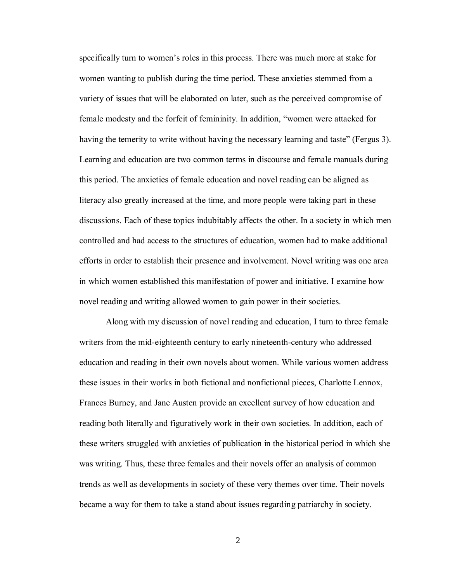specifically turn to women's roles in this process. There was much more at stake for women wanting to publish during the time period. These anxieties stemmed from a variety of issues that will be elaborated on later, such as the perceived compromise of female modesty and the forfeit of femininity. In addition, "women were attacked for having the temerity to write without having the necessary learning and taste" (Fergus 3). Learning and education are two common terms in discourse and female manuals during this period. The anxieties of female education and novel reading can be aligned as literacy also greatly increased at the time, and more people were taking part in these discussions. Each of these topics indubitably affects the other. In a society in which men controlled and had access to the structures of education, women had to make additional efforts in order to establish their presence and involvement. Novel writing was one area in which women established this manifestation of power and initiative. I examine how novel reading and writing allowed women to gain power in their societies.

Along with my discussion of novel reading and education, I turn to three female writers from the mid-eighteenth century to early nineteenth-century who addressed education and reading in their own novels about women. While various women address these issues in their works in both fictional and nonfictional pieces, Charlotte Lennox, Frances Burney, and Jane Austen provide an excellent survey of how education and reading both literally and figuratively work in their own societies. In addition, each of these writers struggled with anxieties of publication in the historical period in which she was writing. Thus, these three females and their novels offer an analysis of common trends as well as developments in society of these very themes over time. Their novels became a way for them to take a stand about issues regarding patriarchy in society.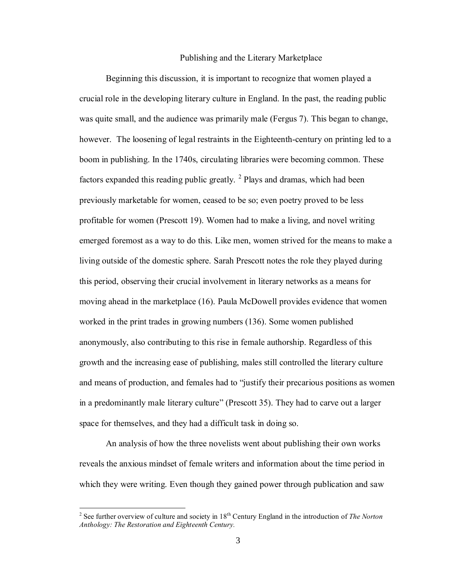#### Publishing and the Literary Marketplace

Beginning this discussion, it is important to recognize that women played a crucial role in the developing literary culture in England. In the past, the reading public was quite small, and the audience was primarily male (Fergus 7). This began to change, however. The loosening of legal restraints in the Eighteenth-century on printing led to a boom in publishing. In the 1740s, circulating libraries were becoming common. These factors expanded this reading public greatly.  $2$  Plays and dramas, which had been previously marketable for women, ceased to be so; even poetry proved to be less profitable for women (Prescott 19). Women had to make a living, and novel writing emerged foremost as a way to do this. Like men, women strived for the means to make a living outside of the domestic sphere. Sarah Prescott notes the role they played during this period, observing their crucial involvement in literary networks as a means for moving ahead in the marketplace (16). Paula McDowell provides evidence that women worked in the print trades in growing numbers (136). Some women published anonymously, also contributing to this rise in female authorship. Regardless of this growth and the increasing ease of publishing, males still controlled the literary culture and means of production, and females had to "justify their precarious positions as women in a predominantly male literary culture" (Prescott 35). They had to carve out a larger space for themselves, and they had a difficult task in doing so.

An analysis of how the three novelists went about publishing their own works reveals the anxious mindset of female writers and information about the time period in which they were writing. Even though they gained power through publication and saw

<sup>&</sup>lt;sup>2</sup> See further overview of culture and society in 18<sup>th</sup> Century England in the introduction of *The Norton Anthology: The Restoration and Eighteenth Century.*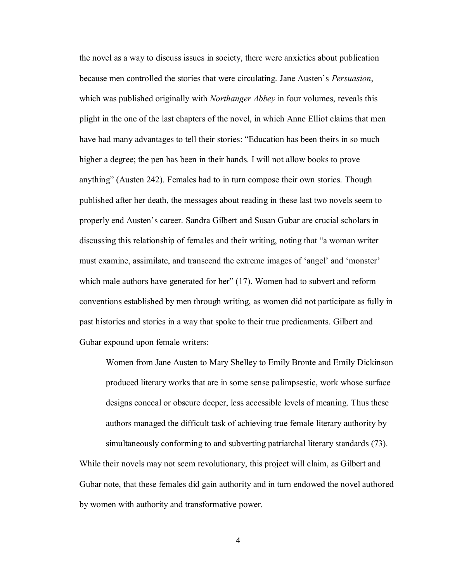the novel as a way to discuss issues in society, there were anxieties about publication because men controlled the stories that were circulating. Jane Austen's *Persuasion*, which was published originally with *Northanger Abbey* in four volumes, reveals this plight in the one of the last chapters of the novel, in which Anne Elliot claims that men have had many advantages to tell their stories: "Education has been theirs in so much higher a degree; the pen has been in their hands. I will not allow books to prove anything" (Austen 242). Females had to in turn compose their own stories. Though published after her death, the messages about reading in these last two novels seem to properly end Austen's career. Sandra Gilbert and Susan Gubar are crucial scholars in discussing this relationship of females and their writing, noting that "a woman writer must examine, assimilate, and transcend the extreme images of 'angel' and 'monster' which male authors have generated for her" (17). Women had to subvert and reform conventions established by men through writing, as women did not participate as fully in past histories and stories in a way that spoke to their true predicaments. Gilbert and Gubar expound upon female writers:

Women from Jane Austen to Mary Shelley to Emily Bronte and Emily Dickinson produced literary works that are in some sense palimpsestic, work whose surface designs conceal or obscure deeper, less accessible levels of meaning. Thus these authors managed the difficult task of achieving true female literary authority by simultaneously conforming to and subverting patriarchal literary standards (73).

While their novels may not seem revolutionary, this project will claim, as Gilbert and Gubar note, that these females did gain authority and in turn endowed the novel authored by women with authority and transformative power.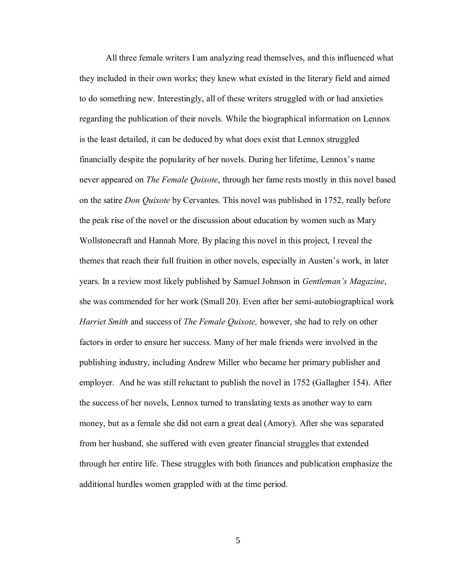All three female writers I am analyzing read themselves, and this influenced what they included in their own works; they knew what existed in the literary field and aimed to do something new. Interestingly, all of these writers struggled with or had anxieties regarding the publication of their novels. While the biographical information on Lennox is the least detailed, it can be deduced by what does exist that Lennox struggled financially despite the popularity of her novels. During her lifetime, Lennox's name never appeared on *The Female Quixote*, through her fame rests mostly in this novel based on the satire *Don Quixote* by Cervantes. This novel was published in 1752, really before the peak rise of the novel or the discussion about education by women such as Mary Wollstonecraft and Hannah More. By placing this novel in this project, I reveal the themes that reach their full fruition in other novels, especially in Austen's work, in later years. In a review most likely published by Samuel Johnson in *Gentleman's Magazine*, she was commended for her work (Small 20). Even after her semi-autobiographical work *Harriet Smith* and success of *The Female Quixote,* however, she had to rely on other factors in order to ensure her success. Many of her male friends were involved in the publishing industry, including Andrew Miller who became her primary publisher and employer. And he was still reluctant to publish the novel in 1752 (Gallagher 154). After the success of her novels, Lennox turned to translating texts as another way to earn money, but as a female she did not earn a great deal (Amory). After she was separated from her husband, she suffered with even greater financial struggles that extended through her entire life. These struggles with both finances and publication emphasize the additional hurdles women grappled with at the time period.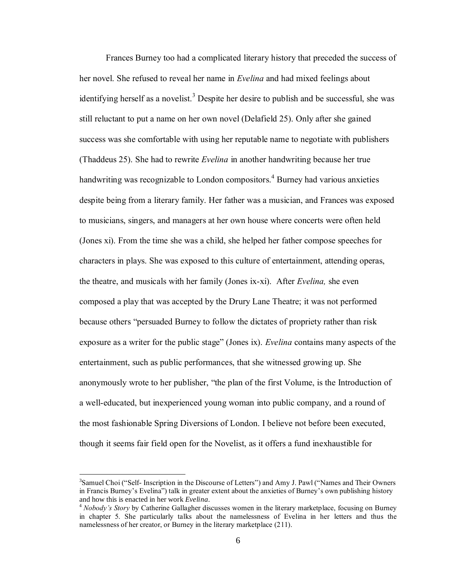Frances Burney too had a complicated literary history that preceded the success of her novel. She refused to reveal her name in *Evelina* and had mixed feelings about identifying herself as a novelist.<sup>3</sup> Despite her desire to publish and be successful, she was still reluctant to put a name on her own novel (Delafield 25). Only after she gained success was she comfortable with using her reputable name to negotiate with publishers (Thaddeus 25). She had to rewrite *Evelina* in another handwriting because her true handwriting was recognizable to London compositors.<sup>4</sup> Burney had various anxieties despite being from a literary family. Her father was a musician, and Frances was exposed to musicians, singers, and managers at her own house where concerts were often held (Jones xi). From the time she was a child, she helped her father compose speeches for characters in plays. She was exposed to this culture of entertainment, attending operas, the theatre, and musicals with her family (Jones ix-xi). After *Evelina,* she even composed a play that was accepted by the Drury Lane Theatre; it was not performed because others "persuaded Burney to follow the dictates of propriety rather than risk exposure as a writer for the public stage" (Jones ix). *Evelina* contains many aspects of the entertainment, such as public performances, that she witnessed growing up. She anonymously wrote to her publisher, "the plan of the first Volume, is the Introduction of a well-educated, but inexperienced young woman into public company, and a round of the most fashionable Spring Diversions of London. I believe not before been executed, though it seems fair field open for the Novelist, as it offers a fund inexhaustible for

<sup>&</sup>lt;sup>3</sup>Samuel Choi ("Self- Inscription in the Discourse of Letters") and Amy J. Pawl ("Names and Their Owners in Francis Burney's Evelina") talk in greater extent about the anxieties of Burney's own publishing history and how this is enacted in her work *Evelina*.

<sup>4</sup> *Nobody's Story* by Catherine Gallagher discusses women in the literary marketplace, focusing on Burney in chapter 5. She particularly talks about the namelessness of Evelina in her letters and thus the namelessness of her creator, or Burney in the literary marketplace (211).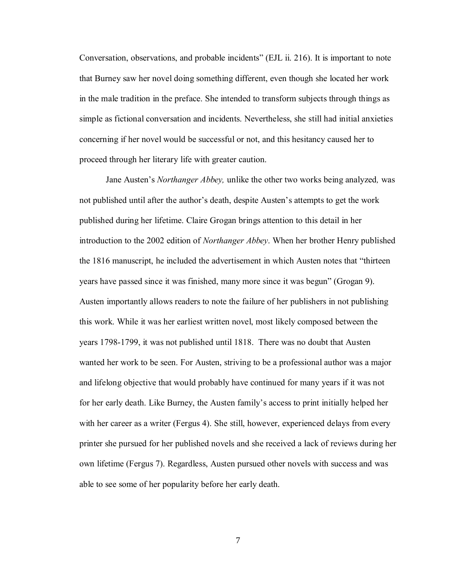Conversation, observations, and probable incidents" (EJL ii. 216). It is important to note that Burney saw her novel doing something different, even though she located her work in the male tradition in the preface. She intended to transform subjects through things as simple as fictional conversation and incidents. Nevertheless, she still had initial anxieties concerning if her novel would be successful or not, and this hesitancy caused her to proceed through her literary life with greater caution.

Jane Austen's *Northanger Abbey,* unlike the other two works being analyzed*,* was not published until after the author's death, despite Austen's attempts to get the work published during her lifetime. Claire Grogan brings attention to this detail in her introduction to the 2002 edition of *Northanger Abbey*. When her brother Henry published the 1816 manuscript, he included the advertisement in which Austen notes that "thirteen years have passed since it was finished, many more since it was begun" (Grogan 9). Austen importantly allows readers to note the failure of her publishers in not publishing this work. While it was her earliest written novel, most likely composed between the years 1798-1799, it was not published until 1818. There was no doubt that Austen wanted her work to be seen. For Austen, striving to be a professional author was a major and lifelong objective that would probably have continued for many years if it was not for her early death. Like Burney, the Austen family's access to print initially helped her with her career as a writer (Fergus 4). She still, however, experienced delays from every printer she pursued for her published novels and she received a lack of reviews during her own lifetime (Fergus 7). Regardless, Austen pursued other novels with success and was able to see some of her popularity before her early death.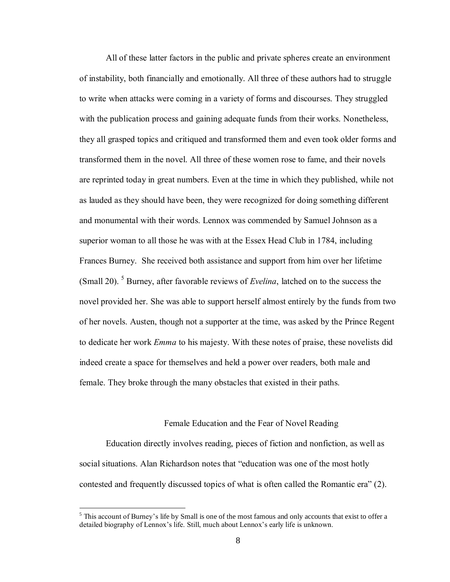All of these latter factors in the public and private spheres create an environment of instability, both financially and emotionally. All three of these authors had to struggle to write when attacks were coming in a variety of forms and discourses. They struggled with the publication process and gaining adequate funds from their works. Nonetheless, they all grasped topics and critiqued and transformed them and even took older forms and transformed them in the novel. All three of these women rose to fame, and their novels are reprinted today in great numbers. Even at the time in which they published, while not as lauded as they should have been, they were recognized for doing something different and monumental with their words. Lennox was commended by Samuel Johnson as a superior woman to all those he was with at the Essex Head Club in 1784, including Frances Burney. She received both assistance and support from him over her lifetime (Small 20). <sup>5</sup> Burney, after favorable reviews of *Evelina*, latched on to the success the novel provided her. She was able to support herself almost entirely by the funds from two of her novels. Austen, though not a supporter at the time, was asked by the Prince Regent to dedicate her work *Emma* to his majesty. With these notes of praise, these novelists did indeed create a space for themselves and held a power over readers, both male and female. They broke through the many obstacles that existed in their paths.

#### Female Education and the Fear of Novel Reading

Education directly involves reading, pieces of fiction and nonfiction, as well as social situations. Alan Richardson notes that "education was one of the most hotly contested and frequently discussed topics of what is often called the Romantic era" (2).

 $<sup>5</sup>$  This account of Burney's life by Small is one of the most famous and only accounts that exist to offer a</sup> detailed biography of Lennox's life. Still, much about Lennox's early life is unknown.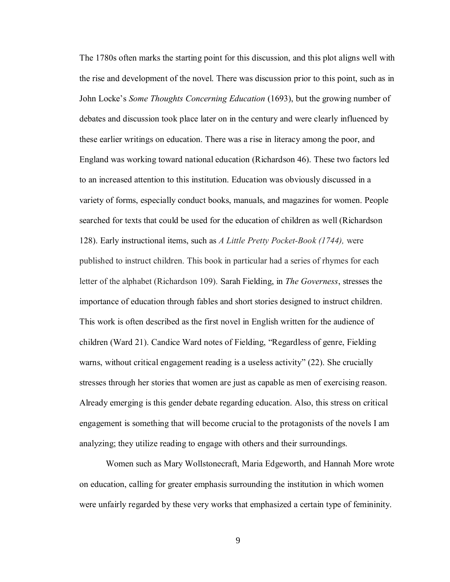The 1780s often marks the starting point for this discussion, and this plot aligns well with the rise and development of the novel. There was discussion prior to this point, such as in John Locke's *Some Thoughts Concerning Education* (1693), but the growing number of debates and discussion took place later on in the century and were clearly influenced by these earlier writings on education. There was a rise in literacy among the poor, and England was working toward national education (Richardson 46). These two factors led to an increased attention to this institution. Education was obviously discussed in a variety of forms, especially conduct books, manuals, and magazines for women. People searched for texts that could be used for the education of children as well (Richardson 128). Early instructional items, such as *A Little Pretty Pocket-Book (1744),* were published to instruct children. This book in particular had a series of rhymes for each letter of the alphabet (Richardson 109). Sarah Fielding, in *The Governess*, stresses the importance of education through fables and short stories designed to instruct children. This work is often described as the first novel in English written for the audience of children (Ward 21). Candice Ward notes of Fielding, "Regardless of genre, Fielding warns, without critical engagement reading is a useless activity" (22). She crucially stresses through her stories that women are just as capable as men of exercising reason. Already emerging is this gender debate regarding education. Also, this stress on critical engagement is something that will become crucial to the protagonists of the novels I am analyzing; they utilize reading to engage with others and their surroundings.

Women such as Mary Wollstonecraft, Maria Edgeworth, and Hannah More wrote on education, calling for greater emphasis surrounding the institution in which women were unfairly regarded by these very works that emphasized a certain type of femininity.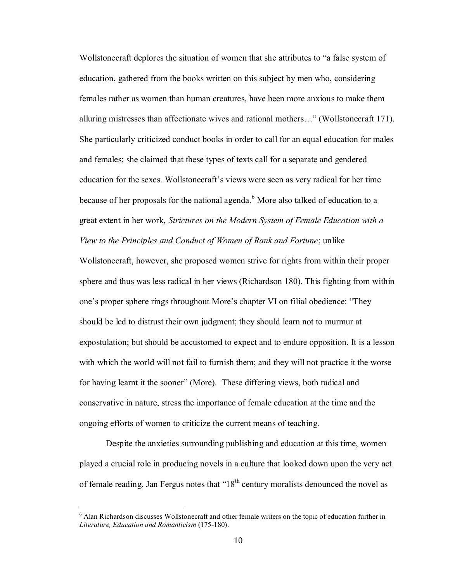Wollstonecraft deplores the situation of women that she attributes to "a false system of education, gathered from the books written on this subject by men who, considering females rather as women than human creatures, have been more anxious to make them alluring mistresses than affectionate wives and rational mothers…" (Wollstonecraft 171). She particularly criticized conduct books in order to call for an equal education for males and females; she claimed that these types of texts call for a separate and gendered education for the sexes. Wollstonecraft's views were seen as very radical for her time because of her proposals for the national agenda.<sup>6</sup> More also talked of education to a great extent in her work, *Strictures on the Modern System of Female Education with a View to the Principles and Conduct of Women of Rank and Fortune*; unlike

Wollstonecraft, however, she proposed women strive for rights from within their proper sphere and thus was less radical in her views (Richardson 180). This fighting from within one's proper sphere rings throughout More's chapter VI on filial obedience: "They should be led to distrust their own judgment; they should learn not to murmur at expostulation; but should be accustomed to expect and to endure opposition. It is a lesson with which the world will not fail to furnish them; and they will not practice it the worse for having learnt it the sooner" (More). These differing views, both radical and conservative in nature, stress the importance of female education at the time and the ongoing efforts of women to criticize the current means of teaching.

Despite the anxieties surrounding publishing and education at this time, women played a crucial role in producing novels in a culture that looked down upon the very act of female reading. Jan Fergus notes that " $18<sup>th</sup>$  century moralists denounced the novel as

<sup>&</sup>lt;sup>6</sup> Alan Richardson discusses Wollstonecraft and other female writers on the topic of education further in *Literature, Education and Romanticism* (175-180).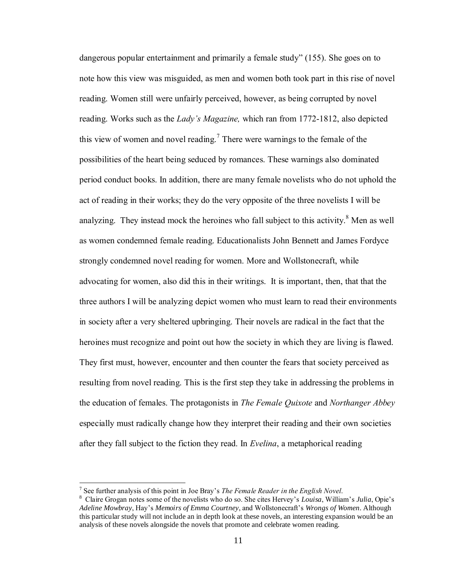dangerous popular entertainment and primarily a female study" (155). She goes on to note how this view was misguided, as men and women both took part in this rise of novel reading. Women still were unfairly perceived, however, as being corrupted by novel reading. Works such as the *Lady's Magazine,* which ran from 1772-1812, also depicted this view of women and novel reading.<sup>7</sup> There were warnings to the female of the possibilities of the heart being seduced by romances. These warnings also dominated period conduct books. In addition, there are many female novelists who do not uphold the act of reading in their works; they do the very opposite of the three novelists I will be analyzing. They instead mock the heroines who fall subject to this activity.<sup>8</sup> Men as well as women condemned female reading. Educationalists John Bennett and James Fordyce strongly condemned novel reading for women. More and Wollstonecraft, while advocating for women, also did this in their writings. It is important, then, that that the three authors I will be analyzing depict women who must learn to read their environments in society after a very sheltered upbringing. Their novels are radical in the fact that the heroines must recognize and point out how the society in which they are living is flawed. They first must, however, encounter and then counter the fears that society perceived as resulting from novel reading. This is the first step they take in addressing the problems in the education of females. The protagonists in *The Female Quixote* and *Northanger Abbey* especially must radically change how they interpret their reading and their own societies after they fall subject to the fiction they read. In *Evelina*, a metaphorical reading

<sup>7</sup> See further analysis of this point in Joe Bray's *The Female Reader in the English Novel*.

<sup>8</sup> Claire Grogan notes some of the novelists who do so. She cites Hervey's *Louisa*, William's *Julia*, Opie's *Adeline Mowbray*, Hay's *Memoirs of Emma Courtney*, and Wollstonecraft's *Wrongs of Women*. Although this particular study will not include an in depth look at these novels, an interesting expansion would be an analysis of these novels alongside the novels that promote and celebrate women reading.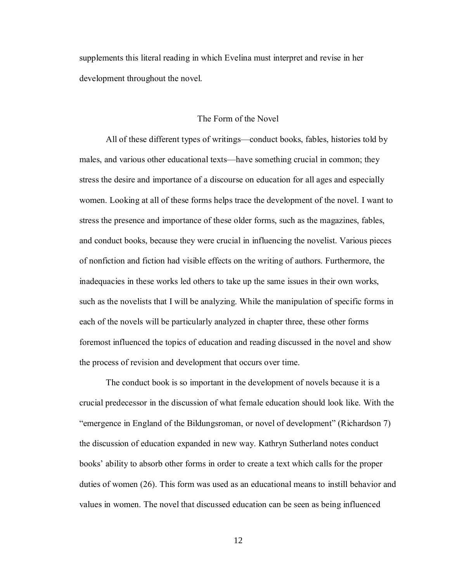supplements this literal reading in which Evelina must interpret and revise in her development throughout the novel.

### The Form of the Novel

All of these different types of writings—conduct books, fables, histories told by males, and various other educational texts—have something crucial in common; they stress the desire and importance of a discourse on education for all ages and especially women. Looking at all of these forms helps trace the development of the novel. I want to stress the presence and importance of these older forms, such as the magazines, fables, and conduct books, because they were crucial in influencing the novelist. Various pieces of nonfiction and fiction had visible effects on the writing of authors. Furthermore, the inadequacies in these works led others to take up the same issues in their own works, such as the novelists that I will be analyzing. While the manipulation of specific forms in each of the novels will be particularly analyzed in chapter three, these other forms foremost influenced the topics of education and reading discussed in the novel and show the process of revision and development that occurs over time.

The conduct book is so important in the development of novels because it is a crucial predecessor in the discussion of what female education should look like. With the "emergence in England of the Bildungsroman, or novel of development" (Richardson 7) the discussion of education expanded in new way. Kathryn Sutherland notes conduct books' ability to absorb other forms in order to create a text which calls for the proper duties of women (26). This form was used as an educational means to instill behavior and values in women. The novel that discussed education can be seen as being influenced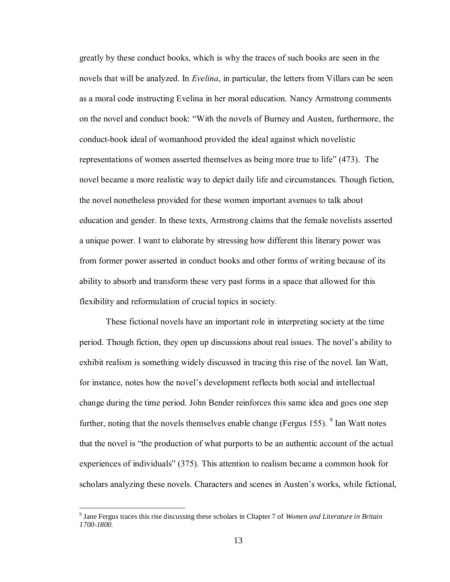greatly by these conduct books, which is why the traces of such books are seen in the novels that will be analyzed. In *Evelina*, in particular, the letters from Villars can be seen as a moral code instructing Evelina in her moral education. Nancy Armstrong comments on the novel and conduct book: "With the novels of Burney and Austen, furthermore, the conduct-book ideal of womanhood provided the ideal against which novelistic representations of women asserted themselves as being more true to life" (473). The novel became a more realistic way to depict daily life and circumstances. Though fiction, the novel nonetheless provided for these women important avenues to talk about education and gender. In these texts, Armstrong claims that the female novelists asserted a unique power. I want to elaborate by stressing how different this literary power was from former power asserted in conduct books and other forms of writing because of its ability to absorb and transform these very past forms in a space that allowed for this flexibility and reformulation of crucial topics in society.

These fictional novels have an important role in interpreting society at the time period. Though fiction, they open up discussions about real issues. The novel's ability to exhibit realism is something widely discussed in tracing this rise of the novel. Ian Watt, for instance, notes how the novel's development reflects both social and intellectual change during the time period. John Bender reinforces this same idea and goes one step further, noting that the novels themselves enable change (Fergus 155).  $9$  Ian Watt notes that the novel is "the production of what purports to be an authentic account of the actual experiences of individuals" (375). This attention to realism became a common hook for scholars analyzing these novels. Characters and scenes in Austen's works, while fictional,

<sup>9</sup> Jane Fergus traces this rise discussing these scholars in Chapter 7 of *Women and Literature in Britain 1700-1800.*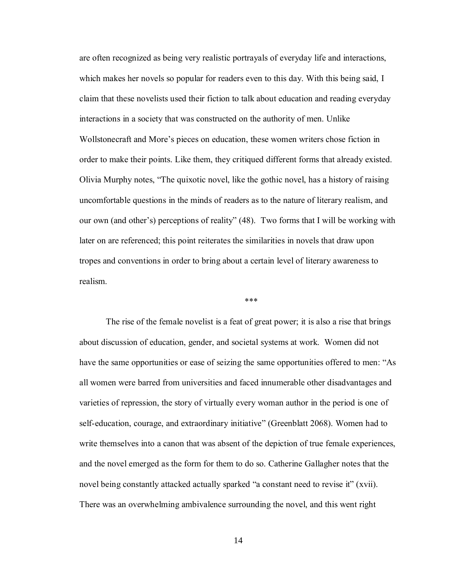are often recognized as being very realistic portrayals of everyday life and interactions, which makes her novels so popular for readers even to this day. With this being said, I claim that these novelists used their fiction to talk about education and reading everyday interactions in a society that was constructed on the authority of men. Unlike Wollstonecraft and More's pieces on education, these women writers chose fiction in order to make their points. Like them, they critiqued different forms that already existed. Olivia Murphy notes, "The quixotic novel, like the gothic novel, has a history of raising uncomfortable questions in the minds of readers as to the nature of literary realism, and our own (and other's) perceptions of reality" (48). Two forms that I will be working with later on are referenced; this point reiterates the similarities in novels that draw upon tropes and conventions in order to bring about a certain level of literary awareness to realism.

\*\*\*

The rise of the female novelist is a feat of great power; it is also a rise that brings about discussion of education, gender, and societal systems at work. Women did not have the same opportunities or ease of seizing the same opportunities offered to men: "As all women were barred from universities and faced innumerable other disadvantages and varieties of repression, the story of virtually every woman author in the period is one of self-education, courage, and extraordinary initiative" (Greenblatt 2068). Women had to write themselves into a canon that was absent of the depiction of true female experiences, and the novel emerged as the form for them to do so. Catherine Gallagher notes that the novel being constantly attacked actually sparked "a constant need to revise it" (xvii). There was an overwhelming ambivalence surrounding the novel, and this went right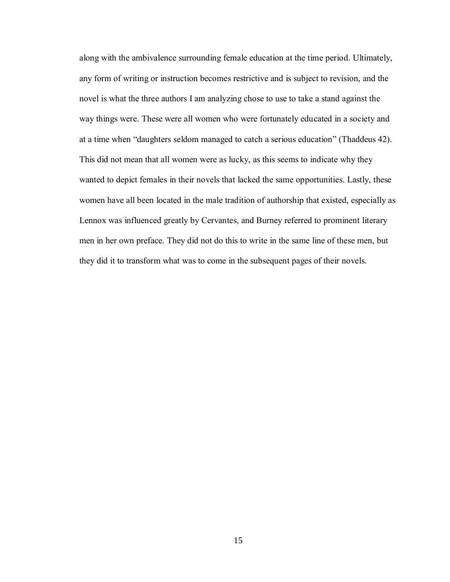along with the ambivalence surrounding female education at the time period. Ultimately, any form of writing or instruction becomes restrictive and is subject to revision, and the novel is what the three authors I am analyzing chose to use to take a stand against the way things were. These were all women who were fortunately educated in a society and at a time when "daughters seldom managed to catch a serious education" (Thaddeus 42). This did not mean that all women were as lucky, as this seems to indicate why they wanted to depict females in their novels that lacked the same opportunities. Lastly, these women have all been located in the male tradition of authorship that existed, especially as Lennox was influenced greatly by Cervantes, and Burney referred to prominent literary men in her own preface. They did not do this to write in the same line of these men, but they did it to transform what was to come in the subsequent pages of their novels.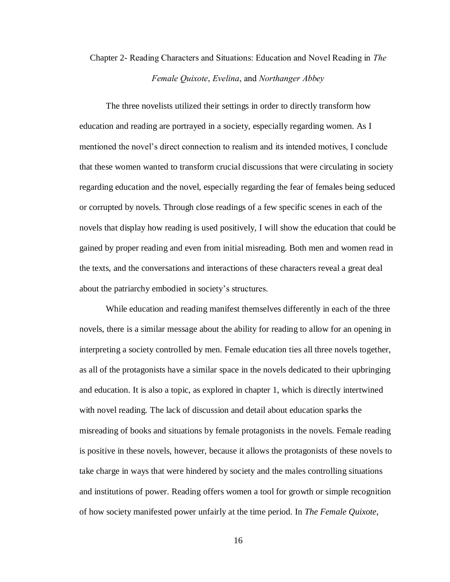# Chapter 2- Reading Characters and Situations: Education and Novel Reading in *The Female Quixote*, *Evelina*, and *Northanger Abbey*

The three novelists utilized their settings in order to directly transform how education and reading are portrayed in a society, especially regarding women. As I mentioned the novel's direct connection to realism and its intended motives, I conclude that these women wanted to transform crucial discussions that were circulating in society regarding education and the novel, especially regarding the fear of females being seduced or corrupted by novels. Through close readings of a few specific scenes in each of the novels that display how reading is used positively, I will show the education that could be gained by proper reading and even from initial misreading. Both men and women read in the texts, and the conversations and interactions of these characters reveal a great deal about the patriarchy embodied in society's structures.

While education and reading manifest themselves differently in each of the three novels, there is a similar message about the ability for reading to allow for an opening in interpreting a society controlled by men. Female education ties all three novels together, as all of the protagonists have a similar space in the novels dedicated to their upbringing and education. It is also a topic, as explored in chapter 1, which is directly intertwined with novel reading. The lack of discussion and detail about education sparks the misreading of books and situations by female protagonists in the novels. Female reading is positive in these novels, however, because it allows the protagonists of these novels to take charge in ways that were hindered by society and the males controlling situations and institutions of power. Reading offers women a tool for growth or simple recognition of how society manifested power unfairly at the time period. In *The Female Quixote*,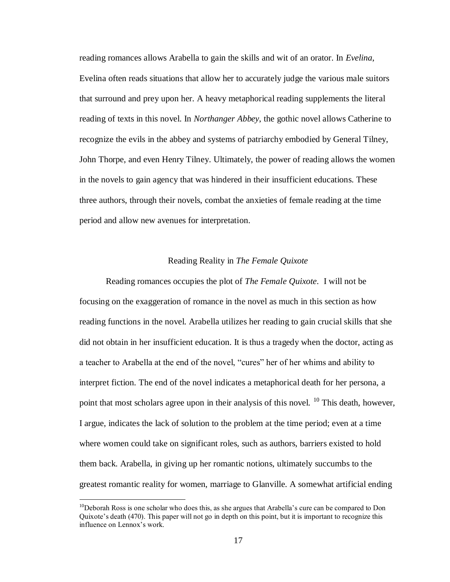reading romances allows Arabella to gain the skills and wit of an orator. In *Evelina*, Evelina often reads situations that allow her to accurately judge the various male suitors that surround and prey upon her. A heavy metaphorical reading supplements the literal reading of texts in this novel. In *Northanger Abbey*, the gothic novel allows Catherine to recognize the evils in the abbey and systems of patriarchy embodied by General Tilney, John Thorpe, and even Henry Tilney. Ultimately, the power of reading allows the women in the novels to gain agency that was hindered in their insufficient educations. These three authors, through their novels, combat the anxieties of female reading at the time period and allow new avenues for interpretation.

### Reading Reality in *The Female Quixote*

Reading romances occupies the plot of *The Female Quixote*. I will not be focusing on the exaggeration of romance in the novel as much in this section as how reading functions in the novel. Arabella utilizes her reading to gain crucial skills that she did not obtain in her insufficient education. It is thus a tragedy when the doctor, acting as a teacher to Arabella at the end of the novel, "cures" her of her whims and ability to interpret fiction. The end of the novel indicates a metaphorical death for her persona, a point that most scholars agree upon in their analysis of this novel. <sup>10</sup> This death, however, I argue, indicates the lack of solution to the problem at the time period; even at a time where women could take on significant roles, such as authors, barriers existed to hold them back. Arabella, in giving up her romantic notions, ultimately succumbs to the greatest romantic reality for women, marriage to Glanville. A somewhat artificial ending

<sup>&</sup>lt;sup>10</sup>Deborah Ross is one scholar who does this, as she argues that Arabella's cure can be compared to Don Quixote's death (470). This paper will not go in depth on this point, but it is important to recognize this influence on Lennox's work.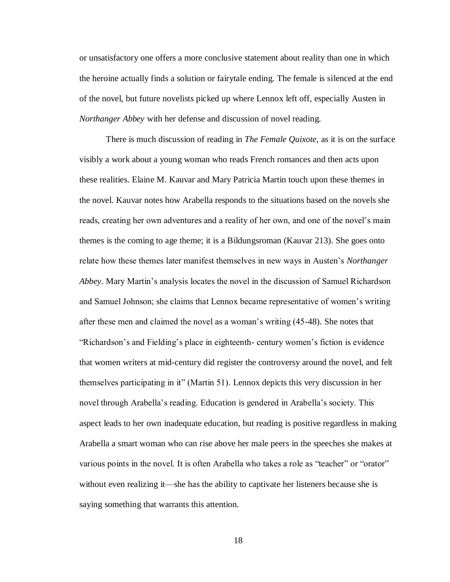or unsatisfactory one offers a more conclusive statement about reality than one in which the heroine actually finds a solution or fairytale ending. The female is silenced at the end of the novel, but future novelists picked up where Lennox left off, especially Austen in *Northanger Abbey* with her defense and discussion of novel reading.

There is much discussion of reading in *The Female Quixote*, as it is on the surface visibly a work about a young woman who reads French romances and then acts upon these realities. Elaine M. Kauvar and Mary Patricia Martin touch upon these themes in the novel. Kauvar notes how Arabella responds to the situations based on the novels she reads, creating her own adventures and a reality of her own, and one of the novel's main themes is the coming to age theme; it is a Bildungsroman (Kauvar 213). She goes onto relate how these themes later manifest themselves in new ways in Austen's *Northanger Abbey*. Mary Martin's analysis locates the novel in the discussion of Samuel Richardson and Samuel Johnson; she claims that Lennox became representative of women's writing after these men and claimed the novel as a woman's writing (45-48). She notes that "Richardson's and Fielding's place in eighteenth- century women's fiction is evidence that women writers at mid-century did register the controversy around the novel, and felt themselves participating in it" (Martin 51). Lennox depicts this very discussion in her novel through Arabella's reading. Education is gendered in Arabella's society. This aspect leads to her own inadequate education, but reading is positive regardless in making Arabella a smart woman who can rise above her male peers in the speeches she makes at various points in the novel. It is often Arabella who takes a role as "teacher" or "orator" without even realizing it—she has the ability to captivate her listeners because she is saying something that warrants this attention.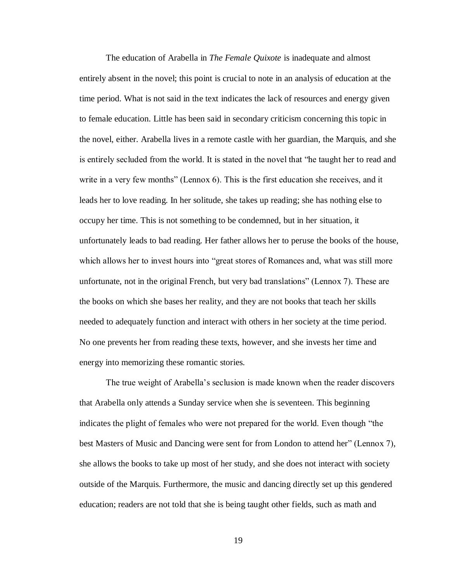The education of Arabella in *The Female Quixote* is inadequate and almost entirely absent in the novel; this point is crucial to note in an analysis of education at the time period. What is not said in the text indicates the lack of resources and energy given to female education. Little has been said in secondary criticism concerning this topic in the novel, either. Arabella lives in a remote castle with her guardian, the Marquis, and she is entirely secluded from the world. It is stated in the novel that "he taught her to read and write in a very few months" (Lennox 6). This is the first education she receives, and it leads her to love reading. In her solitude, she takes up reading; she has nothing else to occupy her time. This is not something to be condemned, but in her situation, it unfortunately leads to bad reading. Her father allows her to peruse the books of the house, which allows her to invest hours into "great stores of Romances and, what was still more unfortunate, not in the original French, but very bad translations" (Lennox 7). These are the books on which she bases her reality, and they are not books that teach her skills needed to adequately function and interact with others in her society at the time period. No one prevents her from reading these texts, however, and she invests her time and energy into memorizing these romantic stories.

The true weight of Arabella's seclusion is made known when the reader discovers that Arabella only attends a Sunday service when she is seventeen. This beginning indicates the plight of females who were not prepared for the world. Even though "the best Masters of Music and Dancing were sent for from London to attend her" (Lennox 7), she allows the books to take up most of her study, and she does not interact with society outside of the Marquis. Furthermore, the music and dancing directly set up this gendered education; readers are not told that she is being taught other fields, such as math and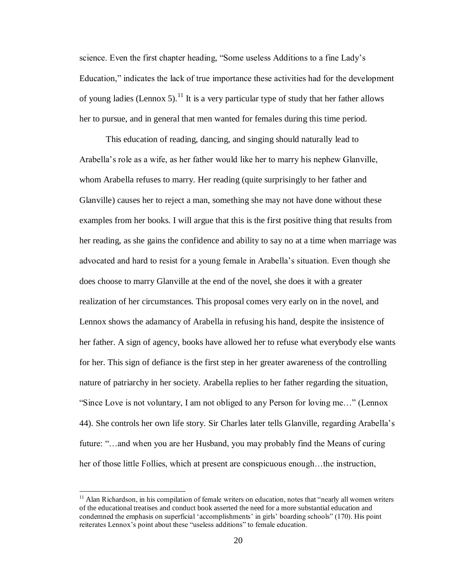science. Even the first chapter heading, "Some useless Additions to a fine Lady's Education," indicates the lack of true importance these activities had for the development of young ladies (Lennox 5).<sup>11</sup> It is a very particular type of study that her father allows her to pursue, and in general that men wanted for females during this time period.

This education of reading, dancing, and singing should naturally lead to Arabella's role as a wife, as her father would like her to marry his nephew Glanville, whom Arabella refuses to marry. Her reading (quite surprisingly to her father and Glanville) causes her to reject a man, something she may not have done without these examples from her books. I will argue that this is the first positive thing that results from her reading, as she gains the confidence and ability to say no at a time when marriage was advocated and hard to resist for a young female in Arabella's situation. Even though she does choose to marry Glanville at the end of the novel, she does it with a greater realization of her circumstances. This proposal comes very early on in the novel, and Lennox shows the adamancy of Arabella in refusing his hand, despite the insistence of her father. A sign of agency, books have allowed her to refuse what everybody else wants for her. This sign of defiance is the first step in her greater awareness of the controlling nature of patriarchy in her society. Arabella replies to her father regarding the situation, "Since Love is not voluntary, I am not obliged to any Person for loving me…" (Lennox 44). She controls her own life story. Sir Charles later tells Glanville, regarding Arabella's future: "…and when you are her Husband, you may probably find the Means of curing her of those little Follies, which at present are conspicuous enough…the instruction,

 $11$  Alan Richardson, in his compilation of female writers on education, notes that "nearly all women writers" of the educational treatises and conduct book asserted the need for a more substantial education and condemned the emphasis on superficial 'accomplishments' in girls' boarding schools" (170). His point reiterates Lennox's point about these "useless additions" to female education.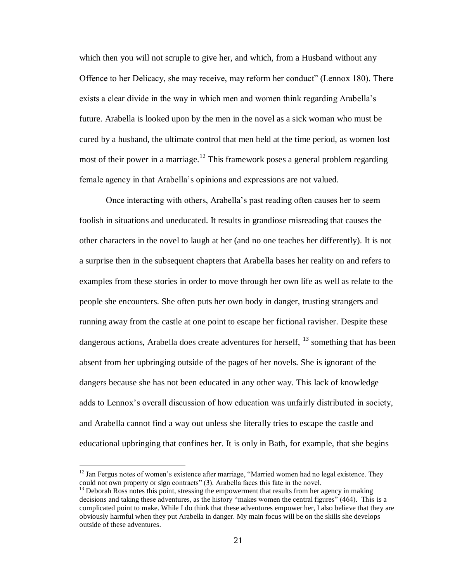which then you will not scruple to give her, and which, from a Husband without any Offence to her Delicacy, she may receive, may reform her conduct" (Lennox 180). There exists a clear divide in the way in which men and women think regarding Arabella's future. Arabella is looked upon by the men in the novel as a sick woman who must be cured by a husband, the ultimate control that men held at the time period, as women lost most of their power in a marriage.<sup>12</sup> This framework poses a general problem regarding female agency in that Arabella's opinions and expressions are not valued.

Once interacting with others, Arabella's past reading often causes her to seem foolish in situations and uneducated. It results in grandiose misreading that causes the other characters in the novel to laugh at her (and no one teaches her differently). It is not a surprise then in the subsequent chapters that Arabella bases her reality on and refers to examples from these stories in order to move through her own life as well as relate to the people she encounters. She often puts her own body in danger, trusting strangers and running away from the castle at one point to escape her fictional ravisher. Despite these dangerous actions, Arabella does create adventures for herself,  $^{13}$  something that has been absent from her upbringing outside of the pages of her novels. She is ignorant of the dangers because she has not been educated in any other way. This lack of knowledge adds to Lennox's overall discussion of how education was unfairly distributed in society, and Arabella cannot find a way out unless she literally tries to escape the castle and educational upbringing that confines her. It is only in Bath, for example, that she begins

 $12$  Jan Fergus notes of women's existence after marriage, "Married women had no legal existence. They could not own property or sign contracts" (3). Arabella faces this fate in the novel.

 $<sup>13</sup>$  Deborah Ross notes this point, stressing the empowerment that results from her agency in making</sup> decisions and taking these adventures, as the history "makes women the central figures" (464). This is a complicated point to make. While I do think that these adventures empower her, I also believe that they are obviously harmful when they put Arabella in danger. My main focus will be on the skills she develops outside of these adventures.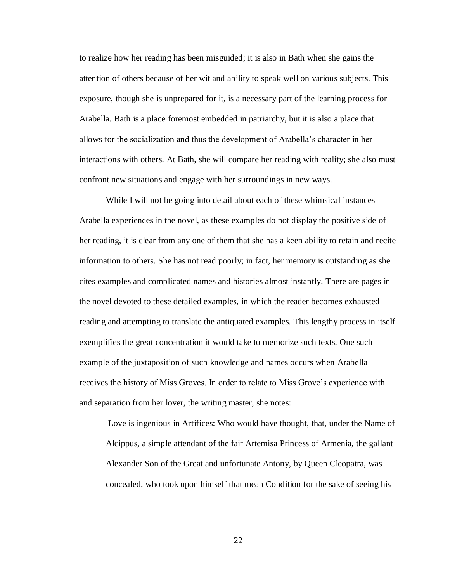to realize how her reading has been misguided; it is also in Bath when she gains the attention of others because of her wit and ability to speak well on various subjects. This exposure, though she is unprepared for it, is a necessary part of the learning process for Arabella. Bath is a place foremost embedded in patriarchy, but it is also a place that allows for the socialization and thus the development of Arabella's character in her interactions with others. At Bath, she will compare her reading with reality; she also must confront new situations and engage with her surroundings in new ways.

While I will not be going into detail about each of these whimsical instances Arabella experiences in the novel, as these examples do not display the positive side of her reading, it is clear from any one of them that she has a keen ability to retain and recite information to others. She has not read poorly; in fact, her memory is outstanding as she cites examples and complicated names and histories almost instantly. There are pages in the novel devoted to these detailed examples, in which the reader becomes exhausted reading and attempting to translate the antiquated examples. This lengthy process in itself exemplifies the great concentration it would take to memorize such texts. One such example of the juxtaposition of such knowledge and names occurs when Arabella receives the history of Miss Groves. In order to relate to Miss Grove's experience with and separation from her lover, the writing master, she notes:

Love is ingenious in Artifices: Who would have thought, that, under the Name of Alcippus, a simple attendant of the fair Artemisa Princess of Armenia, the gallant Alexander Son of the Great and unfortunate Antony, by Queen Cleopatra, was concealed, who took upon himself that mean Condition for the sake of seeing his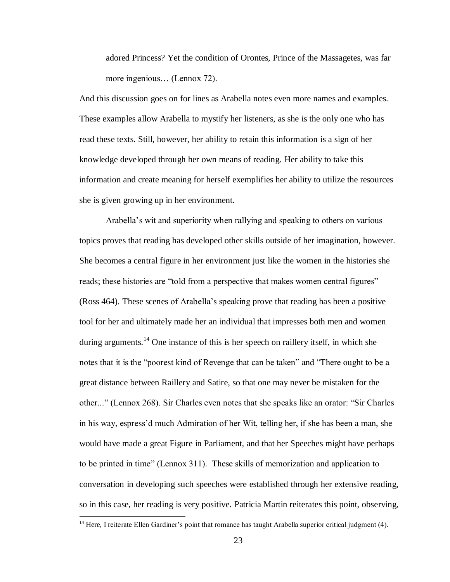adored Princess? Yet the condition of Orontes, Prince of the Massagetes, was far more ingenious… (Lennox 72).

And this discussion goes on for lines as Arabella notes even more names and examples. These examples allow Arabella to mystify her listeners, as she is the only one who has read these texts. Still, however, her ability to retain this information is a sign of her knowledge developed through her own means of reading. Her ability to take this information and create meaning for herself exemplifies her ability to utilize the resources she is given growing up in her environment.

Arabella's wit and superiority when rallying and speaking to others on various topics proves that reading has developed other skills outside of her imagination, however. She becomes a central figure in her environment just like the women in the histories she reads; these histories are "told from a perspective that makes women central figures" (Ross 464). These scenes of Arabella's speaking prove that reading has been a positive tool for her and ultimately made her an individual that impresses both men and women during arguments.<sup>14</sup> One instance of this is her speech on raillery itself, in which she notes that it is the "poorest kind of Revenge that can be taken" and "There ought to be a great distance between Raillery and Satire, so that one may never be mistaken for the other..." (Lennox 268). Sir Charles even notes that she speaks like an orator: "Sir Charles in his way, espress'd much Admiration of her Wit, telling her, if she has been a man, she would have made a great Figure in Parliament, and that her Speeches might have perhaps to be printed in time" (Lennox 311). These skills of memorization and application to conversation in developing such speeches were established through her extensive reading, so in this case, her reading is very positive. Patricia Martin reiterates this point, observing,

<sup>&</sup>lt;sup>14</sup> Here, I reiterate Ellen Gardiner's point that romance has taught Arabella superior critical judgment (4).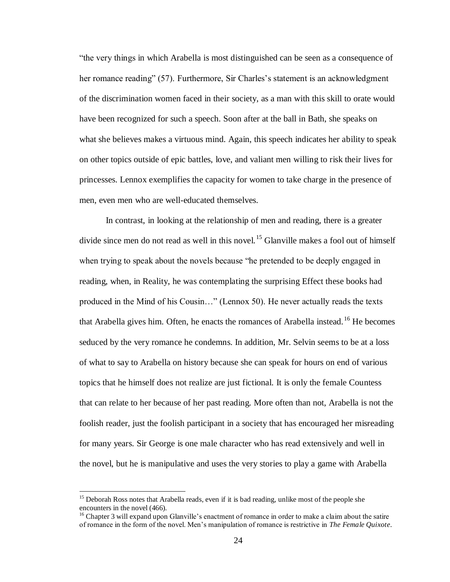"the very things in which Arabella is most distinguished can be seen as a consequence of her romance reading" (57). Furthermore, Sir Charles's statement is an acknowledgment of the discrimination women faced in their society, as a man with this skill to orate would have been recognized for such a speech. Soon after at the ball in Bath, she speaks on what she believes makes a virtuous mind. Again, this speech indicates her ability to speak on other topics outside of epic battles, love, and valiant men willing to risk their lives for princesses. Lennox exemplifies the capacity for women to take charge in the presence of men, even men who are well-educated themselves.

In contrast, in looking at the relationship of men and reading, there is a greater divide since men do not read as well in this novel.<sup>15</sup> Glanville makes a fool out of himself when trying to speak about the novels because "he pretended to be deeply engaged in reading, when, in Reality, he was contemplating the surprising Effect these books had produced in the Mind of his Cousin…" (Lennox 50). He never actually reads the texts that Arabella gives him. Often, he enacts the romances of Arabella instead. <sup>16</sup> He becomes seduced by the very romance he condemns. In addition, Mr. Selvin seems to be at a loss of what to say to Arabella on history because she can speak for hours on end of various topics that he himself does not realize are just fictional. It is only the female Countess that can relate to her because of her past reading. More often than not, Arabella is not the foolish reader, just the foolish participant in a society that has encouraged her misreading for many years. Sir George is one male character who has read extensively and well in the novel, but he is manipulative and uses the very stories to play a game with Arabella

<sup>&</sup>lt;sup>15</sup> Deborah Ross notes that Arabella reads, even if it is bad reading, unlike most of the people she encounters in the novel (466).

<sup>&</sup>lt;sup>16</sup> Chapter 3 will expand upon Glanville's enactment of romance in order to make a claim about the satire of romance in the form of the novel. Men's manipulation of romance is restrictive in *The Female Quixote*.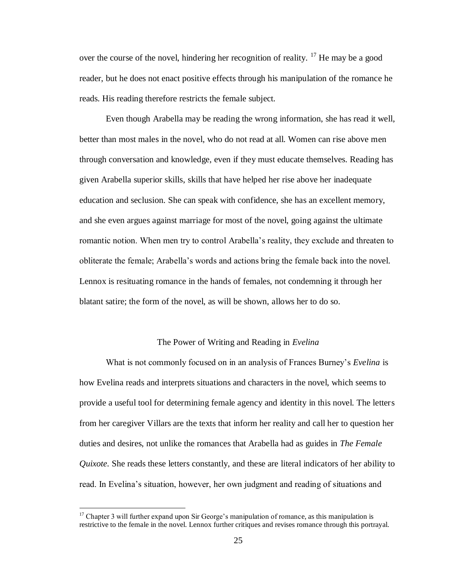over the course of the novel, hindering her recognition of reality.  $^{17}$  He may be a good reader, but he does not enact positive effects through his manipulation of the romance he reads. His reading therefore restricts the female subject.

Even though Arabella may be reading the wrong information, she has read it well, better than most males in the novel, who do not read at all. Women can rise above men through conversation and knowledge, even if they must educate themselves. Reading has given Arabella superior skills, skills that have helped her rise above her inadequate education and seclusion. She can speak with confidence, she has an excellent memory, and she even argues against marriage for most of the novel, going against the ultimate romantic notion. When men try to control Arabella's reality, they exclude and threaten to obliterate the female; Arabella's words and actions bring the female back into the novel. Lennox is resituating romance in the hands of females, not condemning it through her blatant satire; the form of the novel, as will be shown, allows her to do so.

### The Power of Writing and Reading in *Evelina*

What is not commonly focused on in an analysis of Frances Burney's *Evelina* is how Evelina reads and interprets situations and characters in the novel, which seems to provide a useful tool for determining female agency and identity in this novel. The letters from her caregiver Villars are the texts that inform her reality and call her to question her duties and desires, not unlike the romances that Arabella had as guides in *The Female Quixote*. She reads these letters constantly, and these are literal indicators of her ability to read. In Evelina's situation, however, her own judgment and reading of situations and

 $17$  Chapter 3 will further expand upon Sir George's manipulation of romance, as this manipulation is restrictive to the female in the novel. Lennox further critiques and revises romance through this portrayal.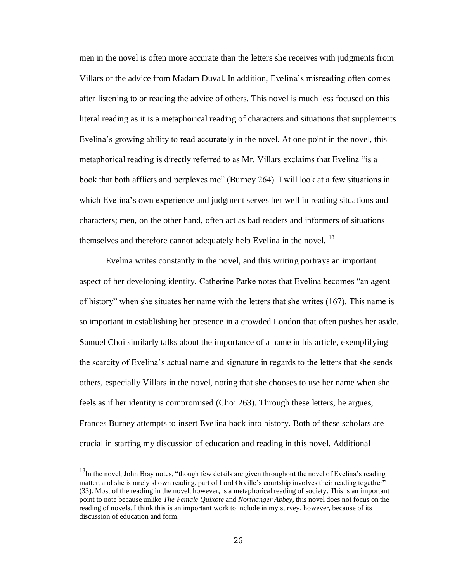men in the novel is often more accurate than the letters she receives with judgments from Villars or the advice from Madam Duval. In addition, Evelina's misreading often comes after listening to or reading the advice of others. This novel is much less focused on this literal reading as it is a metaphorical reading of characters and situations that supplements Evelina's growing ability to read accurately in the novel. At one point in the novel, this metaphorical reading is directly referred to as Mr. Villars exclaims that Evelina "is a book that both afflicts and perplexes me" (Burney 264). I will look at a few situations in which Evelina's own experience and judgment serves her well in reading situations and characters; men, on the other hand, often act as bad readers and informers of situations themselves and therefore cannot adequately help Evelina in the novel.<sup>18</sup>

Evelina writes constantly in the novel, and this writing portrays an important aspect of her developing identity. Catherine Parke notes that Evelina becomes "an agent of history" when she situates her name with the letters that she writes (167). This name is so important in establishing her presence in a crowded London that often pushes her aside. Samuel Choi similarly talks about the importance of a name in his article, exemplifying the scarcity of Evelina's actual name and signature in regards to the letters that she sends others, especially Villars in the novel, noting that she chooses to use her name when she feels as if her identity is compromised (Choi 263). Through these letters, he argues, Frances Burney attempts to insert Evelina back into history. Both of these scholars are crucial in starting my discussion of education and reading in this novel. Additional

 $\overline{a}$ 

<sup>&</sup>lt;sup>18</sup>In the novel, John Bray notes, "though few details are given throughout the novel of Evelina's reading matter, and she is rarely shown reading, part of Lord Orville's courtship involves their reading together" (33). Most of the reading in the novel, however, is a metaphorical reading of society. This is an important point to note because unlike *The Female Quixote* and *Northanger Abbey*, this novel does not focus on the reading of novels. I think this is an important work to include in my survey, however, because of its discussion of education and form.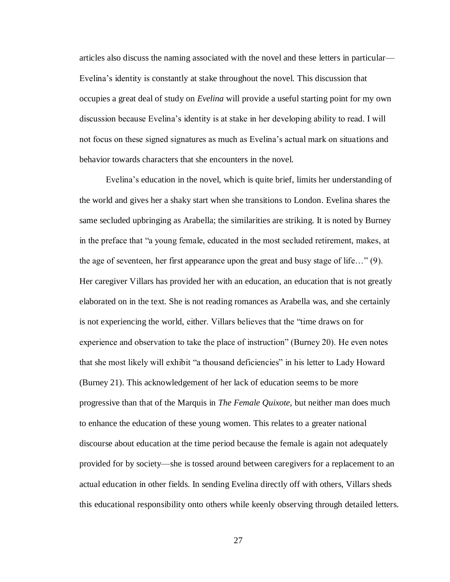articles also discuss the naming associated with the novel and these letters in particular— Evelina's identity is constantly at stake throughout the novel. This discussion that occupies a great deal of study on *Evelina* will provide a useful starting point for my own discussion because Evelina's identity is at stake in her developing ability to read. I will not focus on these signed signatures as much as Evelina's actual mark on situations and behavior towards characters that she encounters in the novel.

Evelina's education in the novel, which is quite brief, limits her understanding of the world and gives her a shaky start when she transitions to London. Evelina shares the same secluded upbringing as Arabella; the similarities are striking. It is noted by Burney in the preface that "a young female, educated in the most secluded retirement, makes, at the age of seventeen, her first appearance upon the great and busy stage of life…" (9). Her caregiver Villars has provided her with an education, an education that is not greatly elaborated on in the text. She is not reading romances as Arabella was, and she certainly is not experiencing the world, either. Villars believes that the "time draws on for experience and observation to take the place of instruction" (Burney 20). He even notes that she most likely will exhibit "a thousand deficiencies" in his letter to Lady Howard (Burney 21). This acknowledgement of her lack of education seems to be more progressive than that of the Marquis in *The Female Quixote*, but neither man does much to enhance the education of these young women. This relates to a greater national discourse about education at the time period because the female is again not adequately provided for by society—she is tossed around between caregivers for a replacement to an actual education in other fields. In sending Evelina directly off with others, Villars sheds this educational responsibility onto others while keenly observing through detailed letters.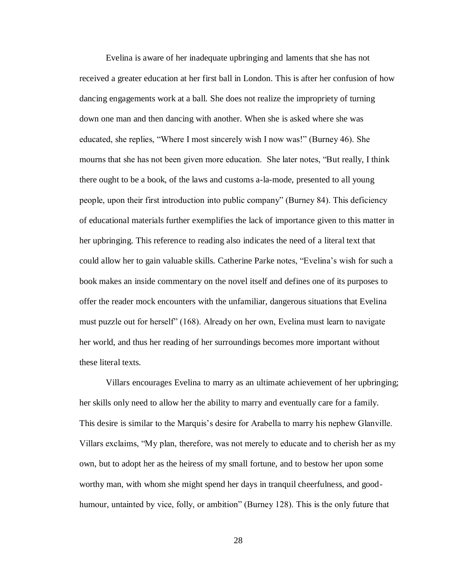Evelina is aware of her inadequate upbringing and laments that she has not received a greater education at her first ball in London. This is after her confusion of how dancing engagements work at a ball. She does not realize the impropriety of turning down one man and then dancing with another. When she is asked where she was educated, she replies, "Where I most sincerely wish I now was!" (Burney 46). She mourns that she has not been given more education. She later notes, "But really, I think there ought to be a book, of the laws and customs a-la-mode, presented to all young people, upon their first introduction into public company" (Burney 84). This deficiency of educational materials further exemplifies the lack of importance given to this matter in her upbringing. This reference to reading also indicates the need of a literal text that could allow her to gain valuable skills. Catherine Parke notes, "Evelina's wish for such a book makes an inside commentary on the novel itself and defines one of its purposes to offer the reader mock encounters with the unfamiliar, dangerous situations that Evelina must puzzle out for herself" (168). Already on her own, Evelina must learn to navigate her world, and thus her reading of her surroundings becomes more important without these literal texts.

Villars encourages Evelina to marry as an ultimate achievement of her upbringing; her skills only need to allow her the ability to marry and eventually care for a family. This desire is similar to the Marquis's desire for Arabella to marry his nephew Glanville. Villars exclaims, "My plan, therefore, was not merely to educate and to cherish her as my own, but to adopt her as the heiress of my small fortune, and to bestow her upon some worthy man, with whom she might spend her days in tranquil cheerfulness, and goodhumour, untainted by vice, folly, or ambition" (Burney 128). This is the only future that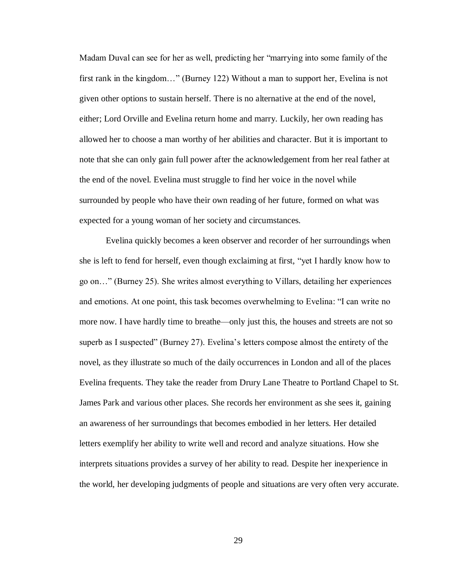Madam Duval can see for her as well, predicting her "marrying into some family of the first rank in the kingdom…" (Burney 122) Without a man to support her, Evelina is not given other options to sustain herself. There is no alternative at the end of the novel, either; Lord Orville and Evelina return home and marry. Luckily, her own reading has allowed her to choose a man worthy of her abilities and character. But it is important to note that she can only gain full power after the acknowledgement from her real father at the end of the novel. Evelina must struggle to find her voice in the novel while surrounded by people who have their own reading of her future, formed on what was expected for a young woman of her society and circumstances.

Evelina quickly becomes a keen observer and recorder of her surroundings when she is left to fend for herself, even though exclaiming at first, "yet I hardly know how to go on…" (Burney 25). She writes almost everything to Villars, detailing her experiences and emotions. At one point, this task becomes overwhelming to Evelina: "I can write no more now. I have hardly time to breathe—only just this, the houses and streets are not so superb as I suspected" (Burney 27). Evelina's letters compose almost the entirety of the novel, as they illustrate so much of the daily occurrences in London and all of the places Evelina frequents. They take the reader from Drury Lane Theatre to Portland Chapel to St. James Park and various other places. She records her environment as she sees it, gaining an awareness of her surroundings that becomes embodied in her letters. Her detailed letters exemplify her ability to write well and record and analyze situations. How she interprets situations provides a survey of her ability to read. Despite her inexperience in the world, her developing judgments of people and situations are very often very accurate.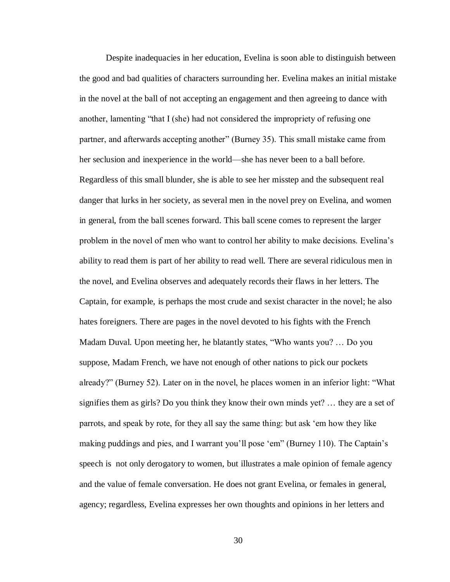Despite inadequacies in her education, Evelina is soon able to distinguish between the good and bad qualities of characters surrounding her. Evelina makes an initial mistake in the novel at the ball of not accepting an engagement and then agreeing to dance with another, lamenting "that I (she) had not considered the impropriety of refusing one partner, and afterwards accepting another" (Burney 35). This small mistake came from her seclusion and inexperience in the world—she has never been to a ball before. Regardless of this small blunder, she is able to see her misstep and the subsequent real danger that lurks in her society, as several men in the novel prey on Evelina, and women in general, from the ball scenes forward. This ball scene comes to represent the larger problem in the novel of men who want to control her ability to make decisions. Evelina's ability to read them is part of her ability to read well. There are several ridiculous men in the novel, and Evelina observes and adequately records their flaws in her letters. The Captain, for example, is perhaps the most crude and sexist character in the novel; he also hates foreigners. There are pages in the novel devoted to his fights with the French Madam Duval. Upon meeting her, he blatantly states, "Who wants you? … Do you suppose, Madam French, we have not enough of other nations to pick our pockets already?" (Burney 52). Later on in the novel, he places women in an inferior light: "What signifies them as girls? Do you think they know their own minds yet? … they are a set of parrots, and speak by rote, for they all say the same thing: but ask 'em how they like making puddings and pies, and I warrant you'll pose 'em" (Burney 110). The Captain's speech is not only derogatory to women, but illustrates a male opinion of female agency and the value of female conversation. He does not grant Evelina, or females in general, agency; regardless, Evelina expresses her own thoughts and opinions in her letters and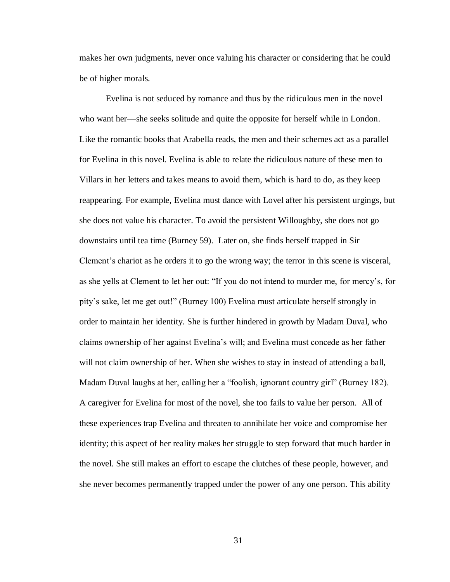makes her own judgments, never once valuing his character or considering that he could be of higher morals.

Evelina is not seduced by romance and thus by the ridiculous men in the novel who want her—she seeks solitude and quite the opposite for herself while in London. Like the romantic books that Arabella reads, the men and their schemes act as a parallel for Evelina in this novel. Evelina is able to relate the ridiculous nature of these men to Villars in her letters and takes means to avoid them, which is hard to do, as they keep reappearing. For example, Evelina must dance with Lovel after his persistent urgings, but she does not value his character. To avoid the persistent Willoughby, she does not go downstairs until tea time (Burney 59). Later on, she finds herself trapped in Sir Clement's chariot as he orders it to go the wrong way; the terror in this scene is visceral, as she yells at Clement to let her out: "If you do not intend to murder me, for mercy's, for pity's sake, let me get out!" (Burney 100) Evelina must articulate herself strongly in order to maintain her identity. She is further hindered in growth by Madam Duval, who claims ownership of her against Evelina's will; and Evelina must concede as her father will not claim ownership of her. When she wishes to stay in instead of attending a ball, Madam Duval laughs at her, calling her a "foolish, ignorant country girl" (Burney 182). A caregiver for Evelina for most of the novel, she too fails to value her person. All of these experiences trap Evelina and threaten to annihilate her voice and compromise her identity; this aspect of her reality makes her struggle to step forward that much harder in the novel. She still makes an effort to escape the clutches of these people, however, and she never becomes permanently trapped under the power of any one person. This ability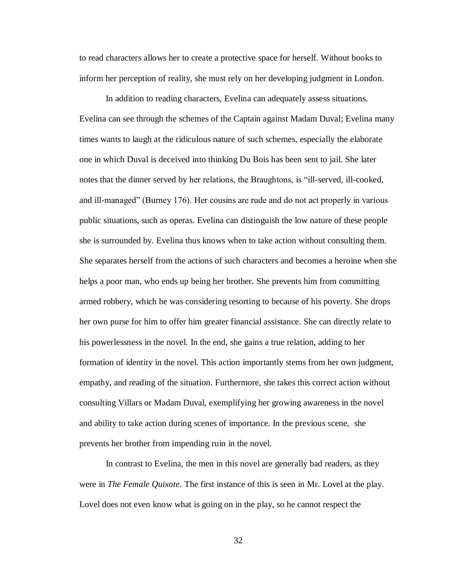to read characters allows her to create a protective space for herself. Without books to inform her perception of reality, she must rely on her developing judgment in London.

In addition to reading characters, Evelina can adequately assess situations. Evelina can see through the schemes of the Captain against Madam Duval; Evelina many times wants to laugh at the ridiculous nature of such schemes, especially the elaborate one in which Duval is deceived into thinking Du Bois has been sent to jail. She later notes that the dinner served by her relations, the Braughtons, is "ill-served, ill-cooked, and ill-managed" (Burney 176). Her cousins are rude and do not act properly in various public situations, such as operas. Evelina can distinguish the low nature of these people she is surrounded by. Evelina thus knows when to take action without consulting them. She separates herself from the actions of such characters and becomes a heroine when she helps a poor man, who ends up being her brother. She prevents him from committing armed robbery, which he was considering resorting to because of his poverty. She drops her own purse for him to offer him greater financial assistance. She can directly relate to his powerlessness in the novel. In the end, she gains a true relation, adding to her formation of identity in the novel. This action importantly stems from her own judgment, empathy, and reading of the situation. Furthermore, she takes this correct action without consulting Villars or Madam Duval, exemplifying her growing awareness in the novel and ability to take action during scenes of importance. In the previous scene, she prevents her brother from impending ruin in the novel.

In contrast to Evelina, the men in this novel are generally bad readers, as they were in *The Female Quixote*. The first instance of this is seen in Mr. Lovel at the play. Lovel does not even know what is going on in the play, so he cannot respect the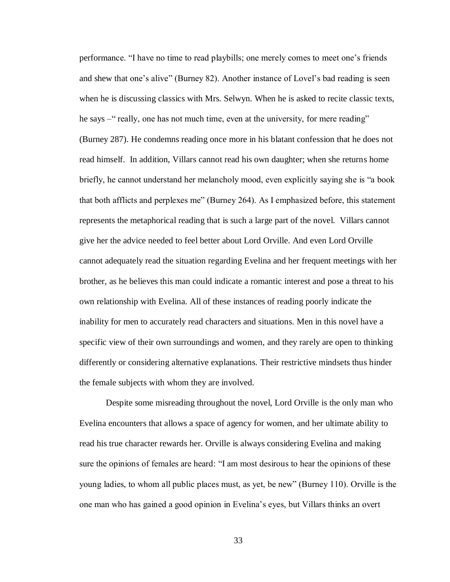performance. "I have no time to read playbills; one merely comes to meet one's friends and shew that one's alive" (Burney 82). Another instance of Lovel's bad reading is seen when he is discussing classics with Mrs. Selwyn. When he is asked to recite classic texts, he says –" really, one has not much time, even at the university, for mere reading" (Burney 287). He condemns reading once more in his blatant confession that he does not read himself. In addition, Villars cannot read his own daughter; when she returns home briefly, he cannot understand her melancholy mood, even explicitly saying she is "a book that both afflicts and perplexes me" (Burney 264). As I emphasized before, this statement represents the metaphorical reading that is such a large part of the novel. Villars cannot give her the advice needed to feel better about Lord Orville. And even Lord Orville cannot adequately read the situation regarding Evelina and her frequent meetings with her brother, as he believes this man could indicate a romantic interest and pose a threat to his own relationship with Evelina. All of these instances of reading poorly indicate the inability for men to accurately read characters and situations. Men in this novel have a specific view of their own surroundings and women, and they rarely are open to thinking differently or considering alternative explanations. Their restrictive mindsets thus hinder the female subjects with whom they are involved.

Despite some misreading throughout the novel, Lord Orville is the only man who Evelina encounters that allows a space of agency for women, and her ultimate ability to read his true character rewards her. Orville is always considering Evelina and making sure the opinions of females are heard: "I am most desirous to hear the opinions of these young ladies, to whom all public places must, as yet, be new" (Burney 110). Orville is the one man who has gained a good opinion in Evelina's eyes, but Villars thinks an overt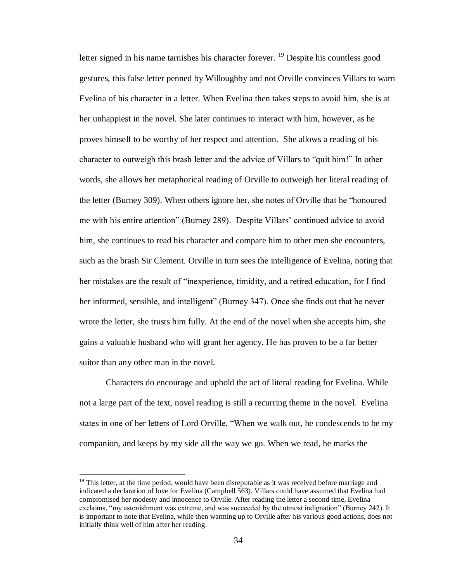letter signed in his name tarnishes his character forever.  $^{19}$  Despite his countless good gestures, this false letter penned by Willoughby and not Orville convinces Villars to warn Evelina of his character in a letter. When Evelina then takes steps to avoid him, she is at her unhappiest in the novel. She later continues to interact with him, however, as he proves himself to be worthy of her respect and attention. She allows a reading of his character to outweigh this brash letter and the advice of Villars to "quit him!" In other words, she allows her metaphorical reading of Orville to outweigh her literal reading of the letter (Burney 309). When others ignore her, she notes of Orville that he "honoured me with his entire attention" (Burney 289). Despite Villars' continued advice to avoid him, she continues to read his character and compare him to other men she encounters, such as the brash Sir Clement. Orville in turn sees the intelligence of Evelina, noting that her mistakes are the result of "inexperience, timidity, and a retired education, for I find her informed, sensible, and intelligent" (Burney 347). Once she finds out that he never wrote the letter, she trusts him fully. At the end of the novel when she accepts him, she gains a valuable husband who will grant her agency. He has proven to be a far better suitor than any other man in the novel.

Characters do encourage and uphold the act of literal reading for Evelina. While not a large part of the text, novel reading is still a recurring theme in the novel. Evelina states in one of her letters of Lord Orville, "When we walk out, he condescends to be my companion, and keeps by my side all the way we go. When we read, he marks the

 $\overline{a}$ 

 $19$  This letter, at the time period, would have been disreputable as it was received before marriage and indicated a declaration of love for Evelina (Campbell 563). Villars could have assumed that Evelina had compromised her modesty and innocence to Orville. After reading the letter a second time, Evelina exclaims, "my astonishment was extreme, and was succeeded by the utmost indignation" (Burney 242). It is important to note that Evelina, while then warming up to Orville after his various good actions, does not initially think well of him after her reading.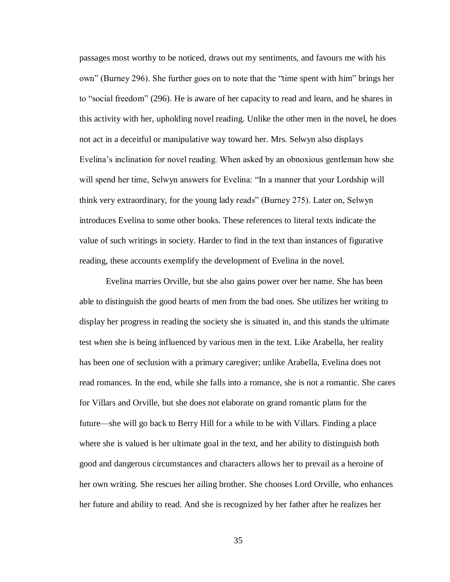passages most worthy to be noticed, draws out my sentiments, and favours me with his own" (Burney 296). She further goes on to note that the "time spent with him" brings her to "social freedom" (296). He is aware of her capacity to read and learn, and he shares in this activity with her, upholding novel reading. Unlike the other men in the novel, he does not act in a deceitful or manipulative way toward her. Mrs. Selwyn also displays Evelina's inclination for novel reading. When asked by an obnoxious gentleman how she will spend her time, Selwyn answers for Evelina: "In a manner that your Lordship will think very extraordinary, for the young lady reads" (Burney 275). Later on, Selwyn introduces Evelina to some other books. These references to literal texts indicate the value of such writings in society. Harder to find in the text than instances of figurative reading, these accounts exemplify the development of Evelina in the novel.

Evelina marries Orville, but she also gains power over her name. She has been able to distinguish the good hearts of men from the bad ones. She utilizes her writing to display her progress in reading the society she is situated in, and this stands the ultimate test when she is being influenced by various men in the text. Like Arabella, her reality has been one of seclusion with a primary caregiver; unlike Arabella, Evelina does not read romances. In the end, while she falls into a romance, she is not a romantic. She cares for Villars and Orville, but she does not elaborate on grand romantic plans for the future—she will go back to Berry Hill for a while to be with Villars. Finding a place where she is valued is her ultimate goal in the text, and her ability to distinguish both good and dangerous circumstances and characters allows her to prevail as a heroine of her own writing. She rescues her ailing brother. She chooses Lord Orville, who enhances her future and ability to read. And she is recognized by her father after he realizes her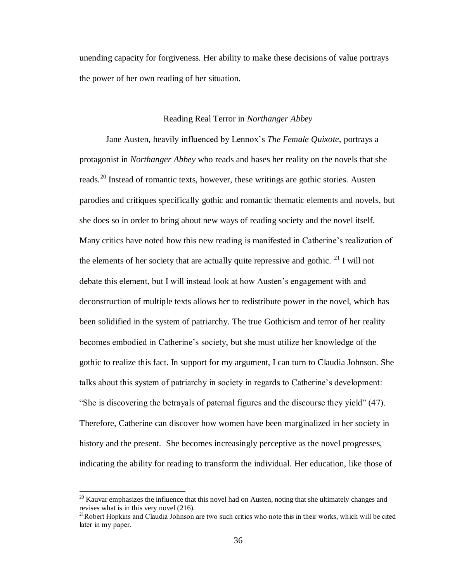unending capacity for forgiveness. Her ability to make these decisions of value portrays the power of her own reading of her situation.

## Reading Real Terror in *Northanger Abbey*

Jane Austen, heavily influenced by Lennox's *The Female Quixote,* portrays a protagonist in *Northanger Abbey* who reads and bases her reality on the novels that she reads.<sup>20</sup> Instead of romantic texts, however, these writings are gothic stories. Austen parodies and critiques specifically gothic and romantic thematic elements and novels, but she does so in order to bring about new ways of reading society and the novel itself. Many critics have noted how this new reading is manifested in Catherine's realization of the elements of her society that are actually quite repressive and gothic.  $^{21}$  I will not debate this element, but I will instead look at how Austen's engagement with and deconstruction of multiple texts allows her to redistribute power in the novel, which has been solidified in the system of patriarchy. The true Gothicism and terror of her reality becomes embodied in Catherine's society, but she must utilize her knowledge of the gothic to realize this fact. In support for my argument, I can turn to Claudia Johnson. She talks about this system of patriarchy in society in regards to Catherine's development: "She is discovering the betrayals of paternal figures and the discourse they yield" (47). Therefore, Catherine can discover how women have been marginalized in her society in history and the present. She becomes increasingly perceptive as the novel progresses, indicating the ability for reading to transform the individual. Her education, like those of

 $\overline{a}$ 

 $20$  Kauvar emphasizes the influence that this novel had on Austen, noting that she ultimately changes and revises what is in this very novel (216).

<sup>&</sup>lt;sup>21</sup>Robert Hopkins and Claudia Johnson are two such critics who note this in their works, which will be cited later in my paper.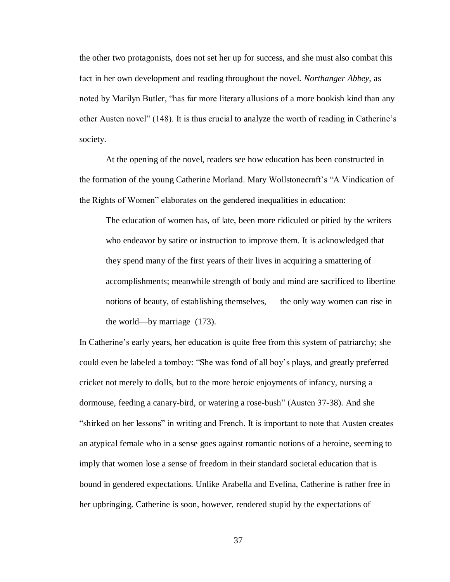the other two protagonists, does not set her up for success, and she must also combat this fact in her own development and reading throughout the novel. *Northanger Abbey*, as noted by Marilyn Butler, "has far more literary allusions of a more bookish kind than any other Austen novel" (148). It is thus crucial to analyze the worth of reading in Catherine's society.

At the opening of the novel, readers see how education has been constructed in the formation of the young Catherine Morland. Mary Wollstonecraft's "A Vindication of the Rights of Women" elaborates on the gendered inequalities in education:

The education of women has, of late, been more ridiculed or pitied by the writers who endeavor by satire or instruction to improve them. It is acknowledged that they spend many of the first years of their lives in acquiring a smattering of accomplishments; meanwhile strength of body and mind are sacrificed to libertine notions of beauty, of establishing themselves, — the only way women can rise in the world—by marriage (173).

In Catherine's early years, her education is quite free from this system of patriarchy; she could even be labeled a tomboy: "She was fond of all boy's plays, and greatly preferred cricket not merely to dolls, but to the more heroic enjoyments of infancy, nursing a dormouse, feeding a canary-bird, or watering a rose-bush" (Austen 37-38). And she "shirked on her lessons" in writing and French. It is important to note that Austen creates an atypical female who in a sense goes against romantic notions of a heroine, seeming to imply that women lose a sense of freedom in their standard societal education that is bound in gendered expectations. Unlike Arabella and Evelina, Catherine is rather free in her upbringing. Catherine is soon, however, rendered stupid by the expectations of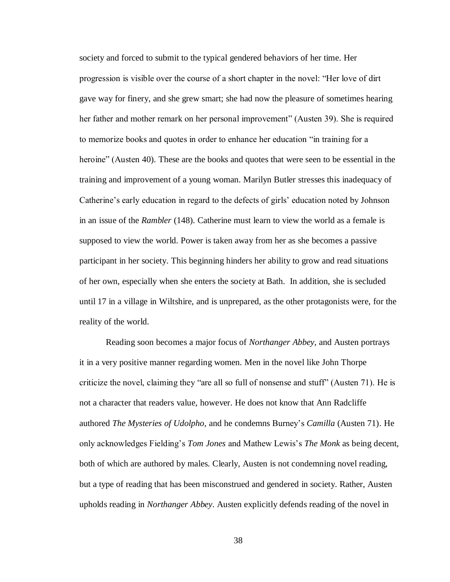society and forced to submit to the typical gendered behaviors of her time. Her progression is visible over the course of a short chapter in the novel: "Her love of dirt gave way for finery, and she grew smart; she had now the pleasure of sometimes hearing her father and mother remark on her personal improvement" (Austen 39). She is required to memorize books and quotes in order to enhance her education "in training for a heroine" (Austen 40). These are the books and quotes that were seen to be essential in the training and improvement of a young woman. Marilyn Butler stresses this inadequacy of Catherine's early education in regard to the defects of girls' education noted by Johnson in an issue of the *Rambler* (148). Catherine must learn to view the world as a female is supposed to view the world. Power is taken away from her as she becomes a passive participant in her society. This beginning hinders her ability to grow and read situations of her own, especially when she enters the society at Bath. In addition, she is secluded until 17 in a village in Wiltshire, and is unprepared, as the other protagonists were, for the reality of the world.

Reading soon becomes a major focus of *Northanger Abbey*, and Austen portrays it in a very positive manner regarding women. Men in the novel like John Thorpe criticize the novel, claiming they "are all so full of nonsense and stuff" (Austen 71). He is not a character that readers value, however. He does not know that Ann Radcliffe authored *The Mysteries of Udolpho,* and he condemns Burney's *Camilla* (Austen 71). He only acknowledges Fielding's *Tom Jones* and Mathew Lewis's *The Monk* as being decent, both of which are authored by males. Clearly, Austen is not condemning novel reading, but a type of reading that has been misconstrued and gendered in society. Rather, Austen upholds reading in *Northanger Abbey*. Austen explicitly defends reading of the novel in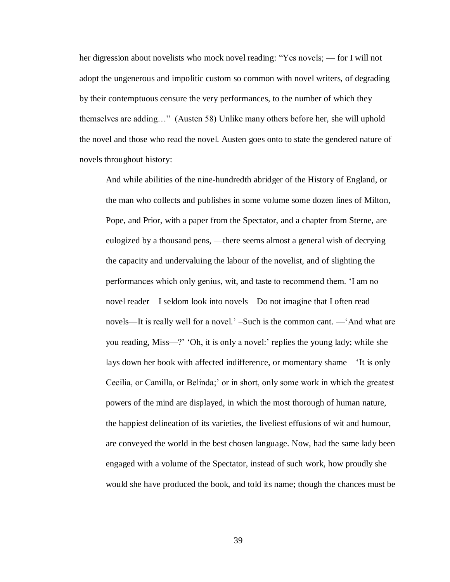her digression about novelists who mock novel reading: "Yes novels; — for I will not adopt the ungenerous and impolitic custom so common with novel writers, of degrading by their contemptuous censure the very performances, to the number of which they themselves are adding…" (Austen 58) Unlike many others before her, she will uphold the novel and those who read the novel. Austen goes onto to state the gendered nature of novels throughout history:

And while abilities of the nine-hundredth abridger of the History of England, or the man who collects and publishes in some volume some dozen lines of Milton, Pope, and Prior, with a paper from the Spectator, and a chapter from Sterne, are eulogized by a thousand pens, —there seems almost a general wish of decrying the capacity and undervaluing the labour of the novelist, and of slighting the performances which only genius, wit, and taste to recommend them. 'I am no novel reader—I seldom look into novels—Do not imagine that I often read novels—It is really well for a novel.' –Such is the common cant. —'And what are you reading, Miss—?' 'Oh, it is only a novel:' replies the young lady; while she lays down her book with affected indifference, or momentary shame—'It is only Cecilia, or Camilla, or Belinda;' or in short, only some work in which the greatest powers of the mind are displayed, in which the most thorough of human nature, the happiest delineation of its varieties, the liveliest effusions of wit and humour, are conveyed the world in the best chosen language. Now, had the same lady been engaged with a volume of the Spectator, instead of such work, how proudly she would she have produced the book, and told its name; though the chances must be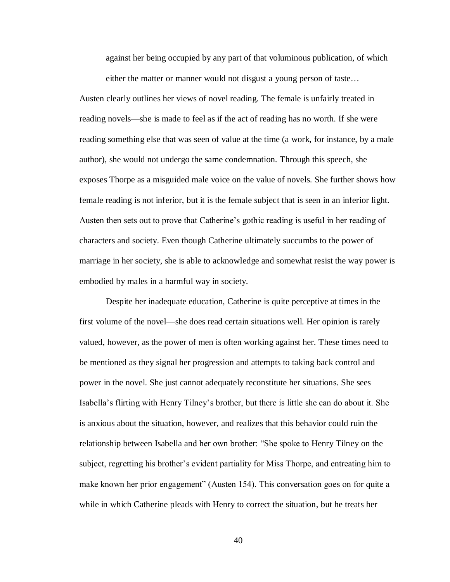against her being occupied by any part of that voluminous publication, of which either the matter or manner would not disgust a young person of taste…

Austen clearly outlines her views of novel reading. The female is unfairly treated in reading novels—she is made to feel as if the act of reading has no worth. If she were reading something else that was seen of value at the time (a work, for instance, by a male author), she would not undergo the same condemnation. Through this speech, she exposes Thorpe as a misguided male voice on the value of novels. She further shows how female reading is not inferior, but it is the female subject that is seen in an inferior light. Austen then sets out to prove that Catherine's gothic reading is useful in her reading of characters and society. Even though Catherine ultimately succumbs to the power of marriage in her society, she is able to acknowledge and somewhat resist the way power is embodied by males in a harmful way in society.

Despite her inadequate education, Catherine is quite perceptive at times in the first volume of the novel—she does read certain situations well. Her opinion is rarely valued, however, as the power of men is often working against her. These times need to be mentioned as they signal her progression and attempts to taking back control and power in the novel. She just cannot adequately reconstitute her situations. She sees Isabella's flirting with Henry Tilney's brother, but there is little she can do about it. She is anxious about the situation, however, and realizes that this behavior could ruin the relationship between Isabella and her own brother: "She spoke to Henry Tilney on the subject, regretting his brother's evident partiality for Miss Thorpe, and entreating him to make known her prior engagement" (Austen 154). This conversation goes on for quite a while in which Catherine pleads with Henry to correct the situation, but he treats her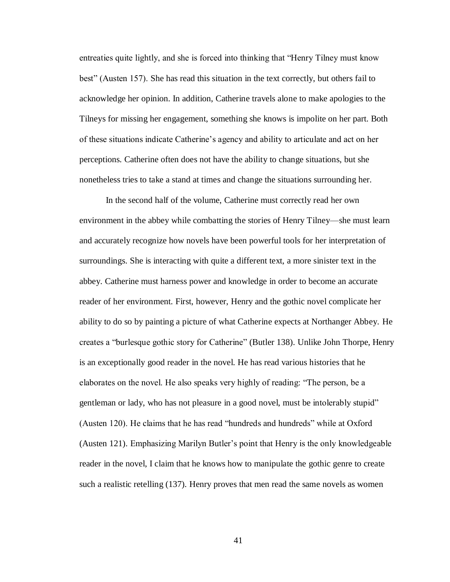entreaties quite lightly, and she is forced into thinking that "Henry Tilney must know best" (Austen 157). She has read this situation in the text correctly, but others fail to acknowledge her opinion. In addition, Catherine travels alone to make apologies to the Tilneys for missing her engagement, something she knows is impolite on her part. Both of these situations indicate Catherine's agency and ability to articulate and act on her perceptions. Catherine often does not have the ability to change situations, but she nonetheless tries to take a stand at times and change the situations surrounding her.

In the second half of the volume, Catherine must correctly read her own environment in the abbey while combatting the stories of Henry Tilney—she must learn and accurately recognize how novels have been powerful tools for her interpretation of surroundings. She is interacting with quite a different text, a more sinister text in the abbey. Catherine must harness power and knowledge in order to become an accurate reader of her environment. First, however, Henry and the gothic novel complicate her ability to do so by painting a picture of what Catherine expects at Northanger Abbey. He creates a "burlesque gothic story for Catherine" (Butler 138). Unlike John Thorpe, Henry is an exceptionally good reader in the novel. He has read various histories that he elaborates on the novel. He also speaks very highly of reading: "The person, be a gentleman or lady, who has not pleasure in a good novel, must be intolerably stupid" (Austen 120). He claims that he has read "hundreds and hundreds" while at Oxford (Austen 121). Emphasizing Marilyn Butler's point that Henry is the only knowledgeable reader in the novel, I claim that he knows how to manipulate the gothic genre to create such a realistic retelling (137). Henry proves that men read the same novels as women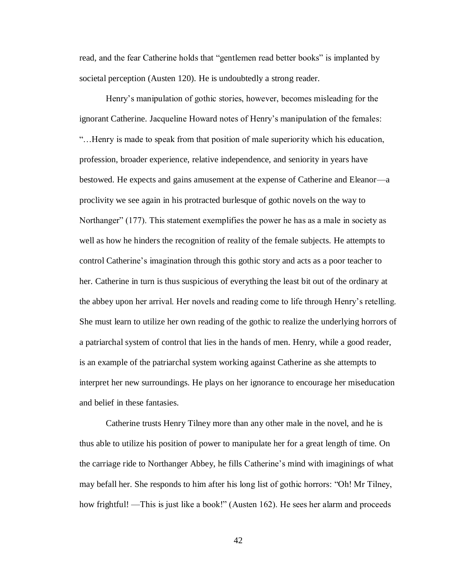read, and the fear Catherine holds that "gentlemen read better books" is implanted by societal perception (Austen 120). He is undoubtedly a strong reader.

Henry's manipulation of gothic stories, however, becomes misleading for the ignorant Catherine. Jacqueline Howard notes of Henry's manipulation of the females: "…Henry is made to speak from that position of male superiority which his education, profession, broader experience, relative independence, and seniority in years have bestowed. He expects and gains amusement at the expense of Catherine and Eleanor—a proclivity we see again in his protracted burlesque of gothic novels on the way to Northanger" (177). This statement exemplifies the power he has as a male in society as well as how he hinders the recognition of reality of the female subjects. He attempts to control Catherine's imagination through this gothic story and acts as a poor teacher to her. Catherine in turn is thus suspicious of everything the least bit out of the ordinary at the abbey upon her arrival. Her novels and reading come to life through Henry's retelling. She must learn to utilize her own reading of the gothic to realize the underlying horrors of a patriarchal system of control that lies in the hands of men. Henry, while a good reader, is an example of the patriarchal system working against Catherine as she attempts to interpret her new surroundings. He plays on her ignorance to encourage her miseducation and belief in these fantasies.

Catherine trusts Henry Tilney more than any other male in the novel, and he is thus able to utilize his position of power to manipulate her for a great length of time. On the carriage ride to Northanger Abbey, he fills Catherine's mind with imaginings of what may befall her. She responds to him after his long list of gothic horrors: "Oh! Mr Tilney, how frightful! —This is just like a book!" (Austen 162). He sees her alarm and proceeds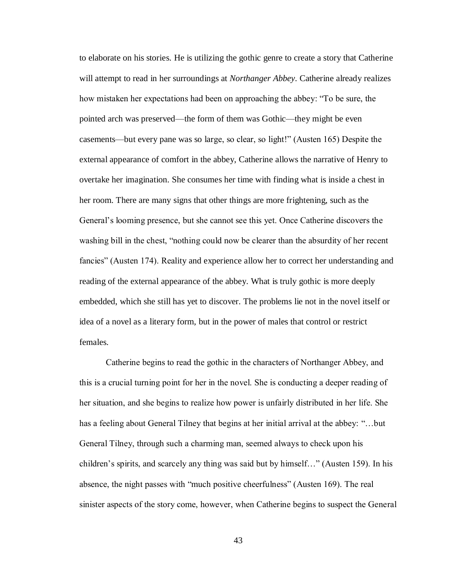to elaborate on his stories. He is utilizing the gothic genre to create a story that Catherine will attempt to read in her surroundings at *Northanger Abbey*. Catherine already realizes how mistaken her expectations had been on approaching the abbey: "To be sure, the pointed arch was preserved—the form of them was Gothic—they might be even casements—but every pane was so large, so clear, so light!" (Austen 165) Despite the external appearance of comfort in the abbey, Catherine allows the narrative of Henry to overtake her imagination. She consumes her time with finding what is inside a chest in her room. There are many signs that other things are more frightening, such as the General's looming presence, but she cannot see this yet. Once Catherine discovers the washing bill in the chest, "nothing could now be clearer than the absurdity of her recent fancies" (Austen 174). Reality and experience allow her to correct her understanding and reading of the external appearance of the abbey. What is truly gothic is more deeply embedded, which she still has yet to discover. The problems lie not in the novel itself or idea of a novel as a literary form, but in the power of males that control or restrict females.

Catherine begins to read the gothic in the characters of Northanger Abbey, and this is a crucial turning point for her in the novel. She is conducting a deeper reading of her situation, and she begins to realize how power is unfairly distributed in her life. She has a feeling about General Tilney that begins at her initial arrival at the abbey: "…but General Tilney, through such a charming man, seemed always to check upon his children's spirits, and scarcely any thing was said but by himself…" (Austen 159). In his absence, the night passes with "much positive cheerfulness" (Austen 169). The real sinister aspects of the story come, however, when Catherine begins to suspect the General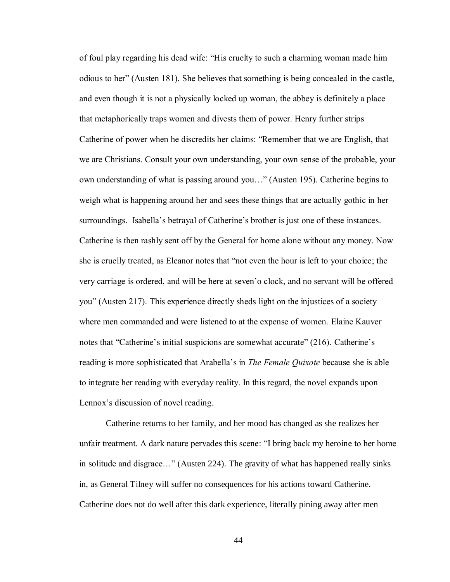of foul play regarding his dead wife: "His cruelty to such a charming woman made him odious to her" (Austen 181). She believes that something is being concealed in the castle, and even though it is not a physically locked up woman, the abbey is definitely a place that metaphorically traps women and divests them of power. Henry further strips Catherine of power when he discredits her claims: "Remember that we are English, that we are Christians. Consult your own understanding, your own sense of the probable, your own understanding of what is passing around you…" (Austen 195). Catherine begins to weigh what is happening around her and sees these things that are actually gothic in her surroundings. Isabella's betrayal of Catherine's brother is just one of these instances. Catherine is then rashly sent off by the General for home alone without any money. Now she is cruelly treated, as Eleanor notes that "not even the hour is left to your choice; the very carriage is ordered, and will be here at seven'o clock, and no servant will be offered you" (Austen 217). This experience directly sheds light on the injustices of a society where men commanded and were listened to at the expense of women. Elaine Kauver notes that "Catherine's initial suspicions are somewhat accurate" (216). Catherine's reading is more sophisticated that Arabella's in *The Female Quixote* because she is able to integrate her reading with everyday reality. In this regard, the novel expands upon Lennox's discussion of novel reading.

Catherine returns to her family, and her mood has changed as she realizes her unfair treatment. A dark nature pervades this scene: "I bring back my heroine to her home in solitude and disgrace…" (Austen 224). The gravity of what has happened really sinks in, as General Tilney will suffer no consequences for his actions toward Catherine. Catherine does not do well after this dark experience, literally pining away after men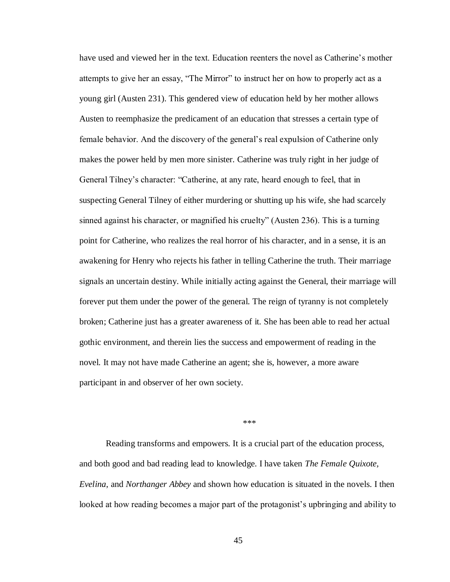have used and viewed her in the text. Education reenters the novel as Catherine's mother attempts to give her an essay, "The Mirror" to instruct her on how to properly act as a young girl (Austen 231). This gendered view of education held by her mother allows Austen to reemphasize the predicament of an education that stresses a certain type of female behavior. And the discovery of the general's real expulsion of Catherine only makes the power held by men more sinister. Catherine was truly right in her judge of General Tilney's character: "Catherine, at any rate, heard enough to feel, that in suspecting General Tilney of either murdering or shutting up his wife, she had scarcely sinned against his character, or magnified his cruelty" (Austen 236). This is a turning point for Catherine, who realizes the real horror of his character, and in a sense, it is an awakening for Henry who rejects his father in telling Catherine the truth. Their marriage signals an uncertain destiny. While initially acting against the General, their marriage will forever put them under the power of the general. The reign of tyranny is not completely broken; Catherine just has a greater awareness of it. She has been able to read her actual gothic environment, and therein lies the success and empowerment of reading in the novel. It may not have made Catherine an agent; she is, however, a more aware participant in and observer of her own society.

 $***$ 

Reading transforms and empowers. It is a crucial part of the education process, and both good and bad reading lead to knowledge. I have taken *The Female Quixote, Evelina*, and *Northanger Abbey* and shown how education is situated in the novels. I then looked at how reading becomes a major part of the protagonist's upbringing and ability to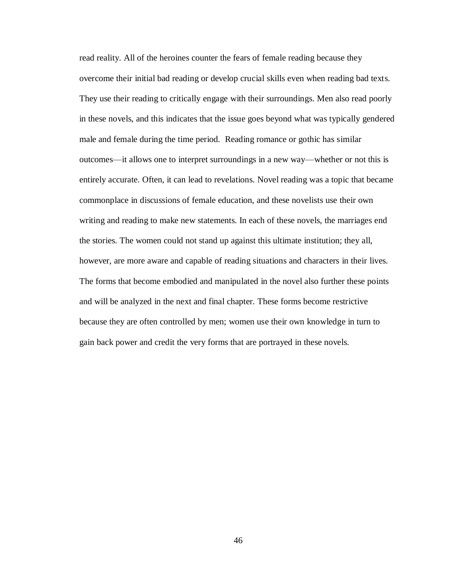read reality. All of the heroines counter the fears of female reading because they overcome their initial bad reading or develop crucial skills even when reading bad texts. They use their reading to critically engage with their surroundings. Men also read poorly in these novels, and this indicates that the issue goes beyond what was typically gendered male and female during the time period. Reading romance or gothic has similar outcomes—it allows one to interpret surroundings in a new way—whether or not this is entirely accurate. Often, it can lead to revelations. Novel reading was a topic that became commonplace in discussions of female education, and these novelists use their own writing and reading to make new statements. In each of these novels, the marriages end the stories. The women could not stand up against this ultimate institution; they all, however, are more aware and capable of reading situations and characters in their lives. The forms that become embodied and manipulated in the novel also further these points and will be analyzed in the next and final chapter. These forms become restrictive because they are often controlled by men; women use their own knowledge in turn to gain back power and credit the very forms that are portrayed in these novels.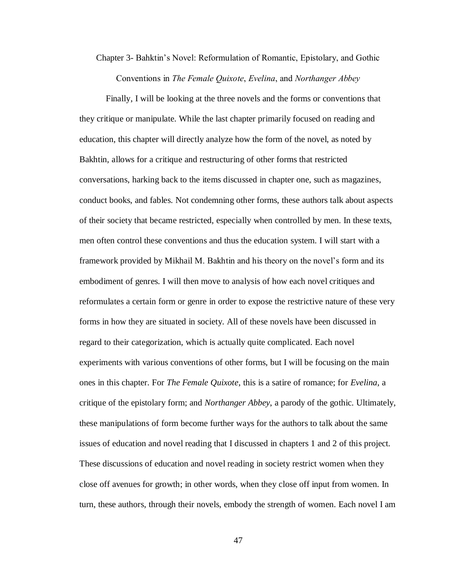Chapter 3- Bahktin's Novel: Reformulation of Romantic, Epistolary, and Gothic Conventions in *The Female Quixote*, *Evelina*, and *Northanger Abbey*

Finally, I will be looking at the three novels and the forms or conventions that they critique or manipulate. While the last chapter primarily focused on reading and education, this chapter will directly analyze how the form of the novel, as noted by Bakhtin, allows for a critique and restructuring of other forms that restricted conversations, harking back to the items discussed in chapter one, such as magazines, conduct books, and fables. Not condemning other forms, these authors talk about aspects of their society that became restricted, especially when controlled by men. In these texts, men often control these conventions and thus the education system. I will start with a framework provided by Mikhail M. Bakhtin and his theory on the novel's form and its embodiment of genres. I will then move to analysis of how each novel critiques and reformulates a certain form or genre in order to expose the restrictive nature of these very forms in how they are situated in society. All of these novels have been discussed in regard to their categorization, which is actually quite complicated. Each novel experiments with various conventions of other forms, but I will be focusing on the main ones in this chapter. For *The Female Quixote*, this is a satire of romance; for *Evelina*, a critique of the epistolary form; and *Northanger Abbey*, a parody of the gothic. Ultimately, these manipulations of form become further ways for the authors to talk about the same issues of education and novel reading that I discussed in chapters 1 and 2 of this project. These discussions of education and novel reading in society restrict women when they close off avenues for growth; in other words, when they close off input from women. In turn, these authors, through their novels, embody the strength of women. Each novel I am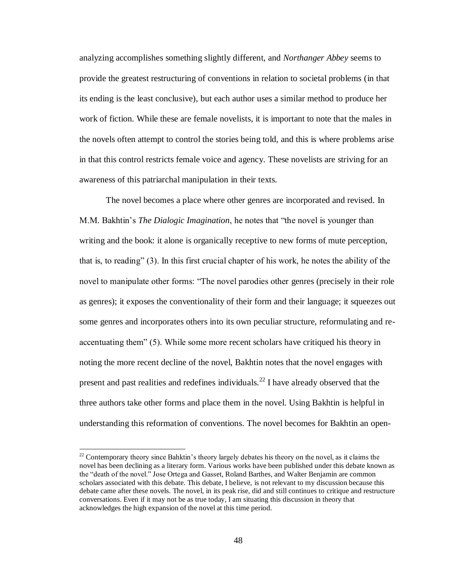analyzing accomplishes something slightly different, and *Northanger Abbey* seems to provide the greatest restructuring of conventions in relation to societal problems (in that its ending is the least conclusive), but each author uses a similar method to produce her work of fiction. While these are female novelists, it is important to note that the males in the novels often attempt to control the stories being told, and this is where problems arise in that this control restricts female voice and agency. These novelists are striving for an awareness of this patriarchal manipulation in their texts.

The novel becomes a place where other genres are incorporated and revised. In M.M. Bakhtin's *The Dialogic Imagination*, he notes that "the novel is younger than writing and the book: it alone is organically receptive to new forms of mute perception, that is, to reading" (3). In this first crucial chapter of his work, he notes the ability of the novel to manipulate other forms: "The novel parodies other genres (precisely in their role as genres); it exposes the conventionality of their form and their language; it squeezes out some genres and incorporates others into its own peculiar structure, reformulating and reaccentuating them" (5). While some more recent scholars have critiqued his theory in noting the more recent decline of the novel, Bakhtin notes that the novel engages with present and past realities and redefines individuals.<sup>22</sup> I have already observed that the three authors take other forms and place them in the novel. Using Bakhtin is helpful in understanding this reformation of conventions. The novel becomes for Bakhtin an open-

 $\overline{a}$ 

 $22$  Contemporary theory since Bahktin's theory largely debates his theory on the novel, as it claims the novel has been declining as a literary form. Various works have been published under this debate known as the "death of the novel." Jose Ortega and Gasset, Roland Barthes, and Walter Benjamin are common scholars associated with this debate. This debate, I believe, is not relevant to my discussion because this debate came after these novels. The novel, in its peak rise, did and still continues to critique and restructure conversations. Even if it may not be as true today, I am situating this discussion in theory that acknowledges the high expansion of the novel at this time period.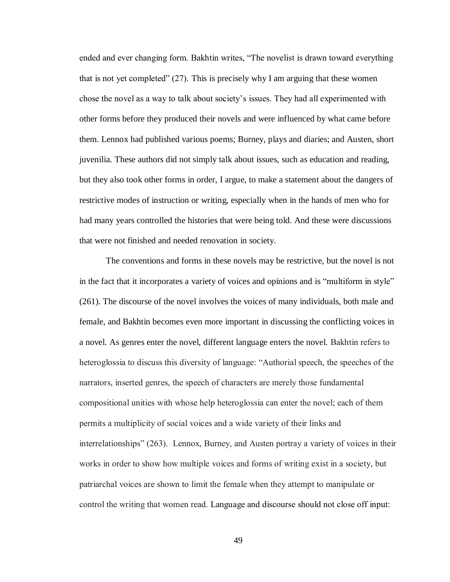ended and ever changing form. Bakhtin writes, "The novelist is drawn toward everything that is not yet completed"  $(27)$ . This is precisely why I am arguing that these women chose the novel as a way to talk about society's issues. They had all experimented with other forms before they produced their novels and were influenced by what came before them. Lennox had published various poems; Burney, plays and diaries; and Austen, short juvenilia. These authors did not simply talk about issues, such as education and reading, but they also took other forms in order, I argue, to make a statement about the dangers of restrictive modes of instruction or writing, especially when in the hands of men who for had many years controlled the histories that were being told. And these were discussions that were not finished and needed renovation in society.

The conventions and forms in these novels may be restrictive, but the novel is not in the fact that it incorporates a variety of voices and opinions and is "multiform in style" (261). The discourse of the novel involves the voices of many individuals, both male and female, and Bakhtin becomes even more important in discussing the conflicting voices in a novel. As genres enter the novel, different language enters the novel. Bakhtin refers to heteroglossia to discuss this diversity of language: "Authorial speech, the speeches of the narrators, inserted genres, the speech of characters are merely those fundamental compositional unities with whose help heteroglossia can enter the novel; each of them permits a multiplicity of social voices and a wide variety of their links and interrelationships" (263). Lennox, Burney, and Austen portray a variety of voices in their works in order to show how multiple voices and forms of writing exist in a society, but patriarchal voices are shown to limit the female when they attempt to manipulate or control the writing that women read. Language and discourse should not close off input: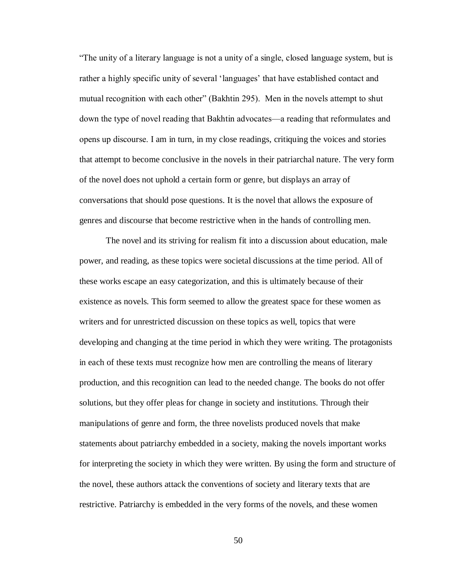"The unity of a literary language is not a unity of a single, closed language system, but is rather a highly specific unity of several 'languages' that have established contact and mutual recognition with each other" (Bakhtin 295). Men in the novels attempt to shut down the type of novel reading that Bakhtin advocates—a reading that reformulates and opens up discourse. I am in turn, in my close readings, critiquing the voices and stories that attempt to become conclusive in the novels in their patriarchal nature. The very form of the novel does not uphold a certain form or genre, but displays an array of conversations that should pose questions. It is the novel that allows the exposure of genres and discourse that become restrictive when in the hands of controlling men.

The novel and its striving for realism fit into a discussion about education, male power, and reading, as these topics were societal discussions at the time period. All of these works escape an easy categorization, and this is ultimately because of their existence as novels. This form seemed to allow the greatest space for these women as writers and for unrestricted discussion on these topics as well, topics that were developing and changing at the time period in which they were writing. The protagonists in each of these texts must recognize how men are controlling the means of literary production, and this recognition can lead to the needed change. The books do not offer solutions, but they offer pleas for change in society and institutions. Through their manipulations of genre and form, the three novelists produced novels that make statements about patriarchy embedded in a society, making the novels important works for interpreting the society in which they were written. By using the form and structure of the novel, these authors attack the conventions of society and literary texts that are restrictive. Patriarchy is embedded in the very forms of the novels, and these women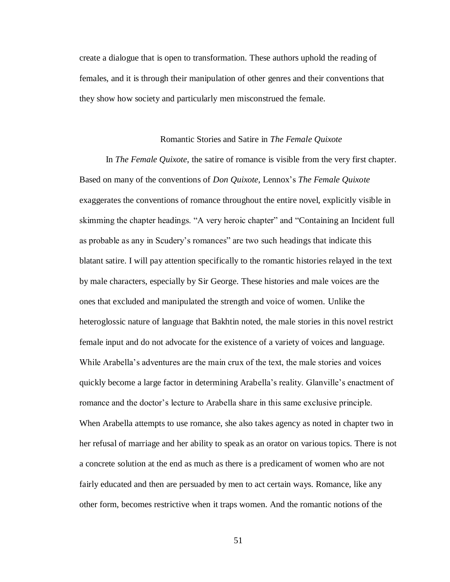create a dialogue that is open to transformation. These authors uphold the reading of females, and it is through their manipulation of other genres and their conventions that they show how society and particularly men misconstrued the female.

## Romantic Stories and Satire in *The Female Quixote*

In *The Female Quixote*, the satire of romance is visible from the very first chapter. Based on many of the conventions of *Don Quixote*, Lennox's *The Female Quixote* exaggerates the conventions of romance throughout the entire novel, explicitly visible in skimming the chapter headings. "A very heroic chapter" and "Containing an Incident full as probable as any in Scudery's romances" are two such headings that indicate this blatant satire. I will pay attention specifically to the romantic histories relayed in the text by male characters, especially by Sir George. These histories and male voices are the ones that excluded and manipulated the strength and voice of women. Unlike the heteroglossic nature of language that Bakhtin noted, the male stories in this novel restrict female input and do not advocate for the existence of a variety of voices and language. While Arabella's adventures are the main crux of the text, the male stories and voices quickly become a large factor in determining Arabella's reality. Glanville's enactment of romance and the doctor's lecture to Arabella share in this same exclusive principle. When Arabella attempts to use romance, she also takes agency as noted in chapter two in her refusal of marriage and her ability to speak as an orator on various topics. There is not a concrete solution at the end as much as there is a predicament of women who are not fairly educated and then are persuaded by men to act certain ways. Romance, like any other form, becomes restrictive when it traps women. And the romantic notions of the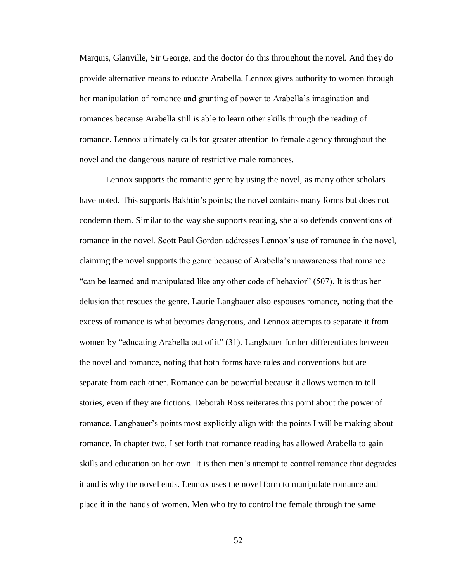Marquis, Glanville, Sir George, and the doctor do this throughout the novel. And they do provide alternative means to educate Arabella. Lennox gives authority to women through her manipulation of romance and granting of power to Arabella's imagination and romances because Arabella still is able to learn other skills through the reading of romance. Lennox ultimately calls for greater attention to female agency throughout the novel and the dangerous nature of restrictive male romances.

Lennox supports the romantic genre by using the novel, as many other scholars have noted. This supports Bakhtin's points; the novel contains many forms but does not condemn them. Similar to the way she supports reading, she also defends conventions of romance in the novel. Scott Paul Gordon addresses Lennox's use of romance in the novel, claiming the novel supports the genre because of Arabella's unawareness that romance "can be learned and manipulated like any other code of behavior" (507). It is thus her delusion that rescues the genre. Laurie Langbauer also espouses romance, noting that the excess of romance is what becomes dangerous, and Lennox attempts to separate it from women by "educating Arabella out of it" (31). Langbauer further differentiates between the novel and romance, noting that both forms have rules and conventions but are separate from each other. Romance can be powerful because it allows women to tell stories, even if they are fictions. Deborah Ross reiterates this point about the power of romance. Langbauer's points most explicitly align with the points I will be making about romance. In chapter two, I set forth that romance reading has allowed Arabella to gain skills and education on her own. It is then men's attempt to control romance that degrades it and is why the novel ends. Lennox uses the novel form to manipulate romance and place it in the hands of women. Men who try to control the female through the same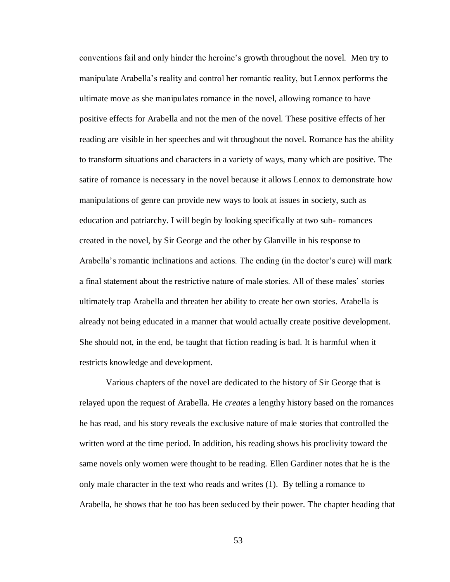conventions fail and only hinder the heroine's growth throughout the novel. Men try to manipulate Arabella's reality and control her romantic reality, but Lennox performs the ultimate move as she manipulates romance in the novel, allowing romance to have positive effects for Arabella and not the men of the novel. These positive effects of her reading are visible in her speeches and wit throughout the novel. Romance has the ability to transform situations and characters in a variety of ways, many which are positive. The satire of romance is necessary in the novel because it allows Lennox to demonstrate how manipulations of genre can provide new ways to look at issues in society, such as education and patriarchy. I will begin by looking specifically at two sub- romances created in the novel, by Sir George and the other by Glanville in his response to Arabella's romantic inclinations and actions. The ending (in the doctor's cure) will mark a final statement about the restrictive nature of male stories. All of these males' stories ultimately trap Arabella and threaten her ability to create her own stories. Arabella is already not being educated in a manner that would actually create positive development. She should not, in the end, be taught that fiction reading is bad. It is harmful when it restricts knowledge and development.

Various chapters of the novel are dedicated to the history of Sir George that is relayed upon the request of Arabella. He *creates* a lengthy history based on the romances he has read, and his story reveals the exclusive nature of male stories that controlled the written word at the time period. In addition, his reading shows his proclivity toward the same novels only women were thought to be reading. Ellen Gardiner notes that he is the only male character in the text who reads and writes (1). By telling a romance to Arabella, he shows that he too has been seduced by their power. The chapter heading that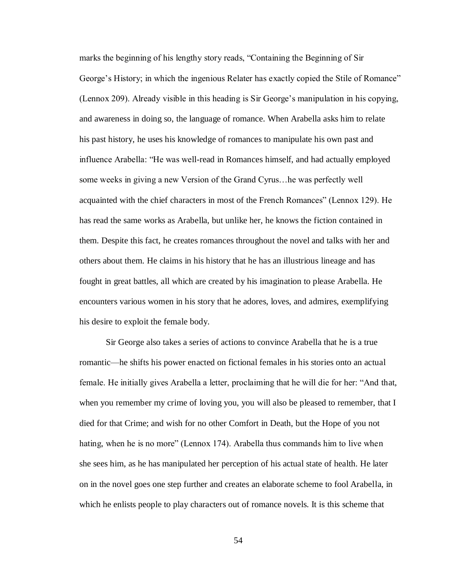marks the beginning of his lengthy story reads, "Containing the Beginning of Sir George's History; in which the ingenious Relater has exactly copied the Stile of Romance" (Lennox 209). Already visible in this heading is Sir George's manipulation in his copying, and awareness in doing so, the language of romance. When Arabella asks him to relate his past history, he uses his knowledge of romances to manipulate his own past and influence Arabella: "He was well-read in Romances himself, and had actually employed some weeks in giving a new Version of the Grand Cyrus…he was perfectly well acquainted with the chief characters in most of the French Romances" (Lennox 129). He has read the same works as Arabella, but unlike her, he knows the fiction contained in them. Despite this fact, he creates romances throughout the novel and talks with her and others about them. He claims in his history that he has an illustrious lineage and has fought in great battles, all which are created by his imagination to please Arabella. He encounters various women in his story that he adores, loves, and admires, exemplifying his desire to exploit the female body.

Sir George also takes a series of actions to convince Arabella that he is a true romantic—he shifts his power enacted on fictional females in his stories onto an actual female. He initially gives Arabella a letter, proclaiming that he will die for her: "And that, when you remember my crime of loving you, you will also be pleased to remember, that I died for that Crime; and wish for no other Comfort in Death, but the Hope of you not hating, when he is no more" (Lennox 174). Arabella thus commands him to live when she sees him, as he has manipulated her perception of his actual state of health. He later on in the novel goes one step further and creates an elaborate scheme to fool Arabella, in which he enlists people to play characters out of romance novels. It is this scheme that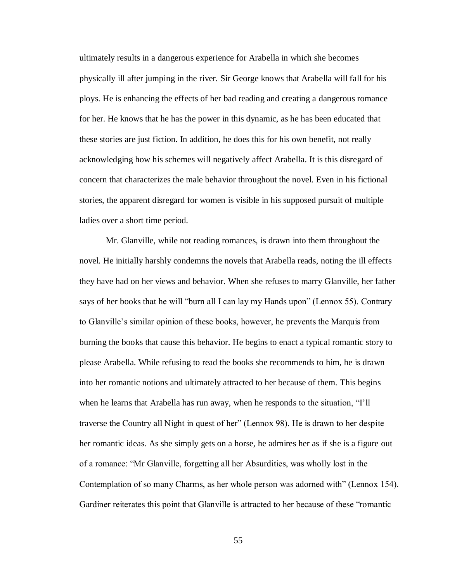ultimately results in a dangerous experience for Arabella in which she becomes physically ill after jumping in the river. Sir George knows that Arabella will fall for his ploys. He is enhancing the effects of her bad reading and creating a dangerous romance for her. He knows that he has the power in this dynamic, as he has been educated that these stories are just fiction. In addition, he does this for his own benefit, not really acknowledging how his schemes will negatively affect Arabella. It is this disregard of concern that characterizes the male behavior throughout the novel. Even in his fictional stories, the apparent disregard for women is visible in his supposed pursuit of multiple ladies over a short time period.

Mr. Glanville, while not reading romances, is drawn into them throughout the novel. He initially harshly condemns the novels that Arabella reads, noting the ill effects they have had on her views and behavior. When she refuses to marry Glanville, her father says of her books that he will "burn all I can lay my Hands upon" (Lennox 55). Contrary to Glanville's similar opinion of these books, however, he prevents the Marquis from burning the books that cause this behavior. He begins to enact a typical romantic story to please Arabella. While refusing to read the books she recommends to him, he is drawn into her romantic notions and ultimately attracted to her because of them. This begins when he learns that Arabella has run away, when he responds to the situation, "I'll traverse the Country all Night in quest of her" (Lennox 98). He is drawn to her despite her romantic ideas. As she simply gets on a horse, he admires her as if she is a figure out of a romance: "Mr Glanville, forgetting all her Absurdities, was wholly lost in the Contemplation of so many Charms, as her whole person was adorned with" (Lennox 154). Gardiner reiterates this point that Glanville is attracted to her because of these "romantic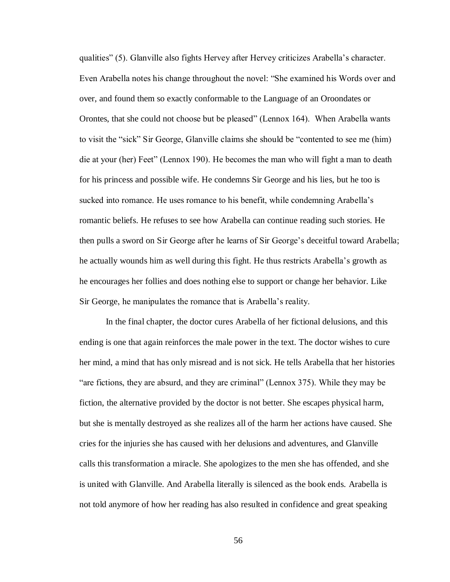qualities" (5). Glanville also fights Hervey after Hervey criticizes Arabella's character. Even Arabella notes his change throughout the novel: "She examined his Words over and over, and found them so exactly conformable to the Language of an Oroondates or Orontes, that she could not choose but be pleased" (Lennox 164). When Arabella wants to visit the "sick" Sir George, Glanville claims she should be "contented to see me (him) die at your (her) Feet" (Lennox 190). He becomes the man who will fight a man to death for his princess and possible wife. He condemns Sir George and his lies, but he too is sucked into romance. He uses romance to his benefit, while condemning Arabella's romantic beliefs. He refuses to see how Arabella can continue reading such stories. He then pulls a sword on Sir George after he learns of Sir George's deceitful toward Arabella; he actually wounds him as well during this fight. He thus restricts Arabella's growth as he encourages her follies and does nothing else to support or change her behavior. Like Sir George, he manipulates the romance that is Arabella's reality.

In the final chapter, the doctor cures Arabella of her fictional delusions, and this ending is one that again reinforces the male power in the text. The doctor wishes to cure her mind, a mind that has only misread and is not sick. He tells Arabella that her histories "are fictions, they are absurd, and they are criminal" (Lennox 375). While they may be fiction, the alternative provided by the doctor is not better. She escapes physical harm, but she is mentally destroyed as she realizes all of the harm her actions have caused. She cries for the injuries she has caused with her delusions and adventures, and Glanville calls this transformation a miracle. She apologizes to the men she has offended, and she is united with Glanville. And Arabella literally is silenced as the book ends. Arabella is not told anymore of how her reading has also resulted in confidence and great speaking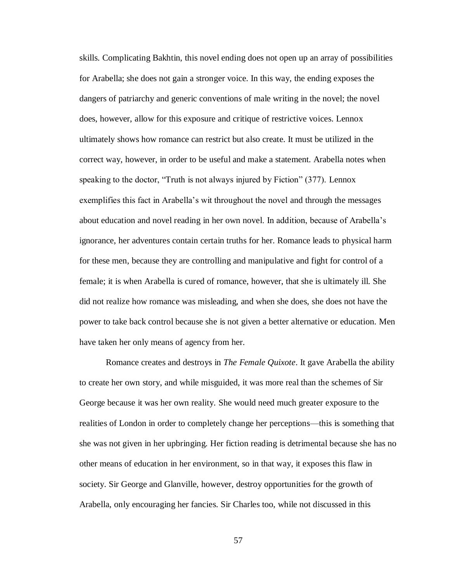skills. Complicating Bakhtin, this novel ending does not open up an array of possibilities for Arabella; she does not gain a stronger voice. In this way, the ending exposes the dangers of patriarchy and generic conventions of male writing in the novel; the novel does, however, allow for this exposure and critique of restrictive voices. Lennox ultimately shows how romance can restrict but also create. It must be utilized in the correct way, however, in order to be useful and make a statement. Arabella notes when speaking to the doctor, "Truth is not always injured by Fiction" (377). Lennox exemplifies this fact in Arabella's wit throughout the novel and through the messages about education and novel reading in her own novel. In addition, because of Arabella's ignorance, her adventures contain certain truths for her. Romance leads to physical harm for these men, because they are controlling and manipulative and fight for control of a female; it is when Arabella is cured of romance, however, that she is ultimately ill. She did not realize how romance was misleading, and when she does, she does not have the power to take back control because she is not given a better alternative or education. Men have taken her only means of agency from her.

Romance creates and destroys in *The Female Quixote*. It gave Arabella the ability to create her own story, and while misguided, it was more real than the schemes of Sir George because it was her own reality. She would need much greater exposure to the realities of London in order to completely change her perceptions—this is something that she was not given in her upbringing. Her fiction reading is detrimental because she has no other means of education in her environment, so in that way, it exposes this flaw in society. Sir George and Glanville, however, destroy opportunities for the growth of Arabella, only encouraging her fancies. Sir Charles too, while not discussed in this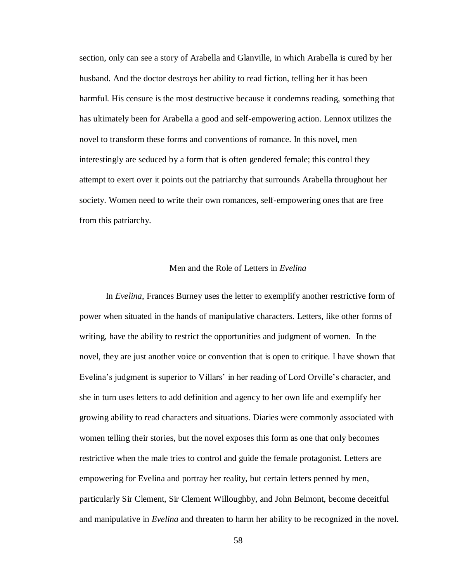section, only can see a story of Arabella and Glanville, in which Arabella is cured by her husband. And the doctor destroys her ability to read fiction, telling her it has been harmful. His censure is the most destructive because it condemns reading, something that has ultimately been for Arabella a good and self-empowering action. Lennox utilizes the novel to transform these forms and conventions of romance. In this novel, men interestingly are seduced by a form that is often gendered female; this control they attempt to exert over it points out the patriarchy that surrounds Arabella throughout her society. Women need to write their own romances, self-empowering ones that are free from this patriarchy.

## Men and the Role of Letters in *Evelina*

In *Evelina*, Frances Burney uses the letter to exemplify another restrictive form of power when situated in the hands of manipulative characters. Letters, like other forms of writing, have the ability to restrict the opportunities and judgment of women. In the novel, they are just another voice or convention that is open to critique. I have shown that Evelina's judgment is superior to Villars' in her reading of Lord Orville's character, and she in turn uses letters to add definition and agency to her own life and exemplify her growing ability to read characters and situations. Diaries were commonly associated with women telling their stories, but the novel exposes this form as one that only becomes restrictive when the male tries to control and guide the female protagonist. Letters are empowering for Evelina and portray her reality, but certain letters penned by men, particularly Sir Clement, Sir Clement Willoughby, and John Belmont, become deceitful and manipulative in *Evelina* and threaten to harm her ability to be recognized in the novel.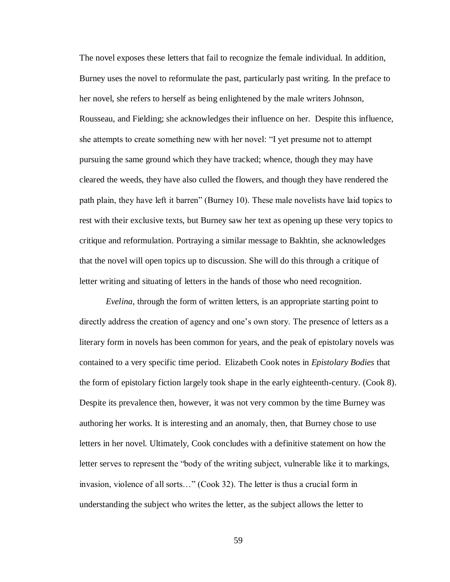The novel exposes these letters that fail to recognize the female individual. In addition, Burney uses the novel to reformulate the past, particularly past writing. In the preface to her novel, she refers to herself as being enlightened by the male writers Johnson, Rousseau, and Fielding; she acknowledges their influence on her. Despite this influence, she attempts to create something new with her novel: "I yet presume not to attempt pursuing the same ground which they have tracked; whence, though they may have cleared the weeds, they have also culled the flowers, and though they have rendered the path plain, they have left it barren" (Burney 10). These male novelists have laid topics to rest with their exclusive texts, but Burney saw her text as opening up these very topics to critique and reformulation. Portraying a similar message to Bakhtin, she acknowledges that the novel will open topics up to discussion. She will do this through a critique of letter writing and situating of letters in the hands of those who need recognition.

*Evelina*, through the form of written letters, is an appropriate starting point to directly address the creation of agency and one's own story. The presence of letters as a literary form in novels has been common for years, and the peak of epistolary novels was contained to a very specific time period. Elizabeth Cook notes in *Epistolary Bodies* that the form of epistolary fiction largely took shape in the early eighteenth-century. (Cook 8). Despite its prevalence then, however, it was not very common by the time Burney was authoring her works. It is interesting and an anomaly, then, that Burney chose to use letters in her novel. Ultimately, Cook concludes with a definitive statement on how the letter serves to represent the "body of the writing subject, vulnerable like it to markings, invasion, violence of all sorts…" (Cook 32). The letter is thus a crucial form in understanding the subject who writes the letter, as the subject allows the letter to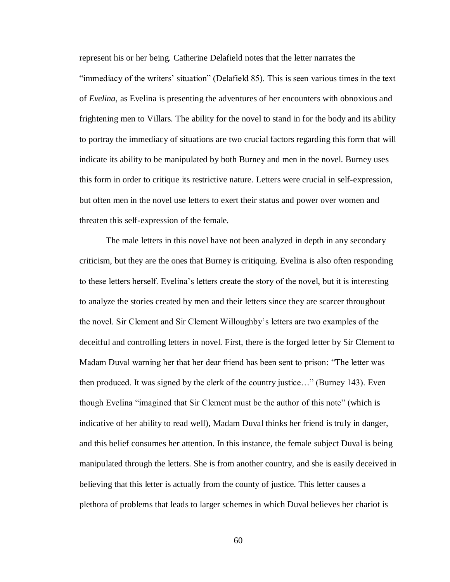represent his or her being. Catherine Delafield notes that the letter narrates the "immediacy of the writers' situation" (Delafield 85). This is seen various times in the text of *Evelina,* as Evelina is presenting the adventures of her encounters with obnoxious and frightening men to Villars. The ability for the novel to stand in for the body and its ability to portray the immediacy of situations are two crucial factors regarding this form that will indicate its ability to be manipulated by both Burney and men in the novel. Burney uses this form in order to critique its restrictive nature. Letters were crucial in self-expression, but often men in the novel use letters to exert their status and power over women and threaten this self-expression of the female.

The male letters in this novel have not been analyzed in depth in any secondary criticism, but they are the ones that Burney is critiquing. Evelina is also often responding to these letters herself. Evelina's letters create the story of the novel, but it is interesting to analyze the stories created by men and their letters since they are scarcer throughout the novel. Sir Clement and Sir Clement Willoughby's letters are two examples of the deceitful and controlling letters in novel. First, there is the forged letter by Sir Clement to Madam Duval warning her that her dear friend has been sent to prison: "The letter was then produced. It was signed by the clerk of the country justice…" (Burney 143). Even though Evelina "imagined that Sir Clement must be the author of this note" (which is indicative of her ability to read well), Madam Duval thinks her friend is truly in danger, and this belief consumes her attention. In this instance, the female subject Duval is being manipulated through the letters. She is from another country, and she is easily deceived in believing that this letter is actually from the county of justice. This letter causes a plethora of problems that leads to larger schemes in which Duval believes her chariot is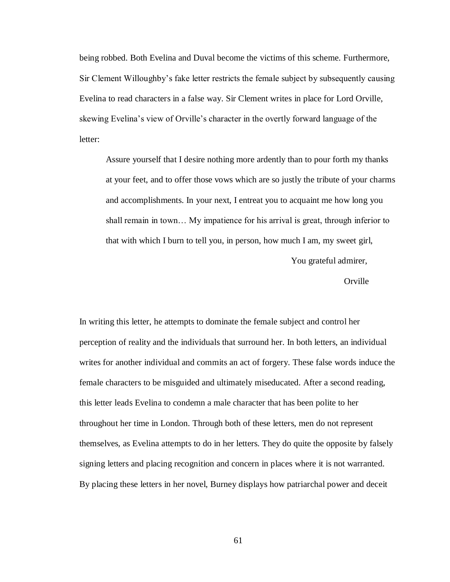being robbed. Both Evelina and Duval become the victims of this scheme. Furthermore, Sir Clement Willoughby's fake letter restricts the female subject by subsequently causing Evelina to read characters in a false way. Sir Clement writes in place for Lord Orville, skewing Evelina's view of Orville's character in the overtly forward language of the letter:

Assure yourself that I desire nothing more ardently than to pour forth my thanks at your feet, and to offer those vows which are so justly the tribute of your charms and accomplishments. In your next, I entreat you to acquaint me how long you shall remain in town… My impatience for his arrival is great, through inferior to that with which I burn to tell you, in person, how much I am, my sweet girl,

You grateful admirer,

**Orville** 

In writing this letter, he attempts to dominate the female subject and control her perception of reality and the individuals that surround her. In both letters, an individual writes for another individual and commits an act of forgery. These false words induce the female characters to be misguided and ultimately miseducated. After a second reading, this letter leads Evelina to condemn a male character that has been polite to her throughout her time in London. Through both of these letters, men do not represent themselves, as Evelina attempts to do in her letters. They do quite the opposite by falsely signing letters and placing recognition and concern in places where it is not warranted. By placing these letters in her novel, Burney displays how patriarchal power and deceit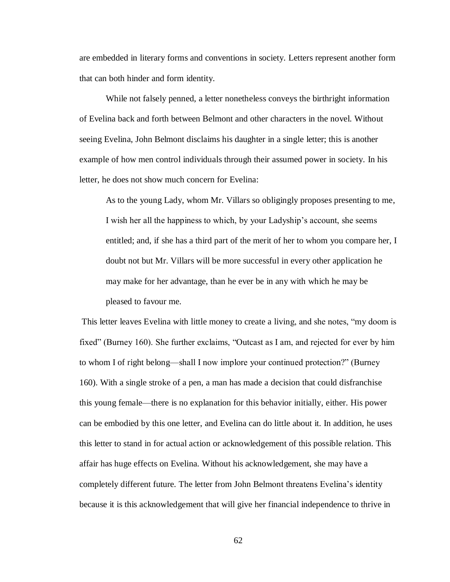are embedded in literary forms and conventions in society. Letters represent another form that can both hinder and form identity.

While not falsely penned, a letter nonetheless conveys the birthright information of Evelina back and forth between Belmont and other characters in the novel. Without seeing Evelina, John Belmont disclaims his daughter in a single letter; this is another example of how men control individuals through their assumed power in society. In his letter, he does not show much concern for Evelina:

As to the young Lady, whom Mr. Villars so obligingly proposes presenting to me, I wish her all the happiness to which, by your Ladyship's account, she seems entitled; and, if she has a third part of the merit of her to whom you compare her, I doubt not but Mr. Villars will be more successful in every other application he may make for her advantage, than he ever be in any with which he may be pleased to favour me.

This letter leaves Evelina with little money to create a living, and she notes, "my doom is fixed" (Burney 160). She further exclaims, "Outcast as I am, and rejected for ever by him to whom I of right belong—shall I now implore your continued protection?" (Burney 160). With a single stroke of a pen, a man has made a decision that could disfranchise this young female—there is no explanation for this behavior initially, either. His power can be embodied by this one letter, and Evelina can do little about it. In addition, he uses this letter to stand in for actual action or acknowledgement of this possible relation. This affair has huge effects on Evelina. Without his acknowledgement, she may have a completely different future. The letter from John Belmont threatens Evelina's identity because it is this acknowledgement that will give her financial independence to thrive in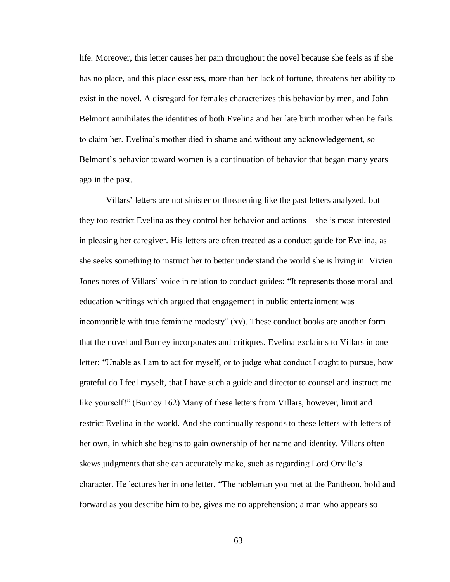life. Moreover, this letter causes her pain throughout the novel because she feels as if she has no place, and this placelessness, more than her lack of fortune, threatens her ability to exist in the novel. A disregard for females characterizes this behavior by men, and John Belmont annihilates the identities of both Evelina and her late birth mother when he fails to claim her. Evelina's mother died in shame and without any acknowledgement, so Belmont's behavior toward women is a continuation of behavior that began many years ago in the past.

Villars' letters are not sinister or threatening like the past letters analyzed, but they too restrict Evelina as they control her behavior and actions—she is most interested in pleasing her caregiver. His letters are often treated as a conduct guide for Evelina, as she seeks something to instruct her to better understand the world she is living in. Vivien Jones notes of Villars' voice in relation to conduct guides: "It represents those moral and education writings which argued that engagement in public entertainment was incompatible with true feminine modesty" (xv). These conduct books are another form that the novel and Burney incorporates and critiques. Evelina exclaims to Villars in one letter: "Unable as I am to act for myself, or to judge what conduct I ought to pursue, how grateful do I feel myself, that I have such a guide and director to counsel and instruct me like yourself!" (Burney 162) Many of these letters from Villars, however, limit and restrict Evelina in the world. And she continually responds to these letters with letters of her own, in which she begins to gain ownership of her name and identity. Villars often skews judgments that she can accurately make, such as regarding Lord Orville's character. He lectures her in one letter, "The nobleman you met at the Pantheon, bold and forward as you describe him to be, gives me no apprehension; a man who appears so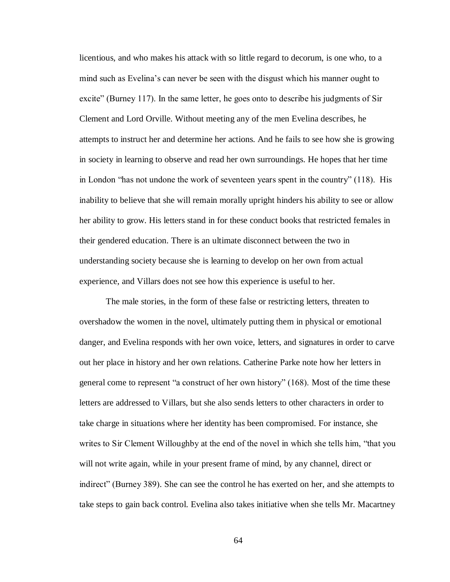licentious, and who makes his attack with so little regard to decorum, is one who, to a mind such as Evelina's can never be seen with the disgust which his manner ought to excite" (Burney 117). In the same letter, he goes onto to describe his judgments of Sir Clement and Lord Orville. Without meeting any of the men Evelina describes, he attempts to instruct her and determine her actions. And he fails to see how she is growing in society in learning to observe and read her own surroundings. He hopes that her time in London "has not undone the work of seventeen years spent in the country" (118). His inability to believe that she will remain morally upright hinders his ability to see or allow her ability to grow. His letters stand in for these conduct books that restricted females in their gendered education. There is an ultimate disconnect between the two in understanding society because she is learning to develop on her own from actual experience, and Villars does not see how this experience is useful to her.

The male stories, in the form of these false or restricting letters, threaten to overshadow the women in the novel, ultimately putting them in physical or emotional danger, and Evelina responds with her own voice, letters, and signatures in order to carve out her place in history and her own relations. Catherine Parke note how her letters in general come to represent "a construct of her own history" (168). Most of the time these letters are addressed to Villars, but she also sends letters to other characters in order to take charge in situations where her identity has been compromised. For instance, she writes to Sir Clement Willoughby at the end of the novel in which she tells him, "that you will not write again, while in your present frame of mind, by any channel, direct or indirect" (Burney 389). She can see the control he has exerted on her, and she attempts to take steps to gain back control. Evelina also takes initiative when she tells Mr. Macartney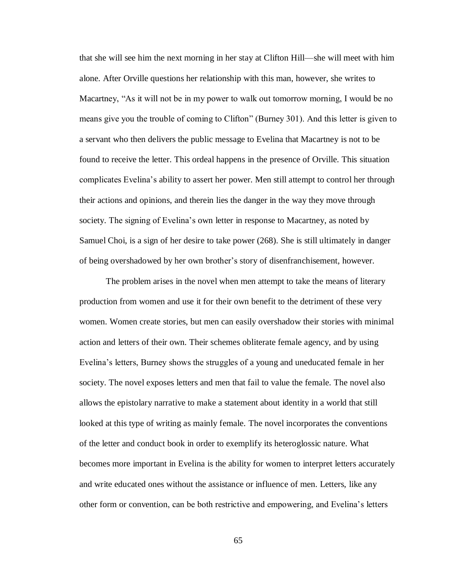that she will see him the next morning in her stay at Clifton Hill—she will meet with him alone. After Orville questions her relationship with this man, however, she writes to Macartney, "As it will not be in my power to walk out tomorrow morning, I would be no means give you the trouble of coming to Clifton" (Burney 301). And this letter is given to a servant who then delivers the public message to Evelina that Macartney is not to be found to receive the letter. This ordeal happens in the presence of Orville. This situation complicates Evelina's ability to assert her power. Men still attempt to control her through their actions and opinions, and therein lies the danger in the way they move through society. The signing of Evelina's own letter in response to Macartney, as noted by Samuel Choi, is a sign of her desire to take power (268). She is still ultimately in danger of being overshadowed by her own brother's story of disenfranchisement, however.

The problem arises in the novel when men attempt to take the means of literary production from women and use it for their own benefit to the detriment of these very women. Women create stories, but men can easily overshadow their stories with minimal action and letters of their own. Their schemes obliterate female agency, and by using Evelina's letters, Burney shows the struggles of a young and uneducated female in her society. The novel exposes letters and men that fail to value the female. The novel also allows the epistolary narrative to make a statement about identity in a world that still looked at this type of writing as mainly female. The novel incorporates the conventions of the letter and conduct book in order to exemplify its heteroglossic nature. What becomes more important in Evelina is the ability for women to interpret letters accurately and write educated ones without the assistance or influence of men. Letters, like any other form or convention, can be both restrictive and empowering, and Evelina's letters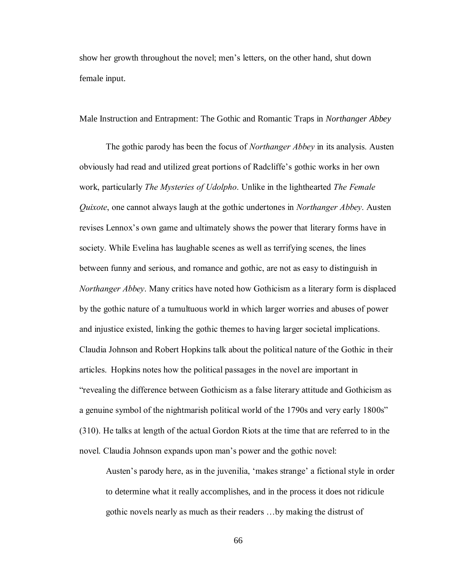show her growth throughout the novel; men's letters, on the other hand, shut down female input.

Male Instruction and Entrapment: The Gothic and Romantic Traps in *Northanger Abbey* 

The gothic parody has been the focus of *Northanger Abbey* in its analysis. Austen obviously had read and utilized great portions of Radcliffe's gothic works in her own work, particularly *The Mysteries of Udolpho*. Unlike in the lighthearted *The Female Quixote*, one cannot always laugh at the gothic undertones in *Northanger Abbey*. Austen revises Lennox's own game and ultimately shows the power that literary forms have in society. While Evelina has laughable scenes as well as terrifying scenes, the lines between funny and serious, and romance and gothic, are not as easy to distinguish in *Northanger Abbey*. Many critics have noted how Gothicism as a literary form is displaced by the gothic nature of a tumultuous world in which larger worries and abuses of power and injustice existed, linking the gothic themes to having larger societal implications. Claudia Johnson and Robert Hopkins talk about the political nature of the Gothic in their articles. Hopkins notes how the political passages in the novel are important in "revealing the difference between Gothicism as a false literary attitude and Gothicism as a genuine symbol of the nightmarish political world of the 1790s and very early 1800s" (310). He talks at length of the actual Gordon Riots at the time that are referred to in the novel. Claudia Johnson expands upon man's power and the gothic novel:

Austen's parody here, as in the juvenilia, 'makes strange' a fictional style in order to determine what it really accomplishes, and in the process it does not ridicule gothic novels nearly as much as their readers …by making the distrust of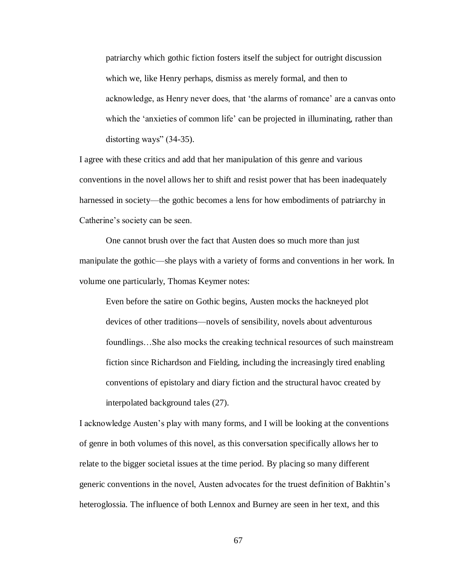patriarchy which gothic fiction fosters itself the subject for outright discussion which we, like Henry perhaps, dismiss as merely formal, and then to acknowledge, as Henry never does, that 'the alarms of romance' are a canvas onto which the 'anxieties of common life' can be projected in illuminating, rather than distorting ways" (34-35).

I agree with these critics and add that her manipulation of this genre and various conventions in the novel allows her to shift and resist power that has been inadequately harnessed in society—the gothic becomes a lens for how embodiments of patriarchy in Catherine's society can be seen.

One cannot brush over the fact that Austen does so much more than just manipulate the gothic—she plays with a variety of forms and conventions in her work. In volume one particularly, Thomas Keymer notes:

Even before the satire on Gothic begins, Austen mocks the hackneyed plot devices of other traditions—novels of sensibility, novels about adventurous foundlings…She also mocks the creaking technical resources of such mainstream fiction since Richardson and Fielding, including the increasingly tired enabling conventions of epistolary and diary fiction and the structural havoc created by interpolated background tales (27).

I acknowledge Austen's play with many forms, and I will be looking at the conventions of genre in both volumes of this novel, as this conversation specifically allows her to relate to the bigger societal issues at the time period. By placing so many different generic conventions in the novel, Austen advocates for the truest definition of Bakhtin's heteroglossia. The influence of both Lennox and Burney are seen in her text, and this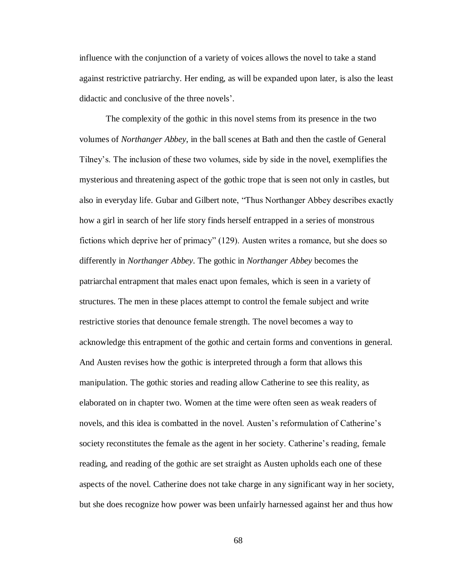influence with the conjunction of a variety of voices allows the novel to take a stand against restrictive patriarchy. Her ending, as will be expanded upon later, is also the least didactic and conclusive of the three novels'.

The complexity of the gothic in this novel stems from its presence in the two volumes of *Northanger Abbey*, in the ball scenes at Bath and then the castle of General Tilney's. The inclusion of these two volumes, side by side in the novel, exemplifies the mysterious and threatening aspect of the gothic trope that is seen not only in castles, but also in everyday life. Gubar and Gilbert note, "Thus Northanger Abbey describes exactly how a girl in search of her life story finds herself entrapped in a series of monstrous fictions which deprive her of primacy" (129). Austen writes a romance, but she does so differently in *Northanger Abbey*. The gothic in *Northanger Abbey* becomes the patriarchal entrapment that males enact upon females, which is seen in a variety of structures. The men in these places attempt to control the female subject and write restrictive stories that denounce female strength. The novel becomes a way to acknowledge this entrapment of the gothic and certain forms and conventions in general. And Austen revises how the gothic is interpreted through a form that allows this manipulation. The gothic stories and reading allow Catherine to see this reality, as elaborated on in chapter two. Women at the time were often seen as weak readers of novels, and this idea is combatted in the novel. Austen's reformulation of Catherine's society reconstitutes the female as the agent in her society. Catherine's reading, female reading, and reading of the gothic are set straight as Austen upholds each one of these aspects of the novel. Catherine does not take charge in any significant way in her society, but she does recognize how power was been unfairly harnessed against her and thus how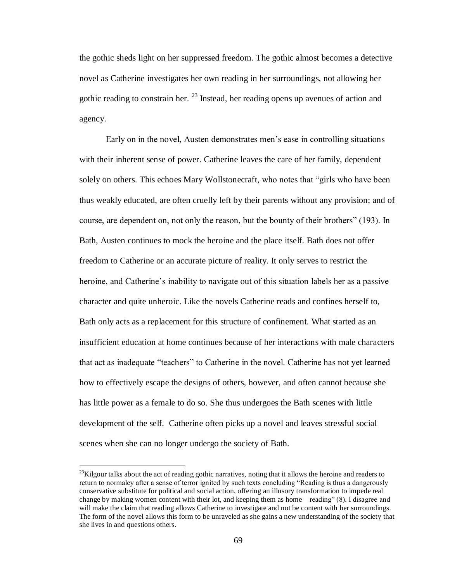the gothic sheds light on her suppressed freedom. The gothic almost becomes a detective novel as Catherine investigates her own reading in her surroundings, not allowing her gothic reading to constrain her.  $^{23}$  Instead, her reading opens up avenues of action and agency.

Early on in the novel, Austen demonstrates men's ease in controlling situations with their inherent sense of power. Catherine leaves the care of her family, dependent solely on others. This echoes Mary Wollstonecraft, who notes that "girls who have been thus weakly educated, are often cruelly left by their parents without any provision; and of course, are dependent on, not only the reason, but the bounty of their brothers" (193). In Bath, Austen continues to mock the heroine and the place itself. Bath does not offer freedom to Catherine or an accurate picture of reality. It only serves to restrict the heroine, and Catherine's inability to navigate out of this situation labels her as a passive character and quite unheroic. Like the novels Catherine reads and confines herself to, Bath only acts as a replacement for this structure of confinement. What started as an insufficient education at home continues because of her interactions with male characters that act as inadequate "teachers" to Catherine in the novel. Catherine has not yet learned how to effectively escape the designs of others, however, and often cannot because she has little power as a female to do so. She thus undergoes the Bath scenes with little development of the self. Catherine often picks up a novel and leaves stressful social scenes when she can no longer undergo the society of Bath.

 $\overline{a}$ 

 $^{23}$ Kilgour talks about the act of reading gothic narratives, noting that it allows the heroine and readers to return to normalcy after a sense of terror ignited by such texts concluding "Reading is thus a dangerously conservative substitute for political and social action, offering an illusory transformation to impede real change by making women content with their lot, and keeping them as home—reading" (8). I disagree and will make the claim that reading allows Catherine to investigate and not be content with her surroundings. The form of the novel allows this form to be unraveled as she gains a new understanding of the society that she lives in and questions others.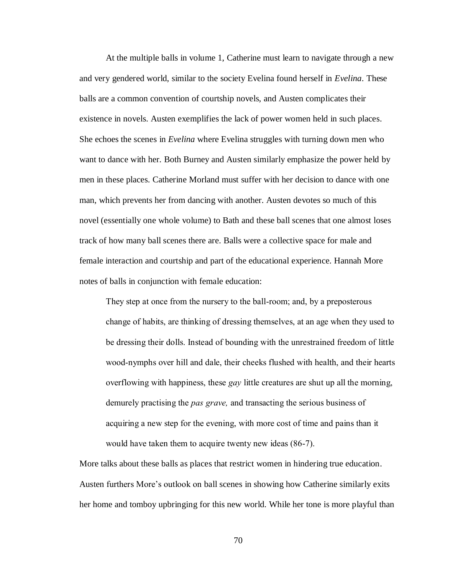At the multiple balls in volume 1, Catherine must learn to navigate through a new and very gendered world, similar to the society Evelina found herself in *Evelina*. These balls are a common convention of courtship novels, and Austen complicates their existence in novels. Austen exemplifies the lack of power women held in such places. She echoes the scenes in *Evelina* where Evelina struggles with turning down men who want to dance with her. Both Burney and Austen similarly emphasize the power held by men in these places. Catherine Morland must suffer with her decision to dance with one man, which prevents her from dancing with another. Austen devotes so much of this novel (essentially one whole volume) to Bath and these ball scenes that one almost loses track of how many ball scenes there are. Balls were a collective space for male and female interaction and courtship and part of the educational experience. Hannah More notes of balls in conjunction with female education:

They step at once from the nursery to the ball-room; and, by a preposterous change of habits, are thinking of dressing themselves, at an age when they used to be dressing their dolls. Instead of bounding with the unrestrained freedom of little wood-nymphs over hill and dale, their cheeks flushed with health, and their hearts overflowing with happiness, these *gay* little creatures are shut up all the morning, demurely practising the *pas grave,* and transacting the serious business of acquiring a new step for the evening, with more cost of time and pains than it would have taken them to acquire twenty new ideas (86-7).

More talks about these balls as places that restrict women in hindering true education. Austen furthers More's outlook on ball scenes in showing how Catherine similarly exits her home and tomboy upbringing for this new world. While her tone is more playful than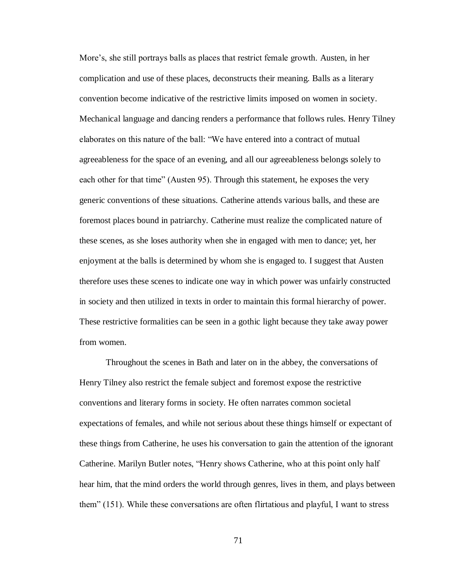More's, she still portrays balls as places that restrict female growth. Austen, in her complication and use of these places, deconstructs their meaning. Balls as a literary convention become indicative of the restrictive limits imposed on women in society. Mechanical language and dancing renders a performance that follows rules. Henry Tilney elaborates on this nature of the ball: "We have entered into a contract of mutual agreeableness for the space of an evening, and all our agreeableness belongs solely to each other for that time" (Austen 95). Through this statement, he exposes the very generic conventions of these situations. Catherine attends various balls, and these are foremost places bound in patriarchy. Catherine must realize the complicated nature of these scenes, as she loses authority when she in engaged with men to dance; yet, her enjoyment at the balls is determined by whom she is engaged to. I suggest that Austen therefore uses these scenes to indicate one way in which power was unfairly constructed in society and then utilized in texts in order to maintain this formal hierarchy of power. These restrictive formalities can be seen in a gothic light because they take away power from women.

Throughout the scenes in Bath and later on in the abbey, the conversations of Henry Tilney also restrict the female subject and foremost expose the restrictive conventions and literary forms in society. He often narrates common societal expectations of females, and while not serious about these things himself or expectant of these things from Catherine, he uses his conversation to gain the attention of the ignorant Catherine. Marilyn Butler notes, "Henry shows Catherine, who at this point only half hear him, that the mind orders the world through genres, lives in them, and plays between them" (151). While these conversations are often flirtatious and playful, I want to stress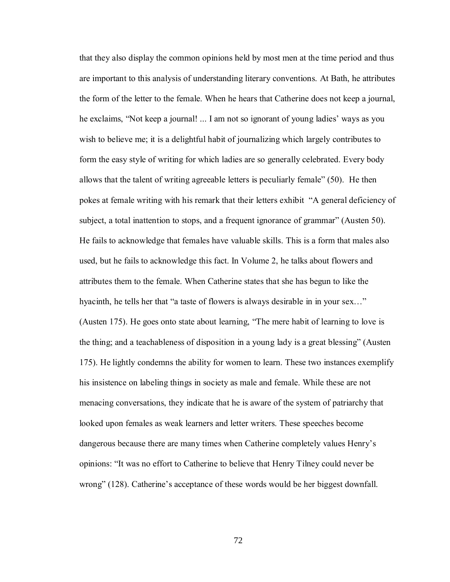that they also display the common opinions held by most men at the time period and thus are important to this analysis of understanding literary conventions. At Bath, he attributes the form of the letter to the female. When he hears that Catherine does not keep a journal, he exclaims, "Not keep a journal! ... I am not so ignorant of young ladies' ways as you wish to believe me; it is a delightful habit of journalizing which largely contributes to form the easy style of writing for which ladies are so generally celebrated. Every body allows that the talent of writing agreeable letters is peculiarly female" (50). He then pokes at female writing with his remark that their letters exhibit "A general deficiency of subject, a total inattention to stops, and a frequent ignorance of grammar" (Austen 50). He fails to acknowledge that females have valuable skills. This is a form that males also used, but he fails to acknowledge this fact. In Volume 2, he talks about flowers and attributes them to the female. When Catherine states that she has begun to like the hyacinth, he tells her that "a taste of flowers is always desirable in in your sex…" (Austen 175). He goes onto state about learning, "The mere habit of learning to love is the thing; and a teachableness of disposition in a young lady is a great blessing" (Austen 175). He lightly condemns the ability for women to learn. These two instances exemplify his insistence on labeling things in society as male and female. While these are not menacing conversations, they indicate that he is aware of the system of patriarchy that looked upon females as weak learners and letter writers. These speeches become dangerous because there are many times when Catherine completely values Henry's opinions: "It was no effort to Catherine to believe that Henry Tilney could never be wrong" (128). Catherine's acceptance of these words would be her biggest downfall.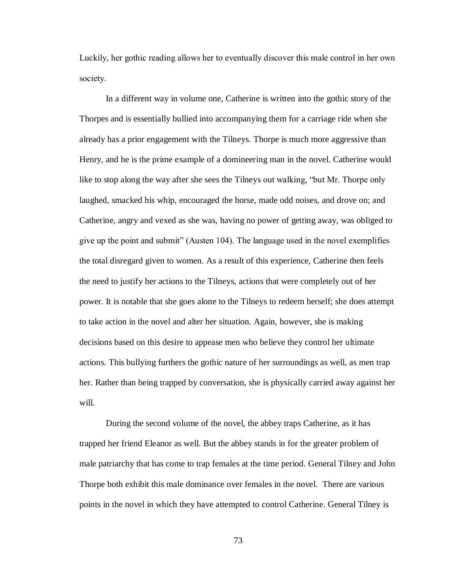Luckily, her gothic reading allows her to eventually discover this male control in her own society.

In a different way in volume one, Catherine is written into the gothic story of the Thorpes and is essentially bullied into accompanying them for a carriage ride when she already has a prior engagement with the Tilneys. Thorpe is much more aggressive than Henry, and he is the prime example of a domineering man in the novel. Catherine would like to stop along the way after she sees the Tilneys out walking, "but Mr. Thorpe only laughed, smacked his whip, encouraged the horse, made odd noises, and drove on; and Catherine, angry and vexed as she was, having no power of getting away, was obliged to give up the point and submit" (Austen 104). The language used in the novel exemplifies the total disregard given to women. As a result of this experience, Catherine then feels the need to justify her actions to the Tilneys, actions that were completely out of her power. It is notable that she goes alone to the Tilneys to redeem herself; she does attempt to take action in the novel and alter her situation. Again, however, she is making decisions based on this desire to appease men who believe they control her ultimate actions. This bullying furthers the gothic nature of her surroundings as well, as men trap her. Rather than being trapped by conversation, she is physically carried away against her will.

During the second volume of the novel, the abbey traps Catherine, as it has trapped her friend Eleanor as well. But the abbey stands in for the greater problem of male patriarchy that has come to trap females at the time period. General Tilney and John Thorpe both exhibit this male dominance over females in the novel. There are various points in the novel in which they have attempted to control Catherine. General Tilney is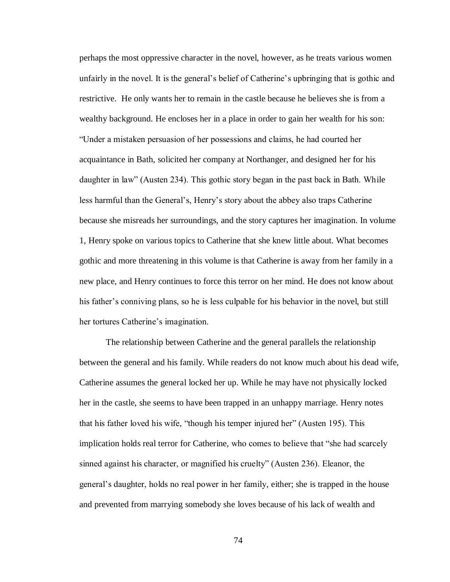perhaps the most oppressive character in the novel, however, as he treats various women unfairly in the novel. It is the general's belief of Catherine's upbringing that is gothic and restrictive. He only wants her to remain in the castle because he believes she is from a wealthy background. He encloses her in a place in order to gain her wealth for his son: "Under a mistaken persuasion of her possessions and claims, he had courted her acquaintance in Bath, solicited her company at Northanger, and designed her for his daughter in law" (Austen 234). This gothic story began in the past back in Bath. While less harmful than the General's, Henry's story about the abbey also traps Catherine because she misreads her surroundings, and the story captures her imagination. In volume 1, Henry spoke on various topics to Catherine that she knew little about. What becomes gothic and more threatening in this volume is that Catherine is away from her family in a new place, and Henry continues to force this terror on her mind. He does not know about his father's conniving plans, so he is less culpable for his behavior in the novel, but still her tortures Catherine's imagination.

The relationship between Catherine and the general parallels the relationship between the general and his family. While readers do not know much about his dead wife, Catherine assumes the general locked her up. While he may have not physically locked her in the castle, she seems to have been trapped in an unhappy marriage. Henry notes that his father loved his wife, "though his temper injured her" (Austen 195). This implication holds real terror for Catherine, who comes to believe that "she had scarcely sinned against his character, or magnified his cruelty" (Austen 236). Eleanor, the general's daughter, holds no real power in her family, either; she is trapped in the house and prevented from marrying somebody she loves because of his lack of wealth and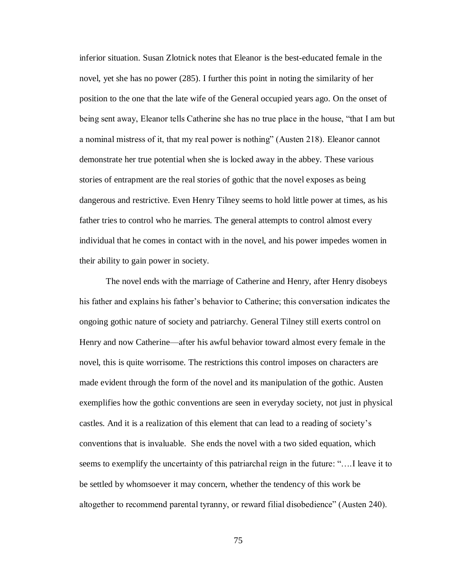inferior situation. Susan Zlotnick notes that Eleanor is the best-educated female in the novel, yet she has no power (285). I further this point in noting the similarity of her position to the one that the late wife of the General occupied years ago. On the onset of being sent away, Eleanor tells Catherine she has no true place in the house, "that I am but a nominal mistress of it, that my real power is nothing" (Austen 218). Eleanor cannot demonstrate her true potential when she is locked away in the abbey. These various stories of entrapment are the real stories of gothic that the novel exposes as being dangerous and restrictive. Even Henry Tilney seems to hold little power at times, as his father tries to control who he marries. The general attempts to control almost every individual that he comes in contact with in the novel, and his power impedes women in their ability to gain power in society.

The novel ends with the marriage of Catherine and Henry, after Henry disobeys his father and explains his father's behavior to Catherine; this conversation indicates the ongoing gothic nature of society and patriarchy. General Tilney still exerts control on Henry and now Catherine—after his awful behavior toward almost every female in the novel, this is quite worrisome. The restrictions this control imposes on characters are made evident through the form of the novel and its manipulation of the gothic. Austen exemplifies how the gothic conventions are seen in everyday society, not just in physical castles. And it is a realization of this element that can lead to a reading of society's conventions that is invaluable. She ends the novel with a two sided equation, which seems to exemplify the uncertainty of this patriarchal reign in the future: "….I leave it to be settled by whomsoever it may concern, whether the tendency of this work be altogether to recommend parental tyranny, or reward filial disobedience" (Austen 240).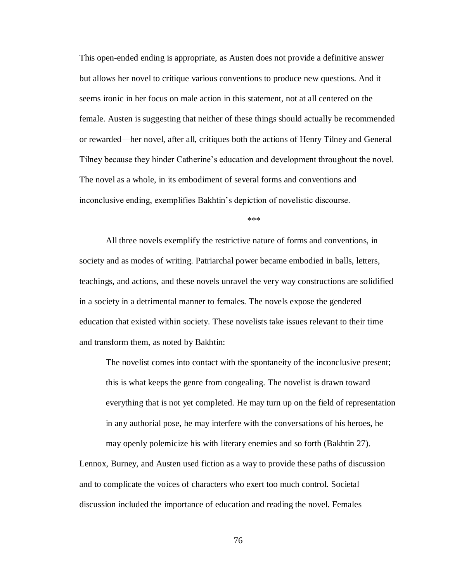This open-ended ending is appropriate, as Austen does not provide a definitive answer but allows her novel to critique various conventions to produce new questions. And it seems ironic in her focus on male action in this statement, not at all centered on the female. Austen is suggesting that neither of these things should actually be recommended or rewarded—her novel, after all, critiques both the actions of Henry Tilney and General Tilney because they hinder Catherine's education and development throughout the novel. The novel as a whole, in its embodiment of several forms and conventions and inconclusive ending, exemplifies Bakhtin's depiction of novelistic discourse.

 $***$ 

All three novels exemplify the restrictive nature of forms and conventions, in society and as modes of writing. Patriarchal power became embodied in balls, letters, teachings, and actions, and these novels unravel the very way constructions are solidified in a society in a detrimental manner to females. The novels expose the gendered education that existed within society. These novelists take issues relevant to their time and transform them, as noted by Bakhtin:

The novelist comes into contact with the spontaneity of the inconclusive present; this is what keeps the genre from congealing. The novelist is drawn toward everything that is not yet completed. He may turn up on the field of representation in any authorial pose, he may interfere with the conversations of his heroes, he may openly polemicize his with literary enemies and so forth (Bakhtin 27).

Lennox, Burney, and Austen used fiction as a way to provide these paths of discussion and to complicate the voices of characters who exert too much control. Societal discussion included the importance of education and reading the novel. Females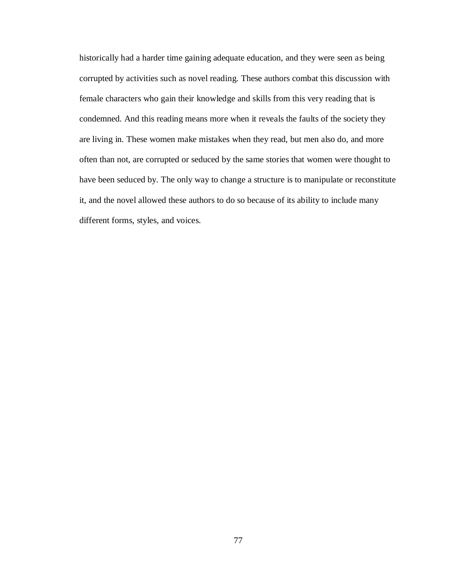historically had a harder time gaining adequate education, and they were seen as being corrupted by activities such as novel reading. These authors combat this discussion with female characters who gain their knowledge and skills from this very reading that is condemned. And this reading means more when it reveals the faults of the society they are living in. These women make mistakes when they read, but men also do, and more often than not, are corrupted or seduced by the same stories that women were thought to have been seduced by. The only way to change a structure is to manipulate or reconstitute it, and the novel allowed these authors to do so because of its ability to include many different forms, styles, and voices.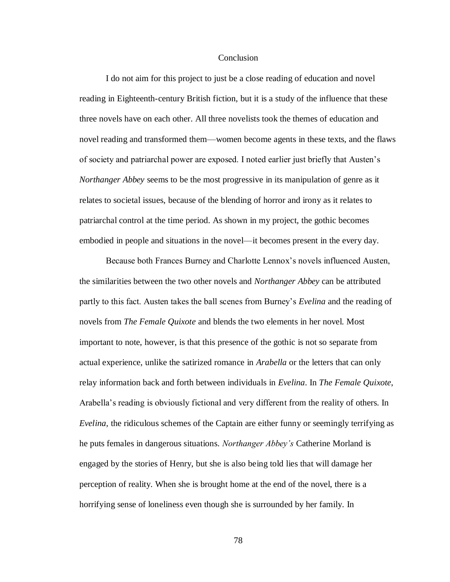### Conclusion

I do not aim for this project to just be a close reading of education and novel reading in Eighteenth-century British fiction, but it is a study of the influence that these three novels have on each other. All three novelists took the themes of education and novel reading and transformed them—women become agents in these texts, and the flaws of society and patriarchal power are exposed. I noted earlier just briefly that Austen's *Northanger Abbey* seems to be the most progressive in its manipulation of genre as it relates to societal issues, because of the blending of horror and irony as it relates to patriarchal control at the time period. As shown in my project, the gothic becomes embodied in people and situations in the novel—it becomes present in the every day.

Because both Frances Burney and Charlotte Lennox's novels influenced Austen, the similarities between the two other novels and *Northanger Abbey* can be attributed partly to this fact. Austen takes the ball scenes from Burney's *Evelina* and the reading of novels from *The Female Quixote* and blends the two elements in her novel. Most important to note, however, is that this presence of the gothic is not so separate from actual experience, unlike the satirized romance in *Arabella* or the letters that can only relay information back and forth between individuals in *Evelina*. In *The Female Quixote*, Arabella's reading is obviously fictional and very different from the reality of others. In *Evelina,* the ridiculous schemes of the Captain are either funny or seemingly terrifying as he puts females in dangerous situations. *Northanger Abbey's* Catherine Morland is engaged by the stories of Henry, but she is also being told lies that will damage her perception of reality. When she is brought home at the end of the novel, there is a horrifying sense of loneliness even though she is surrounded by her family. In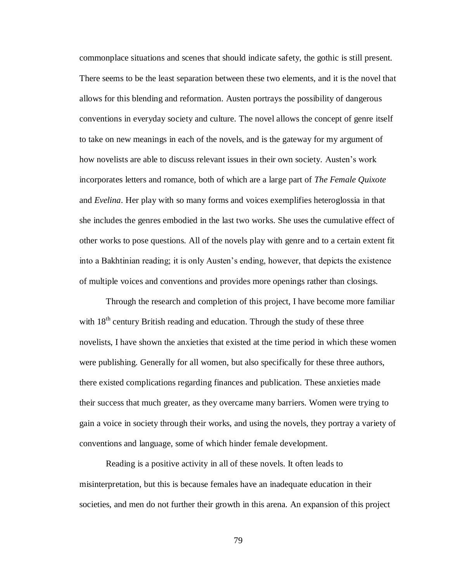commonplace situations and scenes that should indicate safety, the gothic is still present. There seems to be the least separation between these two elements, and it is the novel that allows for this blending and reformation. Austen portrays the possibility of dangerous conventions in everyday society and culture. The novel allows the concept of genre itself to take on new meanings in each of the novels, and is the gateway for my argument of how novelists are able to discuss relevant issues in their own society. Austen's work incorporates letters and romance, both of which are a large part of *The Female Quixote* and *Evelina*. Her play with so many forms and voices exemplifies heteroglossia in that she includes the genres embodied in the last two works. She uses the cumulative effect of other works to pose questions. All of the novels play with genre and to a certain extent fit into a Bakhtinian reading; it is only Austen's ending, however, that depicts the existence of multiple voices and conventions and provides more openings rather than closings.

Through the research and completion of this project, I have become more familiar with  $18<sup>th</sup>$  century British reading and education. Through the study of these three novelists, I have shown the anxieties that existed at the time period in which these women were publishing. Generally for all women, but also specifically for these three authors, there existed complications regarding finances and publication. These anxieties made their success that much greater, as they overcame many barriers. Women were trying to gain a voice in society through their works, and using the novels, they portray a variety of conventions and language, some of which hinder female development.

Reading is a positive activity in all of these novels. It often leads to misinterpretation, but this is because females have an inadequate education in their societies, and men do not further their growth in this arena. An expansion of this project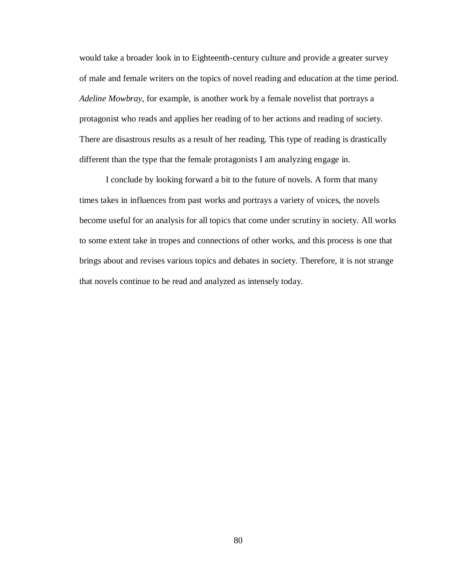would take a broader look in to Eighteenth-century culture and provide a greater survey of male and female writers on the topics of novel reading and education at the time period. *Adeline Mowbray*, for example, is another work by a female novelist that portrays a protagonist who reads and applies her reading of to her actions and reading of society. There are disastrous results as a result of her reading. This type of reading is drastically different than the type that the female protagonists I am analyzing engage in.

I conclude by looking forward a bit to the future of novels. A form that many times takes in influences from past works and portrays a variety of voices, the novels become useful for an analysis for all topics that come under scrutiny in society. All works to some extent take in tropes and connections of other works, and this process is one that brings about and revises various topics and debates in society. Therefore, it is not strange that novels continue to be read and analyzed as intensely today.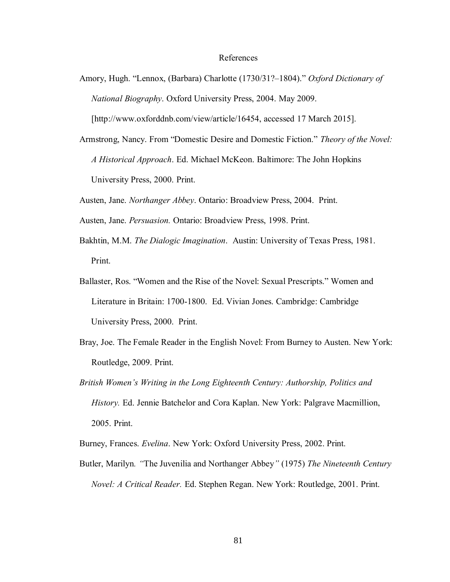### References

Amory, Hugh. "Lennox, (Barbara) Charlotte (1730/31?–1804)." *Oxford Dictionary of National Biography.* Oxford University Press, 2004. May 2009.

[http://www.oxforddnb.com/view/article/16454, accessed 17 March 2015].

Armstrong, Nancy. From "Domestic Desire and Domestic Fiction." *Theory of the Novel: A Historical Approach.* Ed. Michael McKeon. Baltimore: The John Hopkins University Press, 2000. Print.

Austen, Jane. *Northanger Abbey*. Ontario: Broadview Press, 2004. Print.

- Austen, Jane. *Persuasion.* Ontario: Broadview Press, 1998. Print.
- Bakhtin, M.M. *The Dialogic Imagination*. Austin: University of Texas Press, 1981. Print.
- Ballaster, Ros. "Women and the Rise of the Novel: Sexual Prescripts." Women and Literature in Britain: 1700-1800. Ed. Vivian Jones. Cambridge: Cambridge University Press, 2000. Print.
- Bray, Joe. The Female Reader in the English Novel: From Burney to Austen. New York: Routledge, 2009. Print.
- *British Women's Writing in the Long Eighteenth Century: Authorship, Politics and History.* Ed. Jennie Batchelor and Cora Kaplan. New York: Palgrave Macmillion, 2005. Print.

Burney, Frances. *Evelina*. New York: Oxford University Press, 2002. Print.

Butler, Marilyn*. "*The Juvenilia and Northanger Abbey*"* (1975) *The Nineteenth Century Novel: A Critical Reader. Ed. Stephen Regan. New York: Routledge, 2001. Print.*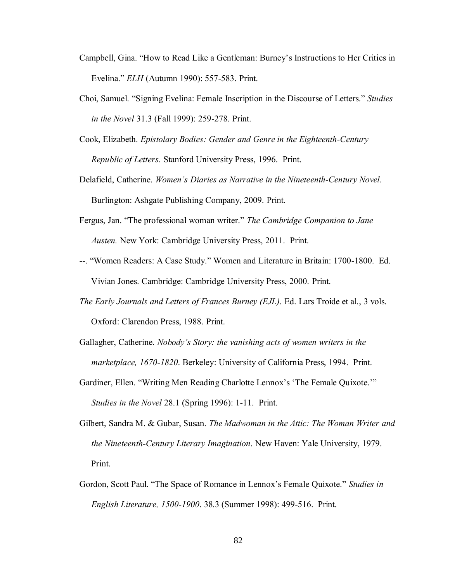- Campbell, Gina. "How to Read Like a Gentleman: Burney's Instructions to Her Critics in Evelina." *ELH* (Autumn 1990): 557-583. Print.
- Choi, Samuel. "Signing Evelina: Female Inscription in the Discourse of Letters." *Studies in the Novel* 31.3 (Fall 1999): 259-278. Print.
- Cook, Elizabeth. *Epistolary Bodies: Gender and Genre in the Eighteenth-Century Republic of Letters.* Stanford University Press, 1996. Print.
- Delafield, Catherine. *Women's Diaries as Narrative in the Nineteenth-Century Novel.* Burlington: Ashgate Publishing Company, 2009. Print.
- Fergus, Jan. "The professional woman writer." *The Cambridge Companion to Jane Austen.* New York: Cambridge University Press, 2011. Print.
- --. "Women Readers: A Case Study." Women and Literature in Britain: 1700-1800. Ed. Vivian Jones. Cambridge: Cambridge University Press, 2000. Print.
- *The Early Journals and Letters of Frances Burney (EJL)*. Ed. Lars Troide et al., 3 vols. Oxford: Clarendon Press, 1988. Print.
- Gallagher, Catherine. *Nobody's Story: the vanishing acts of women writers in the marketplace, 1670-1820.* Berkeley: University of California Press, 1994. Print.
- Gardiner, Ellen. "Writing Men Reading Charlotte Lennox's 'The Female Quixote.'" Studies in the Novel 28.1 (Spring 1996): 1-11. Print.
- Gilbert, Sandra M. & Gubar, Susan. *The Madwoman in the Attic: The Woman Writer and the Nineteenth-Century Literary Imagination*. New Haven: Yale University, 1979. Print.
- Gordon, Scott Paul. "The Space of Romance in Lennox's Female Quixote." *Studies in iiiiiEnglish Literature, 1500-1900*. 38.3 (Summer 1998): 499-516. Print.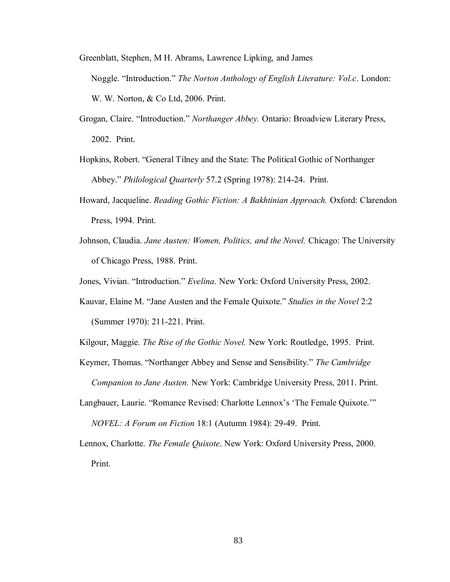- Greenblatt, Stephen, M H. Abrams, Lawrence Lipking, and James Noggle. "Introduction." *The Norton Anthology of English Literature: Vol.c.* London: W. W. Norton, & Co Ltd, 2006. Print.
- Grogan, Claire. "Introduction." *Northanger Abbey.* Ontario: Broadview Literary Press, 2002. Print.
- Hopkins, Robert. "General Tilney and the State: The Political Gothic of Northanger Abbey." *Philological Quarterly* 57.2 (Spring 1978): 214-24. Print.
- Howard, Jacqueline. *Reading Gothic Fiction: A Bakhtinian Approach.* Oxford: Clarendon Press, 1994. Print.
- Johnson, Claudia. *Jane Austen: Women, Politics, and the Novel.* Chicago: The University of Chicago Press, 1988. Print.
- Jones, Vivian. "Introduction." *Evelina*. New York: Oxford University Press, 2002.
- Kauvar, Elaine M. "Jane Austen and the Female Quixote." *Studies in the Novel* 2:2 (Summer 1970): 211-221. Print.
- Kilgour, Maggie. *The Rise of the Gothic Novel.* New York: Routledge, 1995. Print.
- Keymer, Thomas. "Northanger Abbey and Sense and Sensibility." *The Cambridge Companion to Jane Austen.* New York: Cambridge University Press, 2011. Print.
- Langbauer, Laurie. "Romance Revised: Charlotte Lennox's 'The Female Quixote.'"

*NOVEL: A Forum on Fiction* 18:1 (Autumn 1984): 29-49. Print.

Lennox, Charlotte. *The Female Quixote*. New York: Oxford University Press, 2000. Print.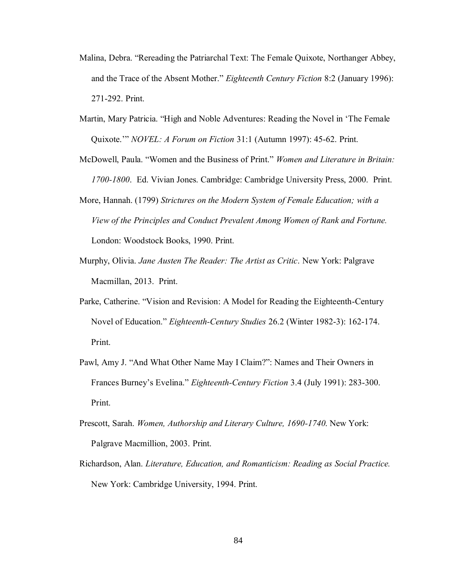- Malina, Debra. "Rereading the Patriarchal Text: The Female Quixote, Northanger Abbey, and the Trace of the Absent Mother." *Eighteenth Century Fiction* 8:2 (January 1996): 271-292. Print.
- Martin, Mary Patricia. "High and Noble Adventures: Reading the Novel in 'The Female Quixote.'" *NOVEL: A Forum on Fiction* 31:1 (Autumn 1997): 45-62. Print.
- McDowell, Paula. "Women and the Business of Print." *Women and Literature in Britain:*  1700-1800. Ed. Vivian Jones. Cambridge: Cambridge University Press, 2000. Print.
- More, Hannah. (1799) *Strictures on the Modern System of Female Education; with a View of the Principles and Conduct Prevalent Among Women of Rank and Fortune.* London: Woodstock Books, 1990. Print.
- Murphy, Olivia. *Jane Austen The Reader: The Artist as Critic*. New York: Palgrave Macmillan, 2013. Print.
- Parke, Catherine. "Vision and Revision: A Model for Reading the Eighteenth-Century Novel of Education." *Eighteenth-Century Studies* 26.2 (Winter 1982-3): 162-174. Print.
- Pawl, Amy J. "And What Other Name May I Claim?": Names and Their Owners in Frances Burney's Evelina." *Eighteenth-Century Fiction* 3.4 (July 1991): 283-300. Print.
- Prescott, Sarah. *Women, Authorship and Literary Culture, 1690-1740*. New York: Palgrave Macmillion, 2003. Print.
- Richardson, Alan. *Literature, Education, and Romanticism: Reading as Social Practice.* New York: Cambridge University, 1994. Print.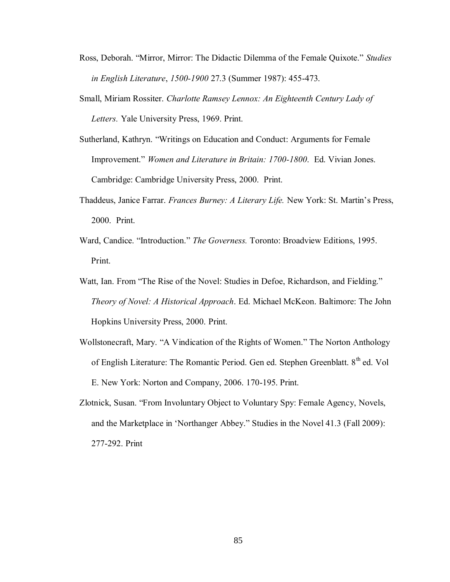- Ross, Deborah. "Mirror, Mirror: The Didactic Dilemma of the Female Quixote." *Studies iiiiiin English Literature*, *1500-1900* 27.3 (Summer 1987): 455-473.
- Small, Miriam Rossiter. *Charlotte Ramsey Lennox: An Eighteenth Century Lady of*  Letters. Yale University Press, 1969. Print.
- Sutherland, Kathryn. "Writings on Education and Conduct: Arguments for Female Improvement." *Women and Literature in Britain: 1700-1800*. Ed. Vivian Jones. Cambridge: Cambridge University Press, 2000. Print.
- Thaddeus, Janice Farrar. *Frances Burney: A Literary Life.* New York: St. Martin's Press, 2000. Print.
- Ward, Candice. "Introduction." *The Governess.* Toronto: Broadview Editions, 1995. Print.
- Watt, Ian. From "The Rise of the Novel: Studies in Defoe, Richardson, and Fielding." Theory of Novel: A Historical Approach. Ed. Michael McKeon. Baltimore: The John Hopkins University Press, 2000. Print.
- Wollstonecraft, Mary. "A Vindication of the Rights of Women." The Norton Anthology of English Literature: The Romantic Period. Gen ed. Stephen Greenblatt. 8<sup>th</sup> ed. Vol E. New York: Norton and Company, 2006. 170-195. Print.
- Zlotnick, Susan. "From Involuntary Object to Voluntary Spy: Female Agency, Novels, and the Marketplace in 'Northanger Abbey." Studies in the Novel 41.3 (Fall 2009): 277-292. Print